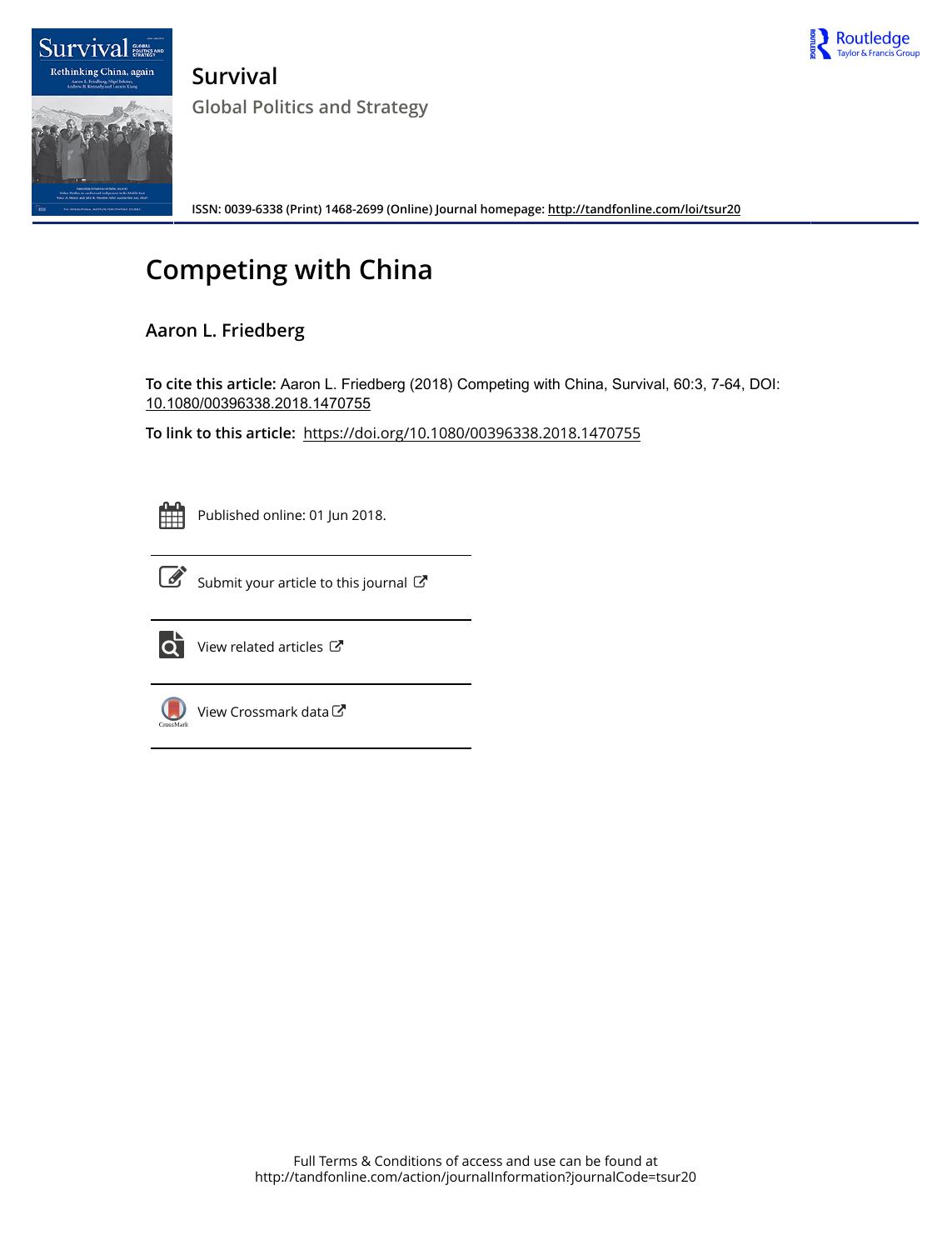

Rethinking China, again **Survival Global Politics and Strategy**

**ISSN: 0039-6338 (Print) 1468-2699 (Online) Journal homepage:<http://tandfonline.com/loi/tsur20>**

## **Competing with China**

## **Aaron L. Friedberg**

**To cite this article:** Aaron L. Friedberg (2018) Competing with China, Survival, 60:3, 7-64, DOI: [10.1080/00396338.2018.1470755](http://tandfonline.com/action/showCitFormats?doi=10.1080/00396338.2018.1470755)

**To link to this article:** <https://doi.org/10.1080/00396338.2018.1470755>



**Survival** 

Published online: 01 Jun 2018.



 $\overrightarrow{S}$  [Submit your article to this journal](http://tandfonline.com/action/authorSubmission?journalCode=tsur20&show=instructions)  $\overrightarrow{S}$ 



 $\overrightarrow{Q}$  [View related articles](http://tandfonline.com/doi/mlt/10.1080/00396338.2018.1470755)  $\mathbb{C}^{\bullet}$ 



[View Crossmark data](http://crossmark.crossref.org/dialog/?doi=10.1080/00396338.2018.1470755&domain=pdf&date_stamp=2018-06-01)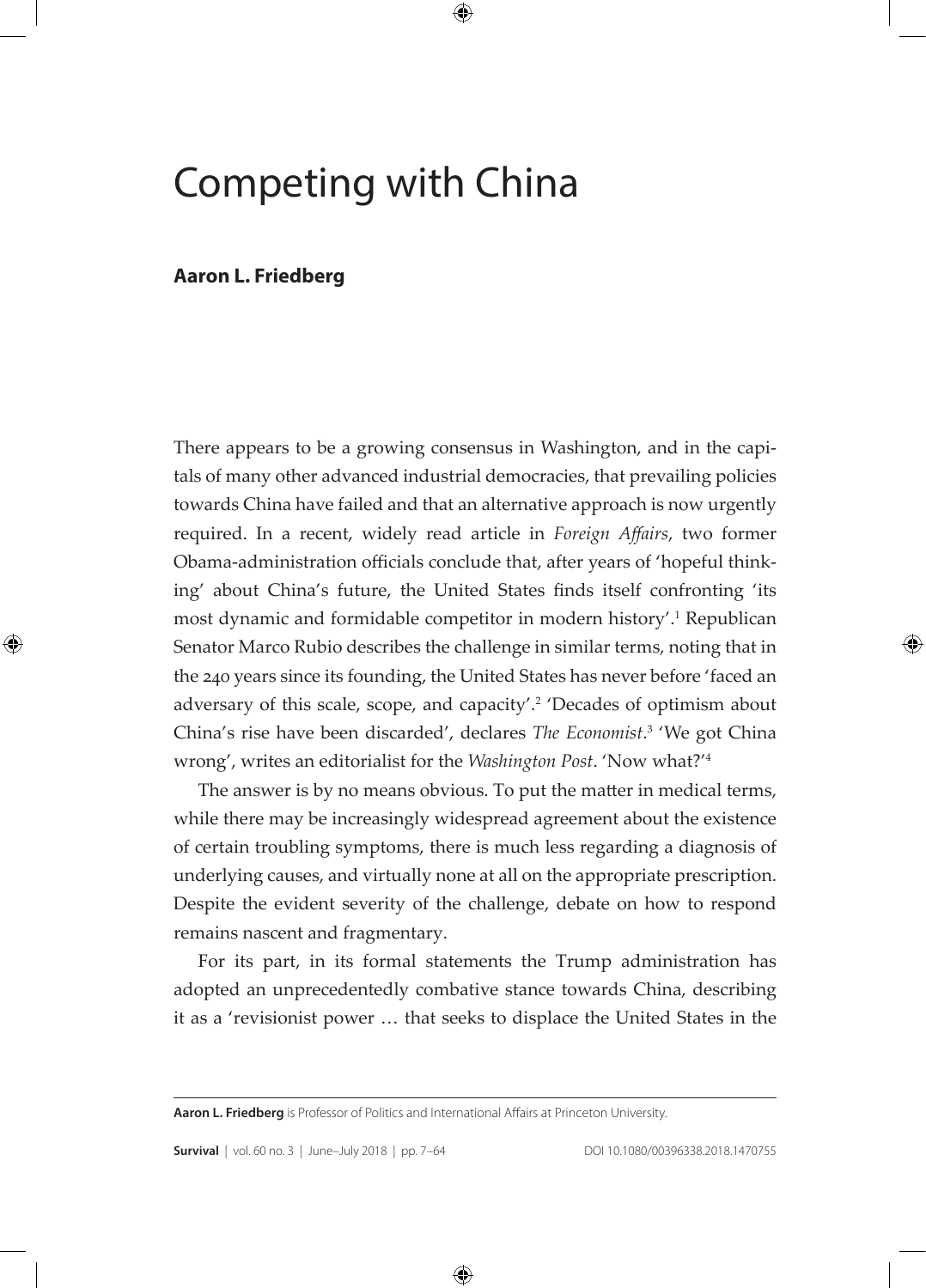# Competing with China

## **Aaron L. Friedberg**

There appears to be a growing consensus in Washington, and in the capitals of many other advanced industrial democracies, that prevailing policies towards China have failed and that an alternative approach is now urgently required. In a recent, widely read article in *Foreign Affairs*, two former Obama-administration officials conclude that, after years of 'hopeful thinking' about China's future, the United States finds itself confronting 'its most dynamic and formidable competitor in modern history'.<sup>1</sup> Republican Senator Marco Rubio describes the challenge in similar terms, noting that in the 240 years since its founding, the United States has never before 'faced an adversary of this scale, scope, and capacity'.<sup>2</sup> 'Decades of optimism about China's rise have been discarded', declares *The Economist*. 3 'We got China wrong', writes an editorialist for the *Washington Post*. 'Now what?'<sup>4</sup>

The answer is by no means obvious. To put the matter in medical terms, while there may be increasingly widespread agreement about the existence of certain troubling symptoms, there is much less regarding a diagnosis of underlying causes, and virtually none at all on the appropriate prescription. Despite the evident severity of the challenge, debate on how to respond remains nascent and fragmentary.

For its part, in its formal statements the Trump administration has adopted an unprecedentedly combative stance towards China, describing it as a 'revisionist power … that seeks to displace the United States in the

**Aaron L. Friedberg** is Professor of Politics and International Affairs at Princeton University.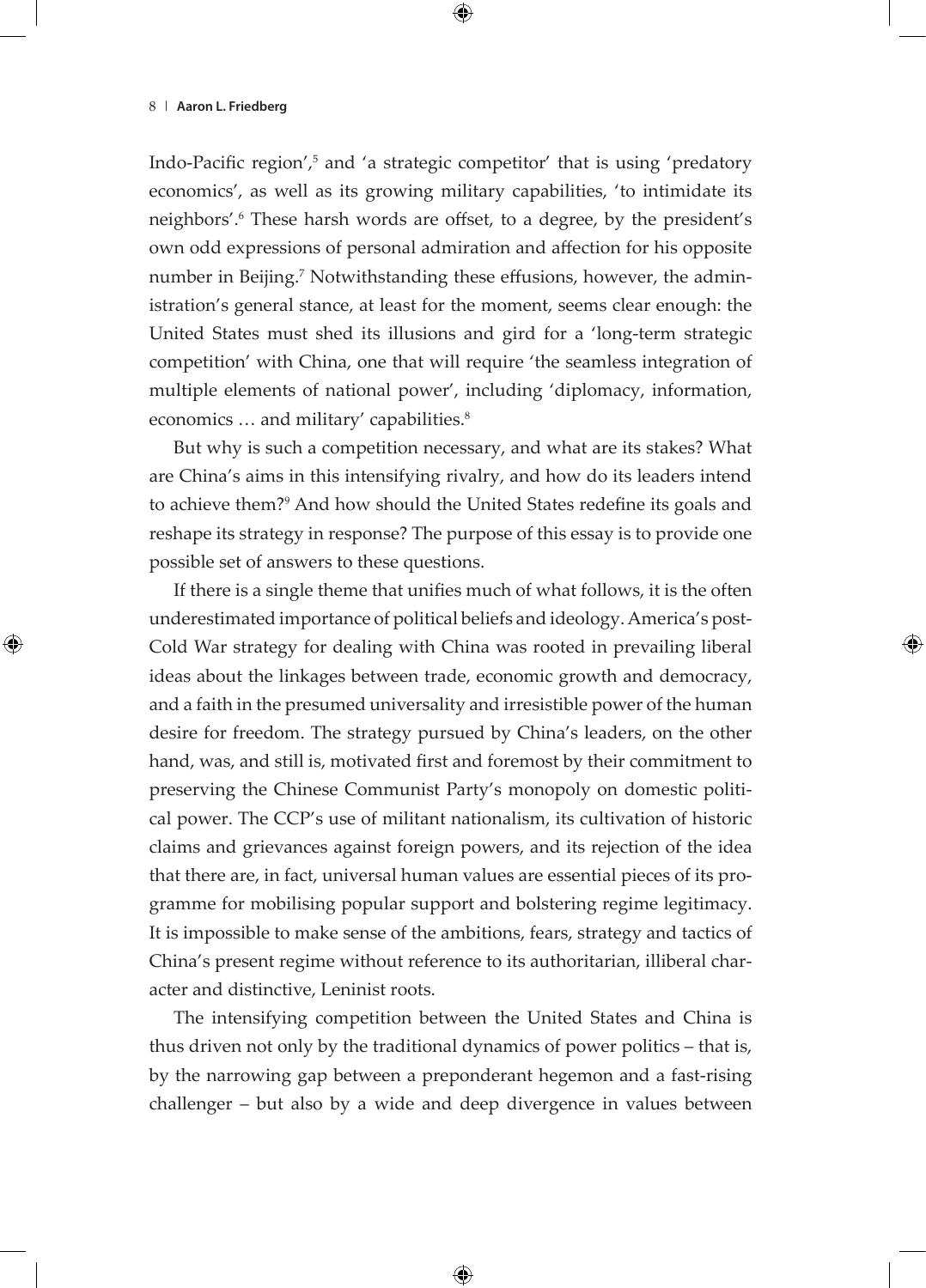Indo-Pacific region',<sup>5</sup> and 'a strategic competitor' that is using 'predatory economics', as well as its growing military capabilities, 'to intimidate its neighbors'.<sup>6</sup> These harsh words are offset, to a degree, by the president's own odd expressions of personal admiration and affection for his opposite number in Beijing.<sup>7</sup> Notwithstanding these effusions, however, the administration's general stance, at least for the moment, seems clear enough: the United States must shed its illusions and gird for a 'long-term strategic competition' with China, one that will require 'the seamless integration of multiple elements of national power', including 'diplomacy, information, economics ... and military' capabilities.<sup>8</sup>

But why is such a competition necessary, and what are its stakes? What are China's aims in this intensifying rivalry, and how do its leaders intend to achieve them?<sup>9</sup> And how should the United States redefine its goals and reshape its strategy in response? The purpose of this essay is to provide one possible set of answers to these questions.

If there is a single theme that unifies much of what follows, it is the often underestimated importance of political beliefs and ideology. America's post-Cold War strategy for dealing with China was rooted in prevailing liberal ideas about the linkages between trade, economic growth and democracy, and a faith in the presumed universality and irresistible power of the human desire for freedom. The strategy pursued by China's leaders, on the other hand, was, and still is, motivated first and foremost by their commitment to preserving the Chinese Communist Party's monopoly on domestic political power. The CCP's use of militant nationalism, its cultivation of historic claims and grievances against foreign powers, and its rejection of the idea that there are, in fact, universal human values are essential pieces of its programme for mobilising popular support and bolstering regime legitimacy. It is impossible to make sense of the ambitions, fears, strategy and tactics of China's present regime without reference to its authoritarian, illiberal character and distinctive, Leninist roots.

The intensifying competition between the United States and China is thus driven not only by the traditional dynamics of power politics – that is, by the narrowing gap between a preponderant hegemon and a fast-rising challenger – but also by a wide and deep divergence in values between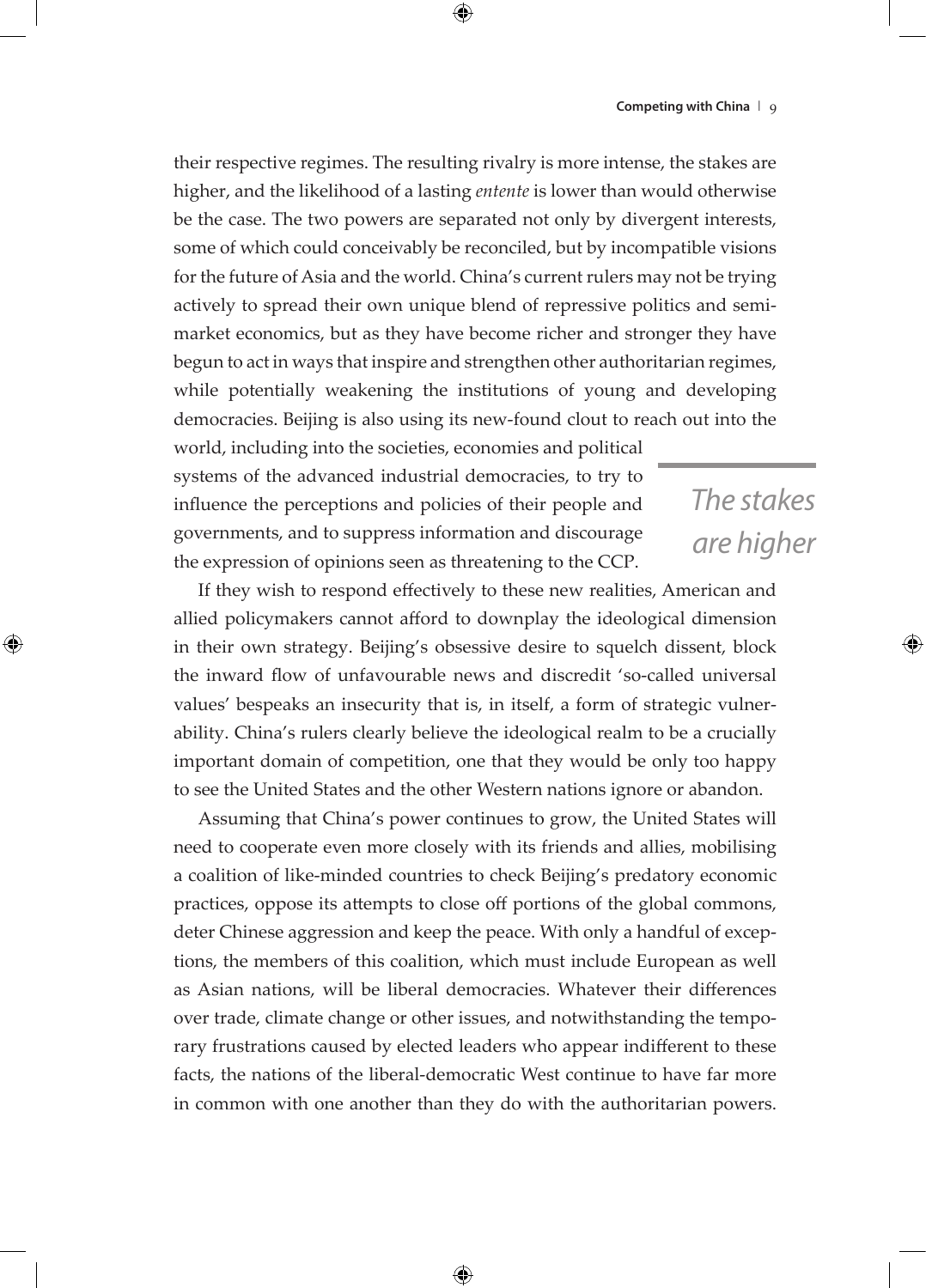*The stakes* 

*are higher*

their respective regimes. The resulting rivalry is more intense, the stakes are higher, and the likelihood of a lasting *entente* is lower than would otherwise be the case. The two powers are separated not only by divergent interests, some of which could conceivably be reconciled, but by incompatible visions for the future of Asia and the world. China's current rulers may not be trying actively to spread their own unique blend of repressive politics and semimarket economics, but as they have become richer and stronger they have begun to act in ways that inspire and strengthen other authoritarian regimes, while potentially weakening the institutions of young and developing democracies. Beijing is also using its new-found clout to reach out into the

world, including into the societies, economies and political systems of the advanced industrial democracies, to try to influence the perceptions and policies of their people and governments, and to suppress information and discourage the expression of opinions seen as threatening to the CCP.

If they wish to respond effectively to these new realities, American and allied policymakers cannot afford to downplay the ideological dimension in their own strategy. Beijing's obsessive desire to squelch dissent, block the inward flow of unfavourable news and discredit 'so-called universal values' bespeaks an insecurity that is, in itself, a form of strategic vulnerability. China's rulers clearly believe the ideological realm to be a crucially important domain of competition, one that they would be only too happy to see the United States and the other Western nations ignore or abandon.

Assuming that China's power continues to grow, the United States will need to cooperate even more closely with its friends and allies, mobilising a coalition of like-minded countries to check Beijing's predatory economic practices, oppose its attempts to close off portions of the global commons, deter Chinese aggression and keep the peace. With only a handful of exceptions, the members of this coalition, which must include European as well as Asian nations, will be liberal democracies. Whatever their differences over trade, climate change or other issues, and notwithstanding the temporary frustrations caused by elected leaders who appear indifferent to these facts, the nations of the liberal-democratic West continue to have far more in common with one another than they do with the authoritarian powers.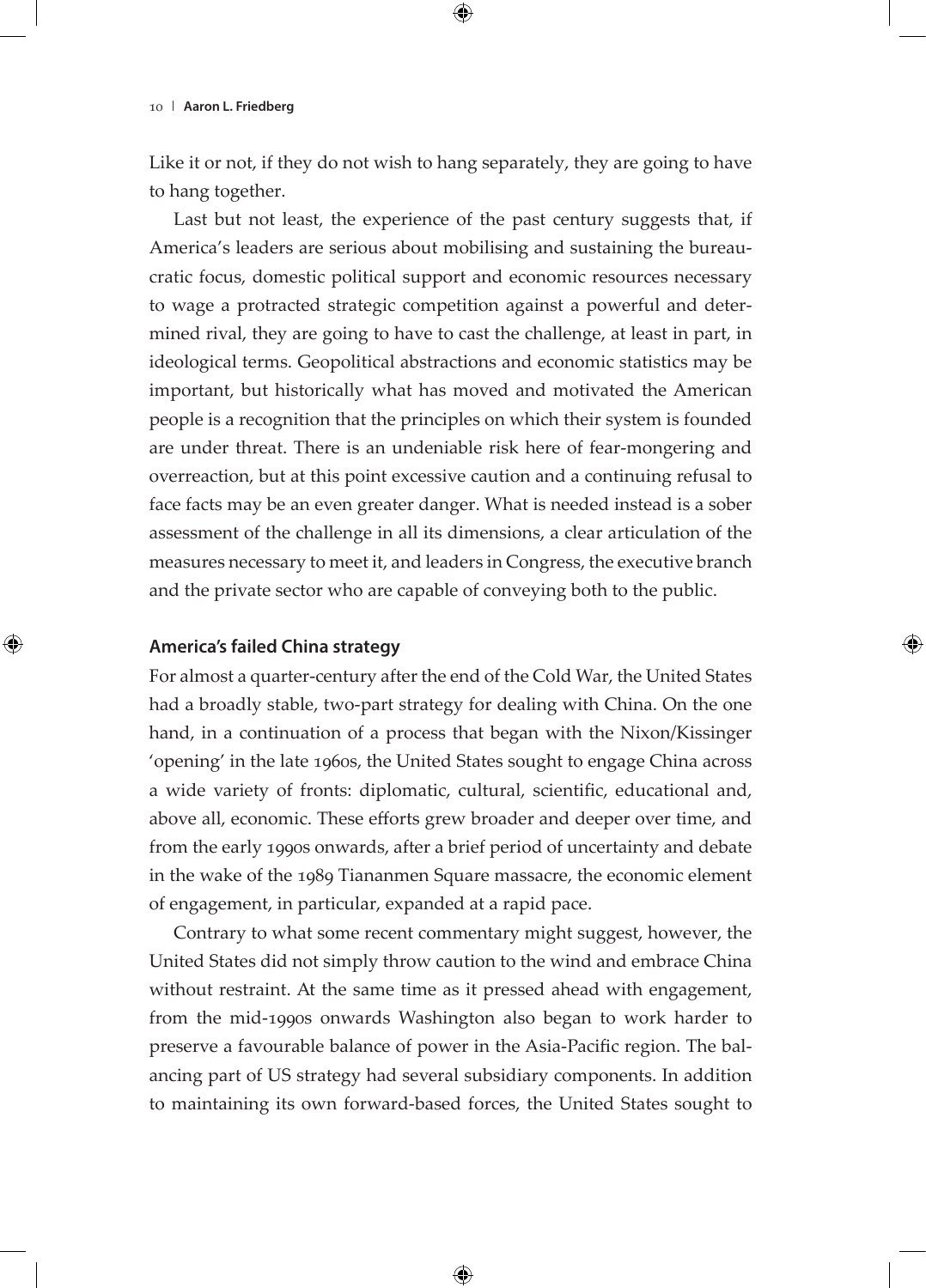Like it or not, if they do not wish to hang separately, they are going to have to hang together.

Last but not least, the experience of the past century suggests that, if America's leaders are serious about mobilising and sustaining the bureaucratic focus, domestic political support and economic resources necessary to wage a protracted strategic competition against a powerful and determined rival, they are going to have to cast the challenge, at least in part, in ideological terms. Geopolitical abstractions and economic statistics may be important, but historically what has moved and motivated the American people is a recognition that the principles on which their system is founded are under threat. There is an undeniable risk here of fear-mongering and overreaction, but at this point excessive caution and a continuing refusal to face facts may be an even greater danger. What is needed instead is a sober assessment of the challenge in all its dimensions, a clear articulation of the measures necessary to meet it, and leaders in Congress, the executive branch and the private sector who are capable of conveying both to the public.

## **America's failed China strategy**

For almost a quarter-century after the end of the Cold War, the United States had a broadly stable, two-part strategy for dealing with China. On the one hand, in a continuation of a process that began with the Nixon/Kissinger 'opening' in the late 1960s, the United States sought to engage China across a wide variety of fronts: diplomatic, cultural, scientific, educational and, above all, economic. These efforts grew broader and deeper over time, and from the early 1990s onwards, after a brief period of uncertainty and debate in the wake of the 1989 Tiananmen Square massacre, the economic element of engagement, in particular, expanded at a rapid pace.

Contrary to what some recent commentary might suggest, however, the United States did not simply throw caution to the wind and embrace China without restraint. At the same time as it pressed ahead with engagement, from the mid-1990s onwards Washington also began to work harder to preserve a favourable balance of power in the Asia-Pacific region. The balancing part of US strategy had several subsidiary components. In addition to maintaining its own forward-based forces, the United States sought to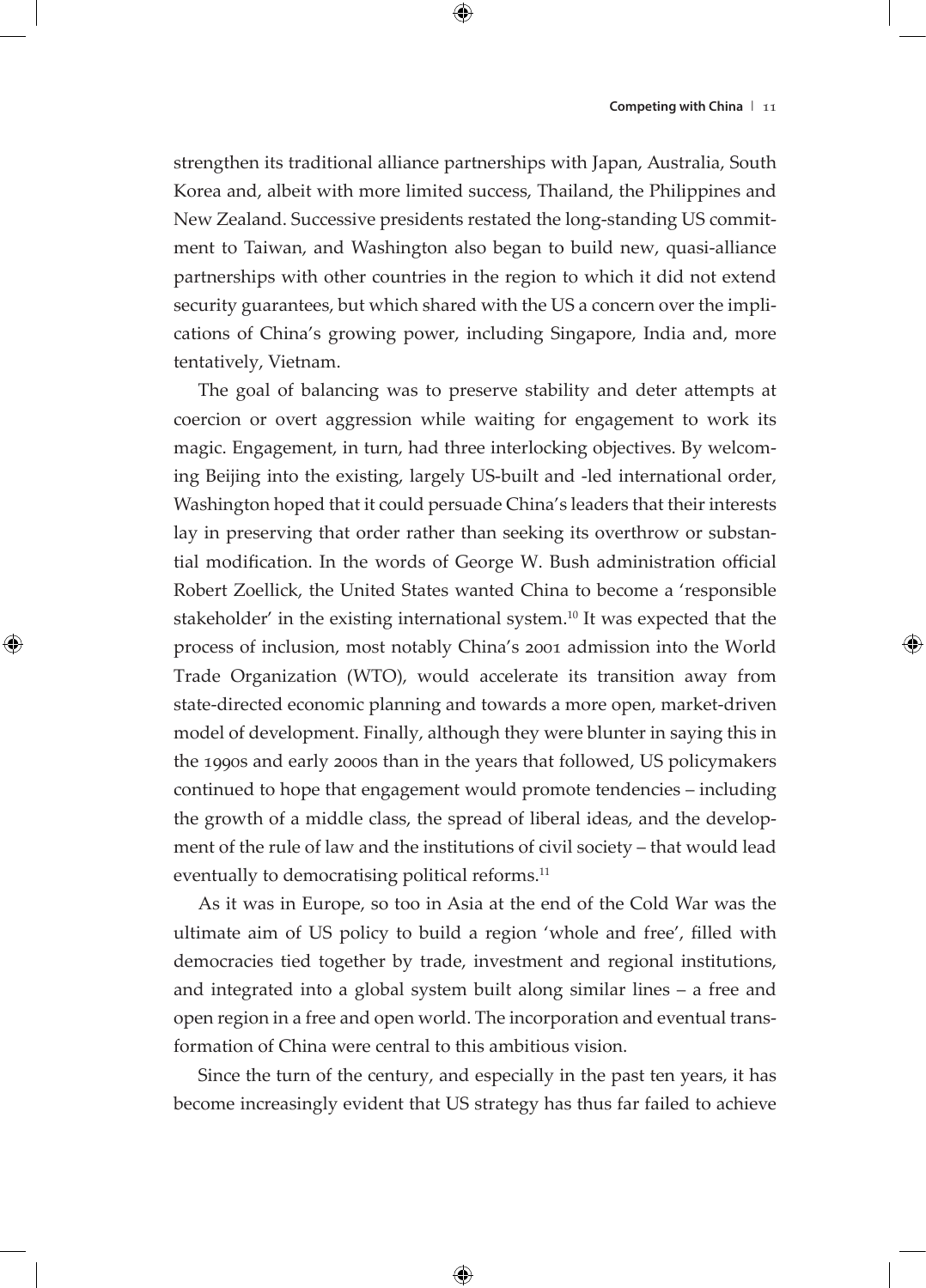strengthen its traditional alliance partnerships with Japan, Australia, South Korea and, albeit with more limited success, Thailand, the Philippines and New Zealand. Successive presidents restated the long-standing US commitment to Taiwan, and Washington also began to build new, quasi-alliance partnerships with other countries in the region to which it did not extend security guarantees, but which shared with the US a concern over the implications of China's growing power, including Singapore, India and, more tentatively, Vietnam.

The goal of balancing was to preserve stability and deter attempts at coercion or overt aggression while waiting for engagement to work its magic. Engagement, in turn, had three interlocking objectives. By welcoming Beijing into the existing, largely US-built and -led international order, Washington hoped that it could persuade China's leaders that their interests lay in preserving that order rather than seeking its overthrow or substantial modification. In the words of George W. Bush administration official Robert Zoellick, the United States wanted China to become a 'responsible stakeholder' in the existing international system.<sup>10</sup> It was expected that the process of inclusion, most notably China's 2001 admission into the World Trade Organization (WTO), would accelerate its transition away from state-directed economic planning and towards a more open, market-driven model of development. Finally, although they were blunter in saying this in the 1990s and early 2000s than in the years that followed, US policymakers continued to hope that engagement would promote tendencies – including the growth of a middle class, the spread of liberal ideas, and the development of the rule of law and the institutions of civil society – that would lead eventually to democratising political reforms.<sup>11</sup>

As it was in Europe, so too in Asia at the end of the Cold War was the ultimate aim of US policy to build a region 'whole and free', filled with democracies tied together by trade, investment and regional institutions, and integrated into a global system built along similar lines – a free and open region in a free and open world. The incorporation and eventual transformation of China were central to this ambitious vision.

Since the turn of the century, and especially in the past ten years, it has become increasingly evident that US strategy has thus far failed to achieve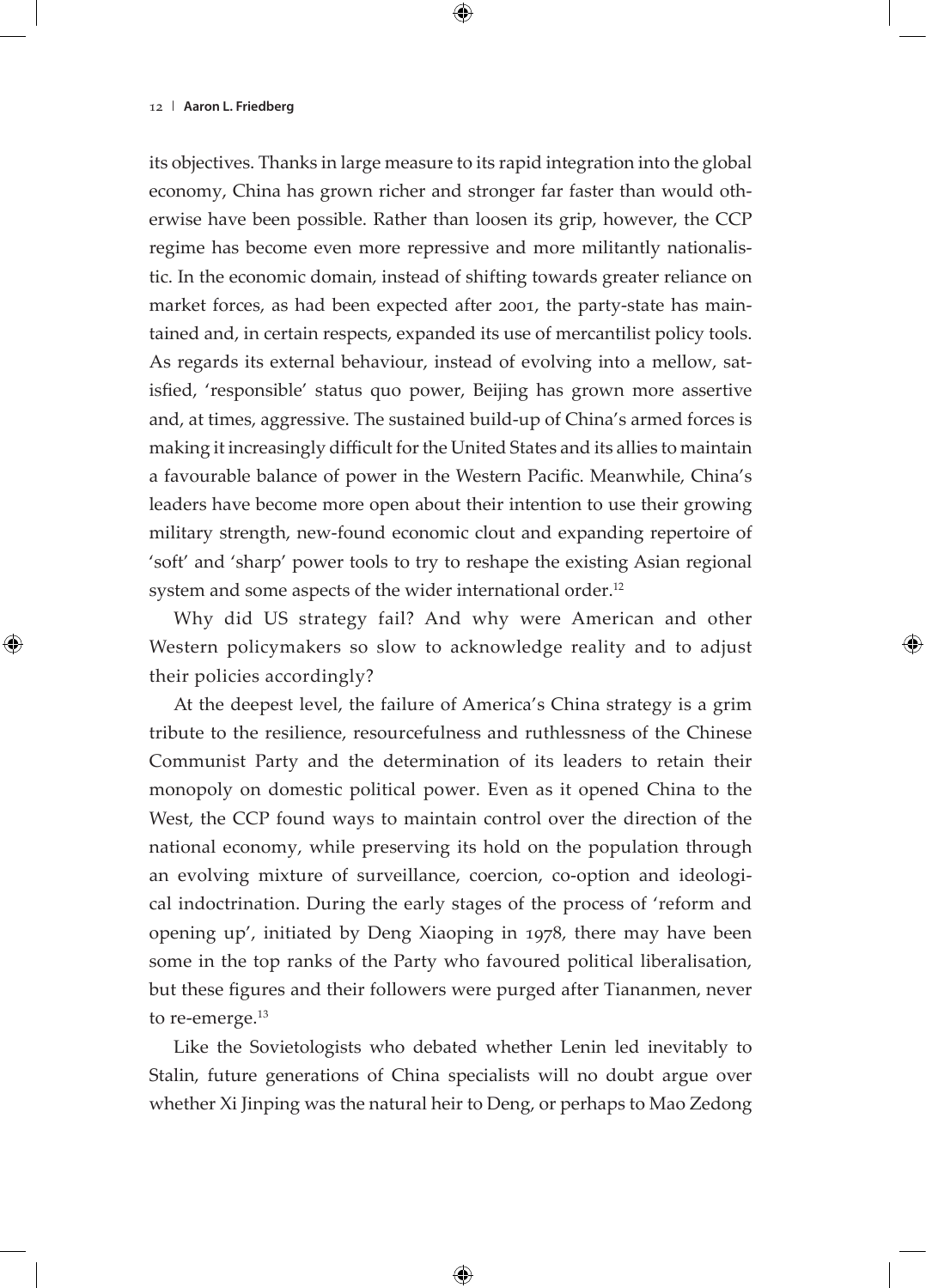its objectives. Thanks in large measure to its rapid integration into the global economy, China has grown richer and stronger far faster than would otherwise have been possible. Rather than loosen its grip, however, the CCP regime has become even more repressive and more militantly nationalistic. In the economic domain, instead of shifting towards greater reliance on market forces, as had been expected after 2001, the party-state has maintained and, in certain respects, expanded its use of mercantilist policy tools. As regards its external behaviour, instead of evolving into a mellow, satisfied, 'responsible' status quo power, Beijing has grown more assertive and, at times, aggressive. The sustained build-up of China's armed forces is making it increasingly difficult for the United States and its allies to maintain a favourable balance of power in the Western Pacific. Meanwhile, China's leaders have become more open about their intention to use their growing military strength, new-found economic clout and expanding repertoire of 'soft' and 'sharp' power tools to try to reshape the existing Asian regional system and some aspects of the wider international order.<sup>12</sup>

Why did US strategy fail? And why were American and other Western policymakers so slow to acknowledge reality and to adjust their policies accordingly?

At the deepest level, the failure of America's China strategy is a grim tribute to the resilience, resourcefulness and ruthlessness of the Chinese Communist Party and the determination of its leaders to retain their monopoly on domestic political power. Even as it opened China to the West, the CCP found ways to maintain control over the direction of the national economy, while preserving its hold on the population through an evolving mixture of surveillance, coercion, co-option and ideological indoctrination. During the early stages of the process of 'reform and opening up', initiated by Deng Xiaoping in 1978, there may have been some in the top ranks of the Party who favoured political liberalisation, but these figures and their followers were purged after Tiananmen, never to re-emerge.<sup>13</sup>

Like the Sovietologists who debated whether Lenin led inevitably to Stalin, future generations of China specialists will no doubt argue over whether Xi Jinping was the natural heir to Deng, or perhaps to Mao Zedong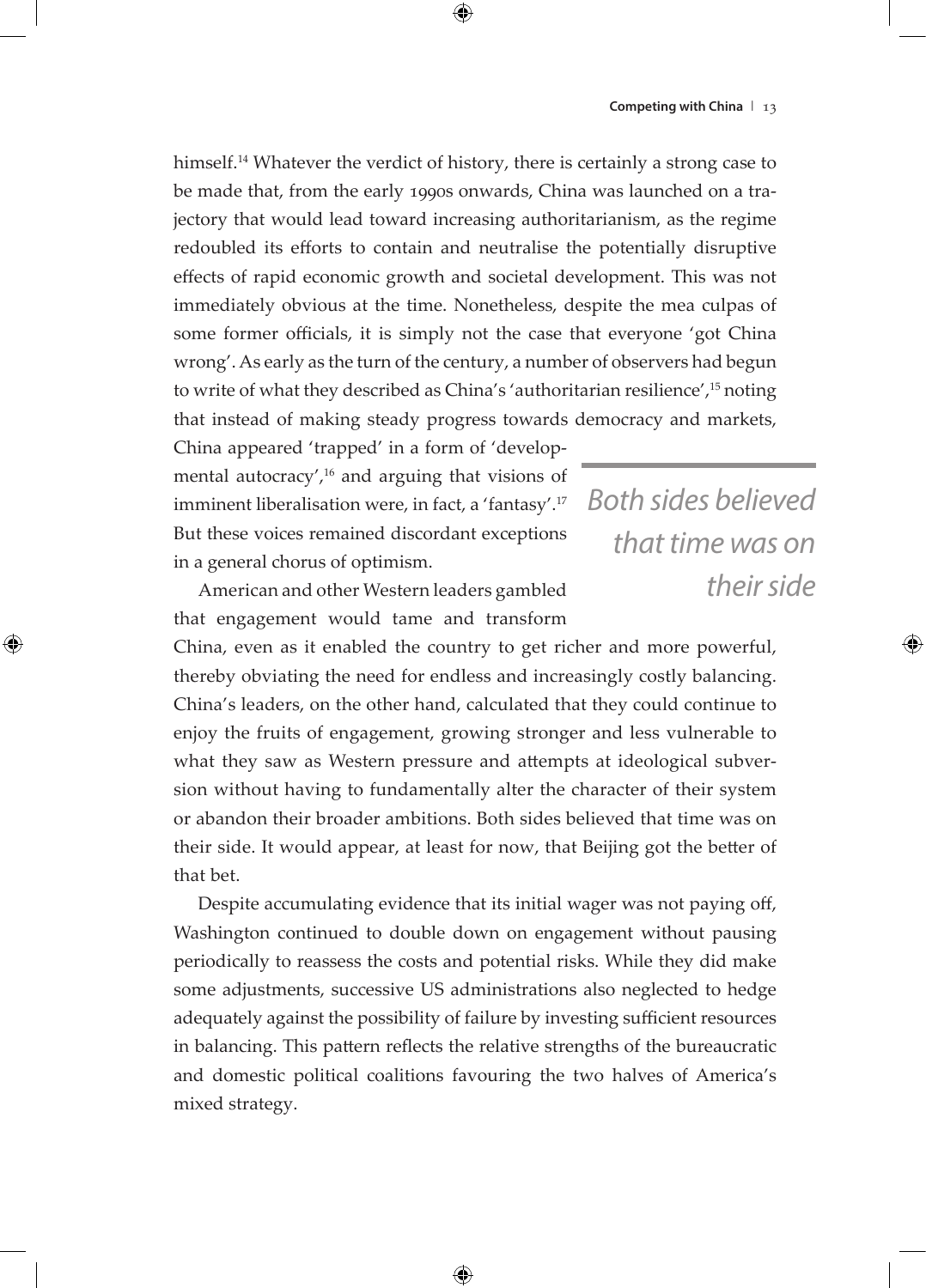himself.<sup>14</sup> Whatever the verdict of history, there is certainly a strong case to be made that, from the early 1990s onwards, China was launched on a trajectory that would lead toward increasing authoritarianism, as the regime redoubled its efforts to contain and neutralise the potentially disruptive effects of rapid economic growth and societal development. This was not immediately obvious at the time. Nonetheless, despite the mea culpas of some former officials, it is simply not the case that everyone 'got China wrong'. As early as the turn of the century, a number of observers had begun to write of what they described as China's 'authoritarian resilience',15 noting that instead of making steady progress towards democracy and markets,

China appeared 'trapped' in a form of 'developmental autocracy', $16$  and arguing that visions of imminent liberalisation were, in fact, a 'fantasy'.<sup>17</sup> But these voices remained discordant exceptions in a general chorus of optimism.

*Both sides believed that time was on their side*

American and other Western leaders gambled that engagement would tame and transform

China, even as it enabled the country to get richer and more powerful, thereby obviating the need for endless and increasingly costly balancing. China's leaders, on the other hand, calculated that they could continue to enjoy the fruits of engagement, growing stronger and less vulnerable to what they saw as Western pressure and attempts at ideological subversion without having to fundamentally alter the character of their system or abandon their broader ambitions. Both sides believed that time was on their side. It would appear, at least for now, that Beijing got the better of that bet.

Despite accumulating evidence that its initial wager was not paying off, Washington continued to double down on engagement without pausing periodically to reassess the costs and potential risks. While they did make some adjustments, successive US administrations also neglected to hedge adequately against the possibility of failure by investing sufficient resources in balancing. This pattern reflects the relative strengths of the bureaucratic and domestic political coalitions favouring the two halves of America's mixed strategy.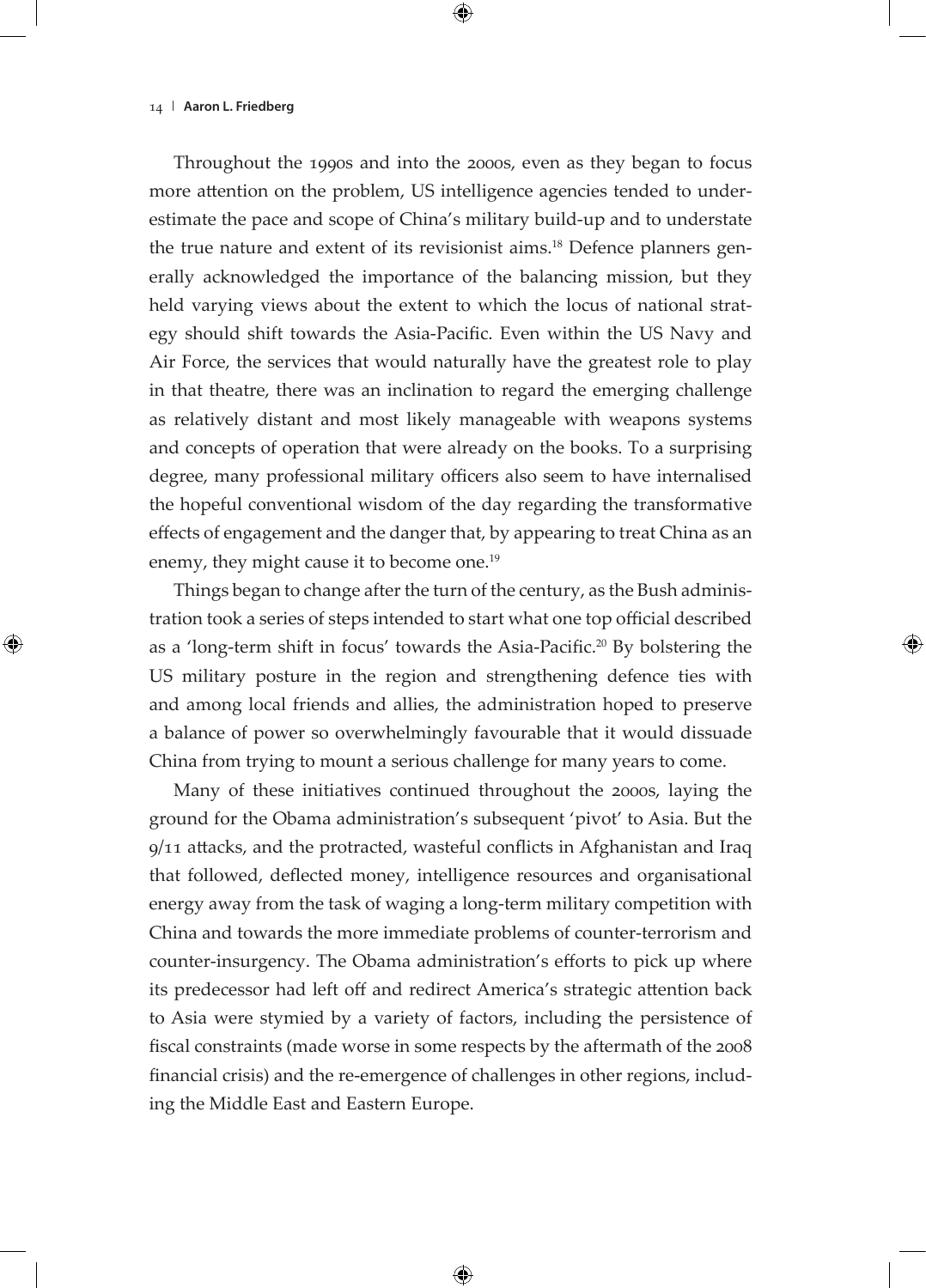Throughout the 1990s and into the 2000s, even as they began to focus more attention on the problem, US intelligence agencies tended to underestimate the pace and scope of China's military build-up and to understate the true nature and extent of its revisionist aims.<sup>18</sup> Defence planners generally acknowledged the importance of the balancing mission, but they held varying views about the extent to which the locus of national strategy should shift towards the Asia-Pacific. Even within the US Navy and Air Force, the services that would naturally have the greatest role to play in that theatre, there was an inclination to regard the emerging challenge as relatively distant and most likely manageable with weapons systems and concepts of operation that were already on the books. To a surprising degree, many professional military officers also seem to have internalised the hopeful conventional wisdom of the day regarding the transformative effects of engagement and the danger that, by appearing to treat China as an enemy, they might cause it to become one.<sup>19</sup>

Things began to change after the turn of the century, as the Bush administration took a series of steps intended to start what one top official described as a 'long-term shift in focus' towards the Asia-Pacific.20 By bolstering the US military posture in the region and strengthening defence ties with and among local friends and allies, the administration hoped to preserve a balance of power so overwhelmingly favourable that it would dissuade China from trying to mount a serious challenge for many years to come.

Many of these initiatives continued throughout the 2000s, laying the ground for the Obama administration's subsequent 'pivot' to Asia. But the 9/11 attacks, and the protracted, wasteful conflicts in Afghanistan and Iraq that followed, deflected money, intelligence resources and organisational energy away from the task of waging a long-term military competition with China and towards the more immediate problems of counter-terrorism and counter-insurgency. The Obama administration's efforts to pick up where its predecessor had left off and redirect America's strategic attention back to Asia were stymied by a variety of factors, including the persistence of fiscal constraints (made worse in some respects by the aftermath of the 2008 financial crisis) and the re-emergence of challenges in other regions, including the Middle East and Eastern Europe.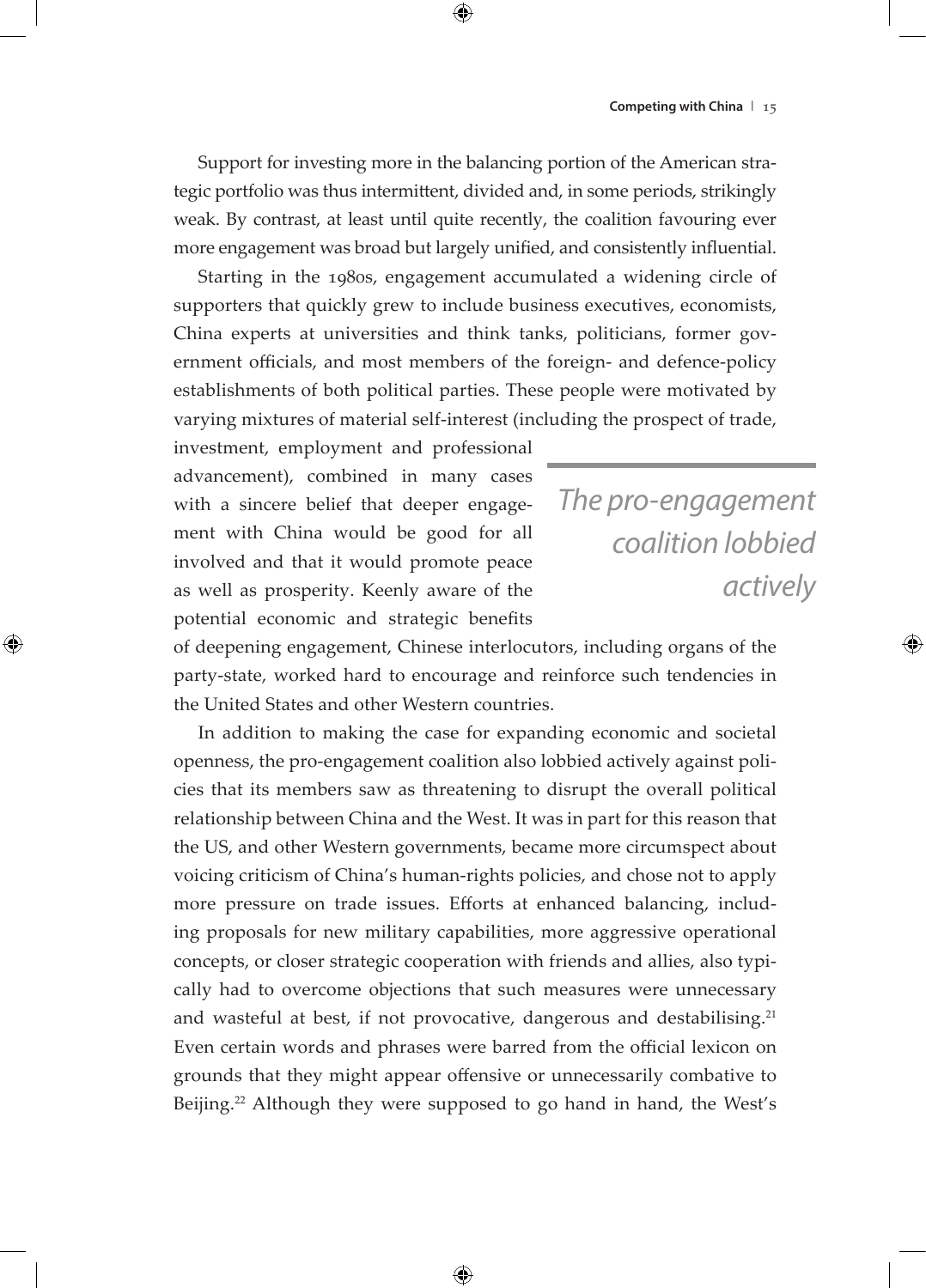Support for investing more in the balancing portion of the American strategic portfolio was thus intermittent, divided and, in some periods, strikingly weak. By contrast, at least until quite recently, the coalition favouring ever more engagement was broad but largely unified, and consistently influential.

Starting in the 1980s, engagement accumulated a widening circle of supporters that quickly grew to include business executives, economists, China experts at universities and think tanks, politicians, former government officials, and most members of the foreign- and defence-policy establishments of both political parties. These people were motivated by varying mixtures of material self-interest (including the prospect of trade,

investment, employment and professional advancement), combined in many cases with a sincere belief that deeper engagement with China would be good for all involved and that it would promote peace as well as prosperity. Keenly aware of the potential economic and strategic benefits

*The pro-engagement coalition lobbied actively*

of deepening engagement, Chinese interlocutors, including organs of the party-state, worked hard to encourage and reinforce such tendencies in the United States and other Western countries.

In addition to making the case for expanding economic and societal openness, the pro-engagement coalition also lobbied actively against policies that its members saw as threatening to disrupt the overall political relationship between China and the West. It was in part for this reason that the US, and other Western governments, became more circumspect about voicing criticism of China's human-rights policies, and chose not to apply more pressure on trade issues. Efforts at enhanced balancing, including proposals for new military capabilities, more aggressive operational concepts, or closer strategic cooperation with friends and allies, also typically had to overcome objections that such measures were unnecessary and wasteful at best, if not provocative, dangerous and destabilising.<sup>21</sup> Even certain words and phrases were barred from the official lexicon on grounds that they might appear offensive or unnecessarily combative to Beijing.<sup>22</sup> Although they were supposed to go hand in hand, the West's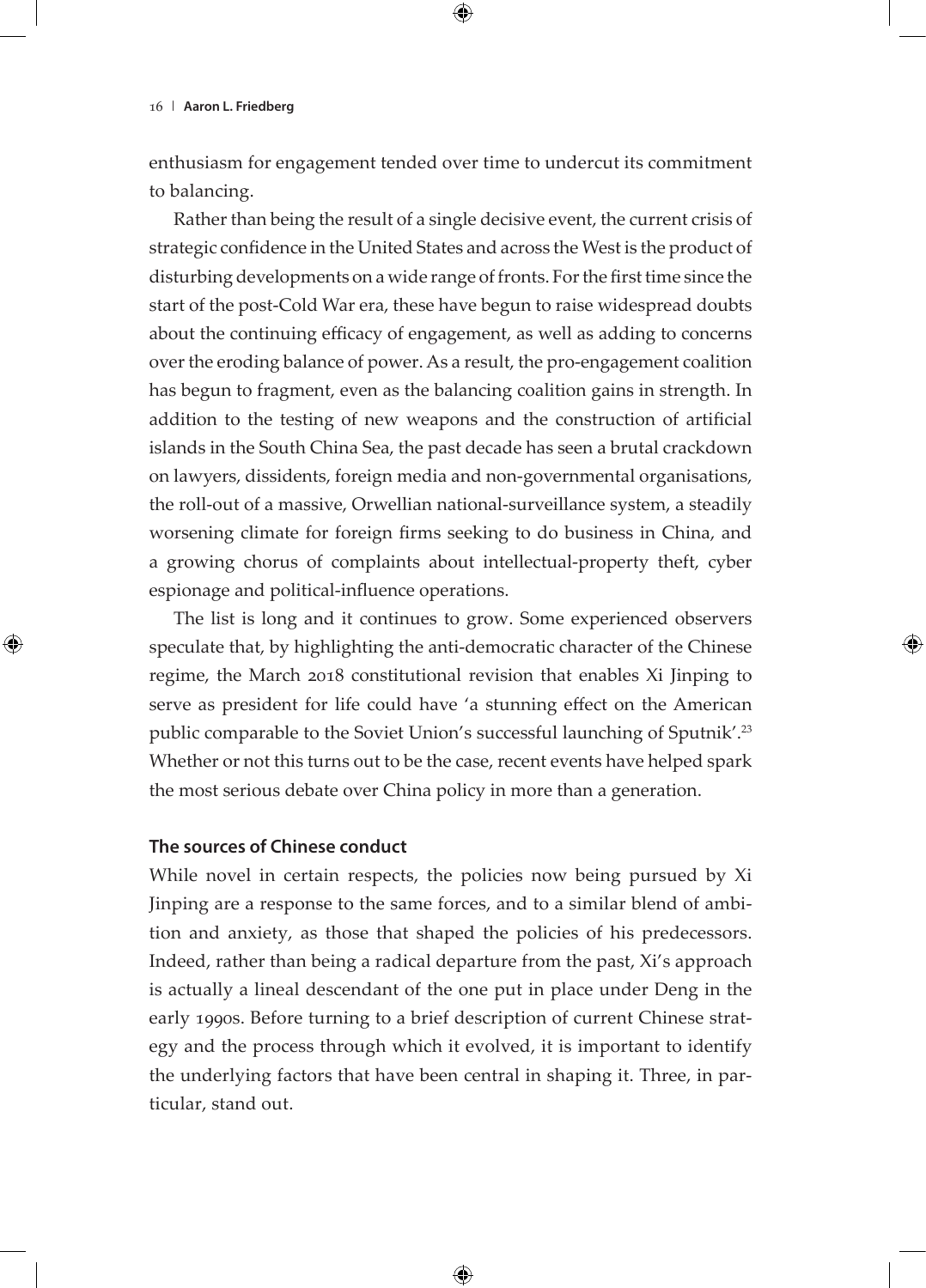enthusiasm for engagement tended over time to undercut its commitment to balancing.

Rather than being the result of a single decisive event, the current crisis of strategic confidence in the United States and across the West is the product of disturbing developments on a wide range of fronts. For the first time since the start of the post-Cold War era, these have begun to raise widespread doubts about the continuing efficacy of engagement, as well as adding to concerns over the eroding balance of power. As a result, the pro-engagement coalition has begun to fragment, even as the balancing coalition gains in strength. In addition to the testing of new weapons and the construction of artificial islands in the South China Sea, the past decade has seen a brutal crackdown on lawyers, dissidents, foreign media and non-governmental organisations, the roll-out of a massive, Orwellian national-surveillance system, a steadily worsening climate for foreign firms seeking to do business in China, and a growing chorus of complaints about intellectual-property theft, cyber espionage and political-influence operations.

The list is long and it continues to grow. Some experienced observers speculate that, by highlighting the anti-democratic character of the Chinese regime, the March 2018 constitutional revision that enables Xi Jinping to serve as president for life could have 'a stunning effect on the American public comparable to the Soviet Union's successful launching of Sputnik'.23 Whether or not this turns out to be the case, recent events have helped spark the most serious debate over China policy in more than a generation.

## **The sources of Chinese conduct**

While novel in certain respects, the policies now being pursued by Xi Jinping are a response to the same forces, and to a similar blend of ambition and anxiety, as those that shaped the policies of his predecessors. Indeed, rather than being a radical departure from the past, Xi's approach is actually a lineal descendant of the one put in place under Deng in the early 1990s. Before turning to a brief description of current Chinese strategy and the process through which it evolved, it is important to identify the underlying factors that have been central in shaping it. Three, in particular, stand out.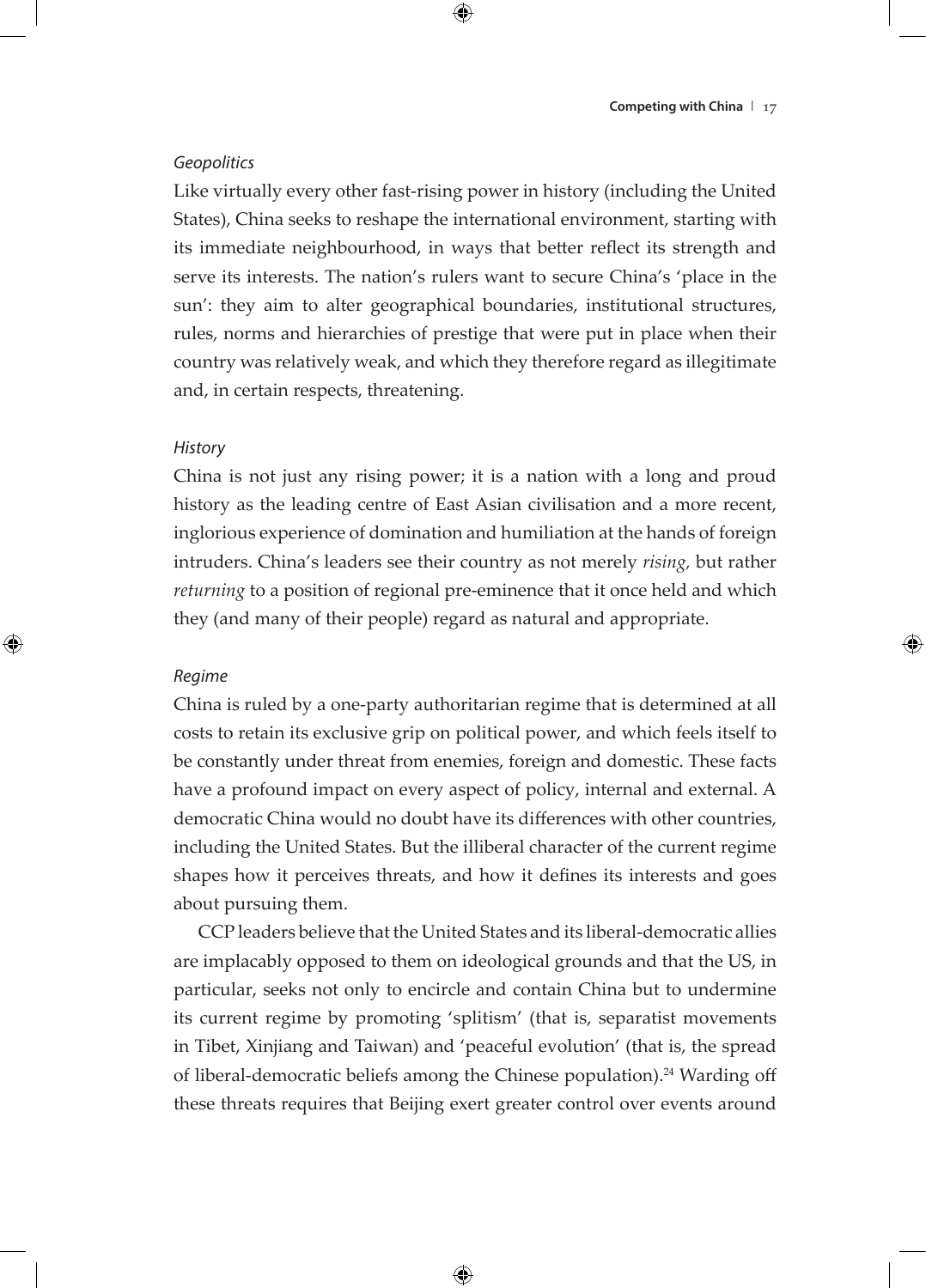## *Geopolitics*

Like virtually every other fast-rising power in history (including the United States), China seeks to reshape the international environment, starting with its immediate neighbourhood, in ways that better reflect its strength and serve its interests. The nation's rulers want to secure China's 'place in the sun': they aim to alter geographical boundaries, institutional structures, rules, norms and hierarchies of prestige that were put in place when their country was relatively weak, and which they therefore regard as illegitimate and, in certain respects, threatening.

## *History*

China is not just any rising power; it is a nation with a long and proud history as the leading centre of East Asian civilisation and a more recent, inglorious experience of domination and humiliation at the hands of foreign intruders. China's leaders see their country as not merely *rising,* but rather *returning* to a position of regional pre-eminence that it once held and which they (and many of their people) regard as natural and appropriate.

## *Regime*

China is ruled by a one-party authoritarian regime that is determined at all costs to retain its exclusive grip on political power, and which feels itself to be constantly under threat from enemies, foreign and domestic. These facts have a profound impact on every aspect of policy, internal and external. A democratic China would no doubt have its differences with other countries, including the United States. But the illiberal character of the current regime shapes how it perceives threats, and how it defines its interests and goes about pursuing them.

CCP leaders believe that the United States and its liberal-democratic allies are implacably opposed to them on ideological grounds and that the US, in particular, seeks not only to encircle and contain China but to undermine its current regime by promoting 'splitism' (that is, separatist movements in Tibet, Xinjiang and Taiwan) and 'peaceful evolution' (that is, the spread of liberal-democratic beliefs among the Chinese population).<sup>24</sup> Warding off these threats requires that Beijing exert greater control over events around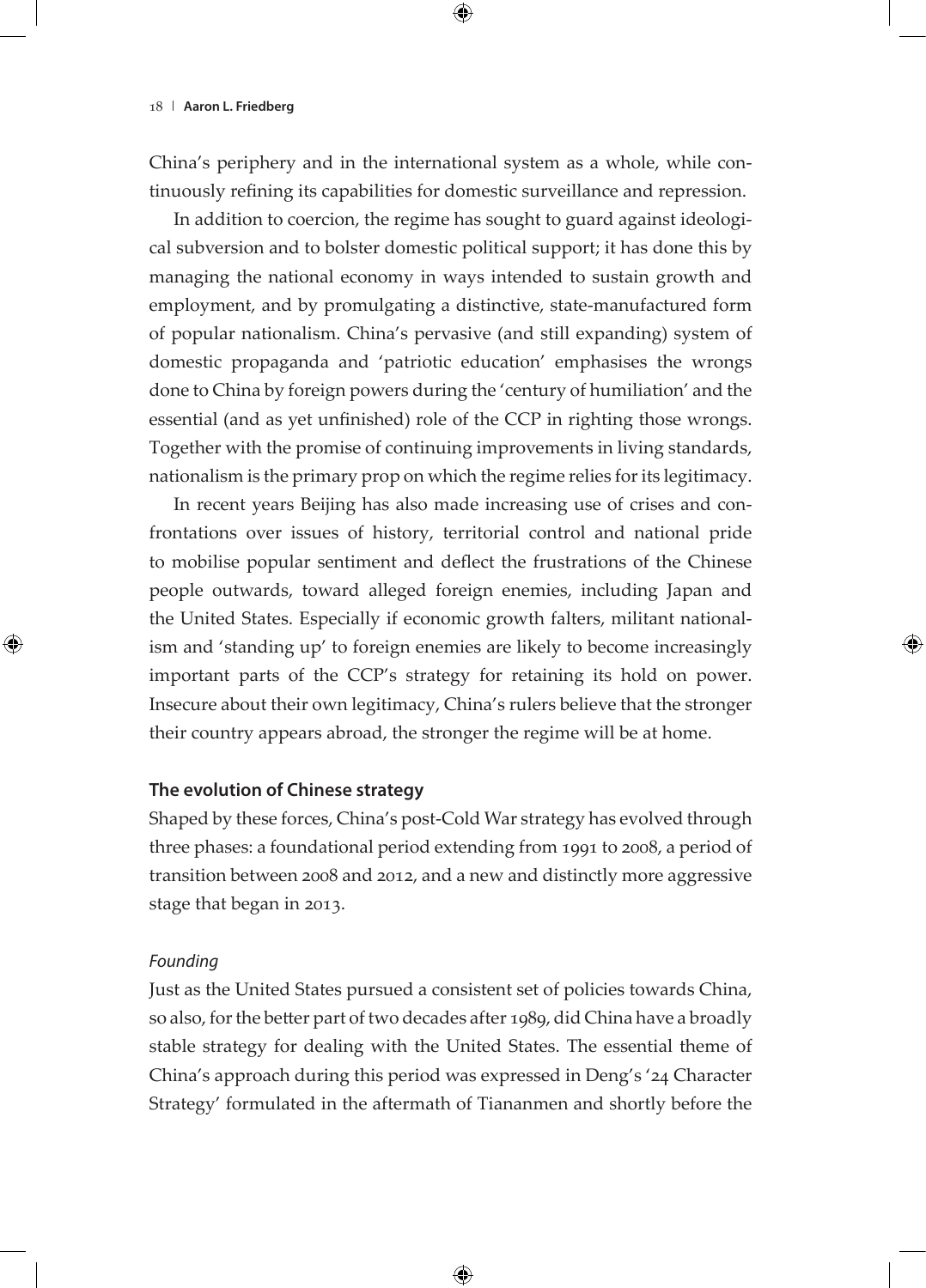China's periphery and in the international system as a whole, while continuously refining its capabilities for domestic surveillance and repression.

In addition to coercion, the regime has sought to guard against ideological subversion and to bolster domestic political support; it has done this by managing the national economy in ways intended to sustain growth and employment, and by promulgating a distinctive, state-manufactured form of popular nationalism. China's pervasive (and still expanding) system of domestic propaganda and 'patriotic education' emphasises the wrongs done to China by foreign powers during the 'century of humiliation' and the essential (and as yet unfinished) role of the CCP in righting those wrongs. Together with the promise of continuing improvements in living standards, nationalism is the primary prop on which the regime relies for its legitimacy.

In recent years Beijing has also made increasing use of crises and confrontations over issues of history, territorial control and national pride to mobilise popular sentiment and deflect the frustrations of the Chinese people outwards, toward alleged foreign enemies, including Japan and the United States. Especially if economic growth falters, militant nationalism and 'standing up' to foreign enemies are likely to become increasingly important parts of the CCP's strategy for retaining its hold on power. Insecure about their own legitimacy, China's rulers believe that the stronger their country appears abroad, the stronger the regime will be at home.

## **The evolution of Chinese strategy**

Shaped by these forces, China's post-Cold War strategy has evolved through three phases: a foundational period extending from 1991 to 2008, a period of transition between 2008 and 2012, and a new and distinctly more aggressive stage that began in 2013.

#### *Founding*

Just as the United States pursued a consistent set of policies towards China, so also, for the better part of two decades after 1989, did China have a broadly stable strategy for dealing with the United States. The essential theme of China's approach during this period was expressed in Deng's '24 Character Strategy' formulated in the aftermath of Tiananmen and shortly before the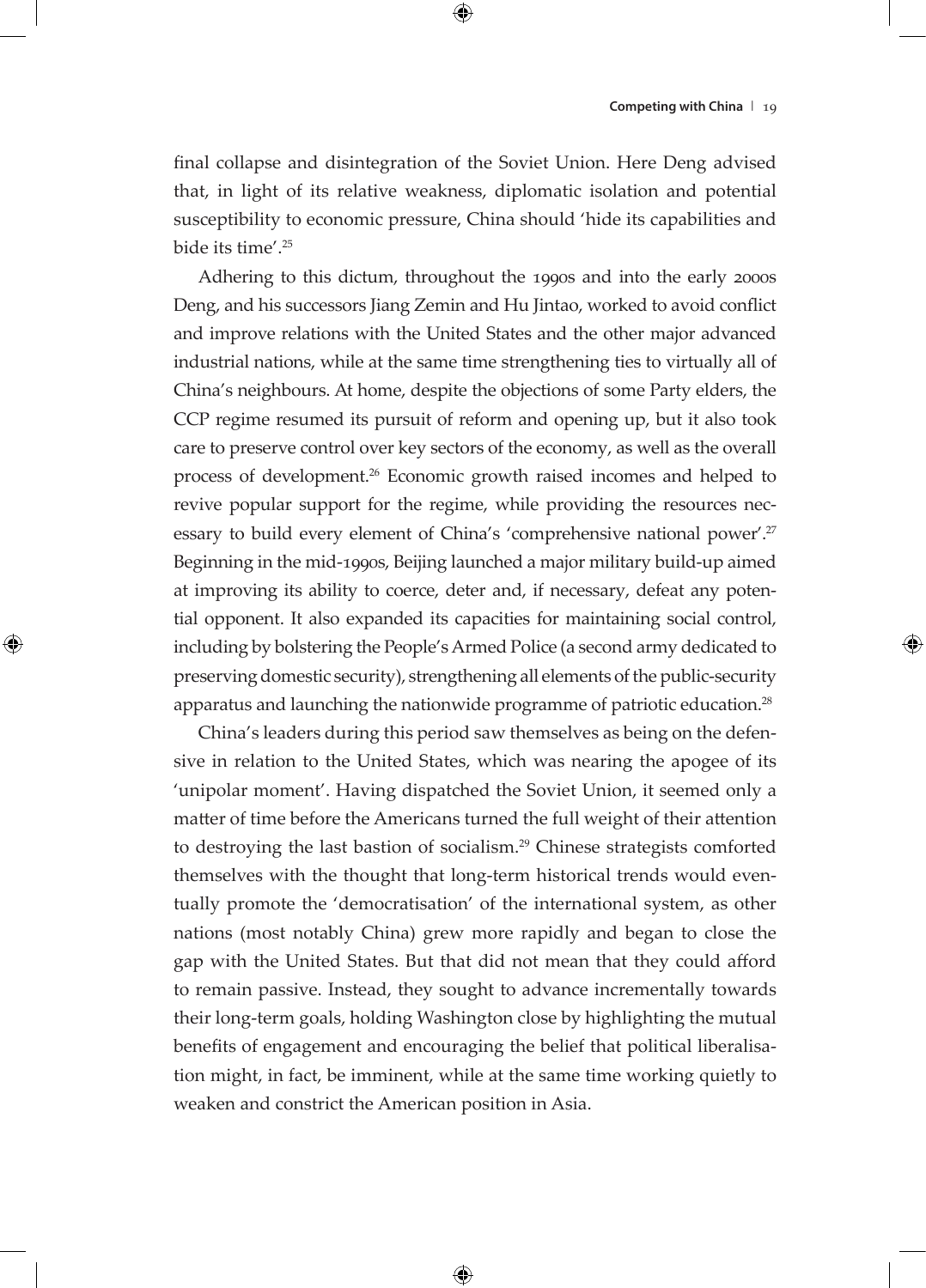final collapse and disintegration of the Soviet Union. Here Deng advised that, in light of its relative weakness, diplomatic isolation and potential susceptibility to economic pressure, China should 'hide its capabilities and bide its time'.<sup>25</sup>

Adhering to this dictum, throughout the 1990s and into the early 2000s Deng, and his successors Jiang Zemin and Hu Jintao, worked to avoid conflict and improve relations with the United States and the other major advanced industrial nations, while at the same time strengthening ties to virtually all of China's neighbours. At home, despite the objections of some Party elders, the CCP regime resumed its pursuit of reform and opening up, but it also took care to preserve control over key sectors of the economy, as well as the overall process of development.26 Economic growth raised incomes and helped to revive popular support for the regime, while providing the resources necessary to build every element of China's 'comprehensive national power'.<sup>27</sup> Beginning in the mid-1990s, Beijing launched a major military build-up aimed at improving its ability to coerce, deter and, if necessary, defeat any potential opponent. It also expanded its capacities for maintaining social control, including by bolstering the People's Armed Police (a second army dedicated to preserving domestic security), strengthening all elements of the public-security apparatus and launching the nationwide programme of patriotic education.28

China's leaders during this period saw themselves as being on the defensive in relation to the United States, which was nearing the apogee of its 'unipolar moment'. Having dispatched the Soviet Union, it seemed only a matter of time before the Americans turned the full weight of their attention to destroying the last bastion of socialism.<sup>29</sup> Chinese strategists comforted themselves with the thought that long-term historical trends would eventually promote the 'democratisation' of the international system, as other nations (most notably China) grew more rapidly and began to close the gap with the United States. But that did not mean that they could afford to remain passive. Instead, they sought to advance incrementally towards their long-term goals, holding Washington close by highlighting the mutual benefits of engagement and encouraging the belief that political liberalisation might, in fact, be imminent, while at the same time working quietly to weaken and constrict the American position in Asia.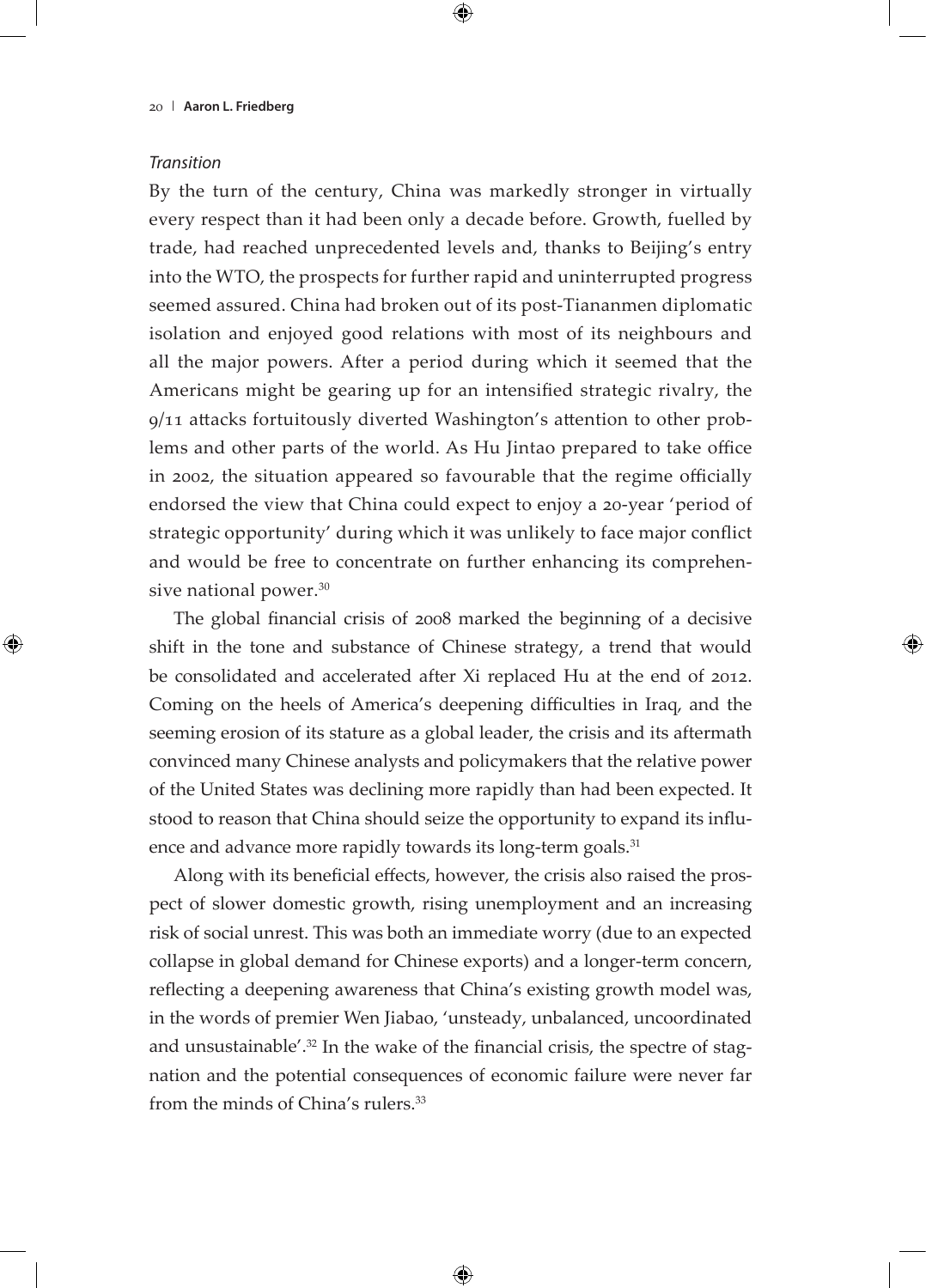## *Transition*

By the turn of the century, China was markedly stronger in virtually every respect than it had been only a decade before. Growth, fuelled by trade, had reached unprecedented levels and, thanks to Beijing's entry into the WTO, the prospects for further rapid and uninterrupted progress seemed assured. China had broken out of its post-Tiananmen diplomatic isolation and enjoyed good relations with most of its neighbours and all the major powers. After a period during which it seemed that the Americans might be gearing up for an intensified strategic rivalry, the 9/11 attacks fortuitously diverted Washington's attention to other problems and other parts of the world. As Hu Jintao prepared to take office in 2002, the situation appeared so favourable that the regime officially endorsed the view that China could expect to enjoy a 20-year 'period of strategic opportunity' during which it was unlikely to face major conflict and would be free to concentrate on further enhancing its comprehensive national power.<sup>30</sup>

The global financial crisis of 2008 marked the beginning of a decisive shift in the tone and substance of Chinese strategy, a trend that would be consolidated and accelerated after Xi replaced Hu at the end of 2012. Coming on the heels of America's deepening difficulties in Iraq, and the seeming erosion of its stature as a global leader, the crisis and its aftermath convinced many Chinese analysts and policymakers that the relative power of the United States was declining more rapidly than had been expected. It stood to reason that China should seize the opportunity to expand its influence and advance more rapidly towards its long-term goals.<sup>31</sup>

Along with its beneficial effects, however, the crisis also raised the prospect of slower domestic growth, rising unemployment and an increasing risk of social unrest. This was both an immediate worry (due to an expected collapse in global demand for Chinese exports) and a longer-term concern, reflecting a deepening awareness that China's existing growth model was, in the words of premier Wen Jiabao, 'unsteady, unbalanced, uncoordinated and unsustainable'.<sup>32</sup> In the wake of the financial crisis, the spectre of stagnation and the potential consequences of economic failure were never far from the minds of China's rulers.<sup>33</sup>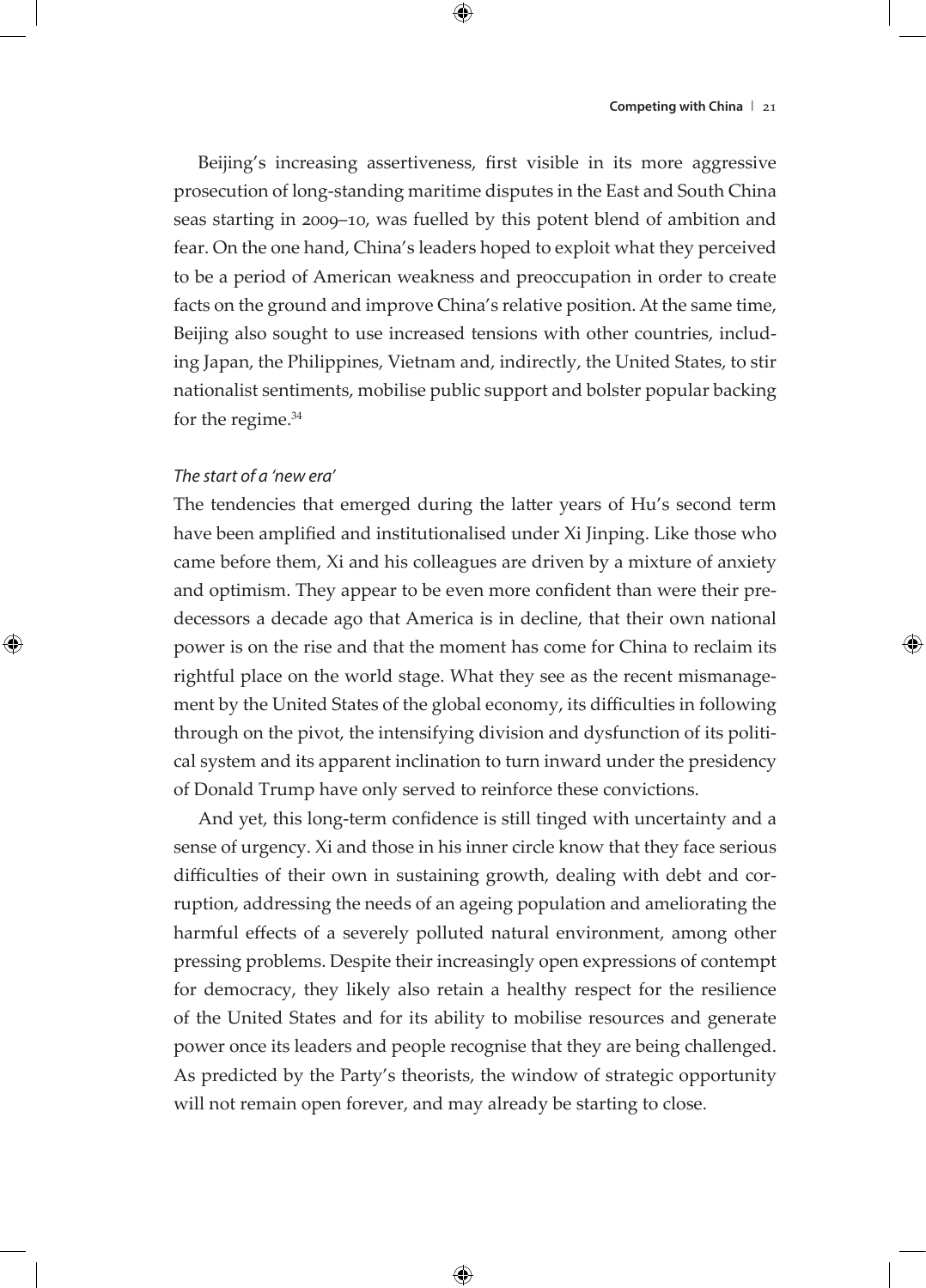Beijing's increasing assertiveness, first visible in its more aggressive prosecution of long-standing maritime disputes in the East and South China seas starting in 2009–10, was fuelled by this potent blend of ambition and fear. On the one hand, China's leaders hoped to exploit what they perceived to be a period of American weakness and preoccupation in order to create facts on the ground and improve China's relative position. At the same time, Beijing also sought to use increased tensions with other countries, including Japan, the Philippines, Vietnam and, indirectly, the United States, to stir nationalist sentiments, mobilise public support and bolster popular backing for the regime.<sup>34</sup>

## *The start of a 'new era'*

The tendencies that emerged during the latter years of Hu's second term have been amplified and institutionalised under Xi Jinping. Like those who came before them, Xi and his colleagues are driven by a mixture of anxiety and optimism. They appear to be even more confident than were their predecessors a decade ago that America is in decline, that their own national power is on the rise and that the moment has come for China to reclaim its rightful place on the world stage. What they see as the recent mismanagement by the United States of the global economy, its difficulties in following through on the pivot, the intensifying division and dysfunction of its political system and its apparent inclination to turn inward under the presidency of Donald Trump have only served to reinforce these convictions.

And yet, this long-term confidence is still tinged with uncertainty and a sense of urgency. Xi and those in his inner circle know that they face serious difficulties of their own in sustaining growth, dealing with debt and corruption, addressing the needs of an ageing population and ameliorating the harmful effects of a severely polluted natural environment, among other pressing problems. Despite their increasingly open expressions of contempt for democracy, they likely also retain a healthy respect for the resilience of the United States and for its ability to mobilise resources and generate power once its leaders and people recognise that they are being challenged. As predicted by the Party's theorists, the window of strategic opportunity will not remain open forever, and may already be starting to close.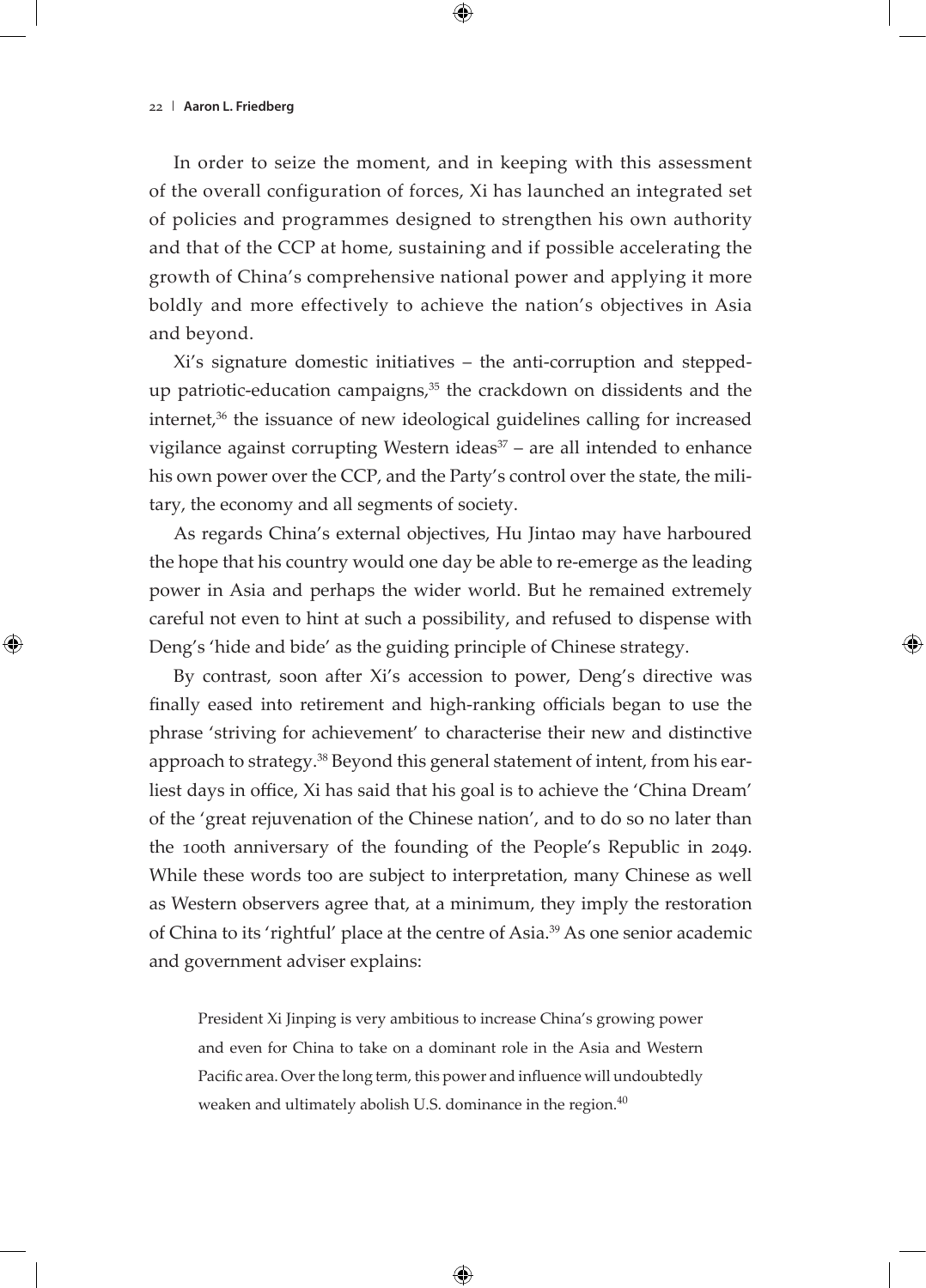In order to seize the moment, and in keeping with this assessment of the overall configuration of forces, Xi has launched an integrated set of policies and programmes designed to strengthen his own authority and that of the CCP at home, sustaining and if possible accelerating the growth of China's comprehensive national power and applying it more boldly and more effectively to achieve the nation's objectives in Asia and beyond.

Xi's signature domestic initiatives – the anti-corruption and steppedup patriotic-education campaigns,<sup>35</sup> the crackdown on dissidents and the internet,<sup>36</sup> the issuance of new ideological guidelines calling for increased vigilance against corrupting Western ideas $37$  – are all intended to enhance his own power over the CCP, and the Party's control over the state, the military, the economy and all segments of society.

As regards China's external objectives, Hu Jintao may have harboured the hope that his country would one day be able to re-emerge as the leading power in Asia and perhaps the wider world. But he remained extremely careful not even to hint at such a possibility, and refused to dispense with Deng's 'hide and bide' as the guiding principle of Chinese strategy.

By contrast, soon after Xi's accession to power, Deng's directive was finally eased into retirement and high-ranking officials began to use the phrase 'striving for achievement' to characterise their new and distinctive approach to strategy.38 Beyond this general statement of intent, from his earliest days in office, Xi has said that his goal is to achieve the 'China Dream' of the 'great rejuvenation of the Chinese nation', and to do so no later than the 100th anniversary of the founding of the People's Republic in 2049. While these words too are subject to interpretation, many Chinese as well as Western observers agree that, at a minimum, they imply the restoration of China to its 'rightful' place at the centre of Asia.39 As one senior academic and government adviser explains:

President Xi Jinping is very ambitious to increase China's growing power and even for China to take on a dominant role in the Asia and Western Pacific area. Over the long term, this power and influence will undoubtedly weaken and ultimately abolish U.S. dominance in the region. $40$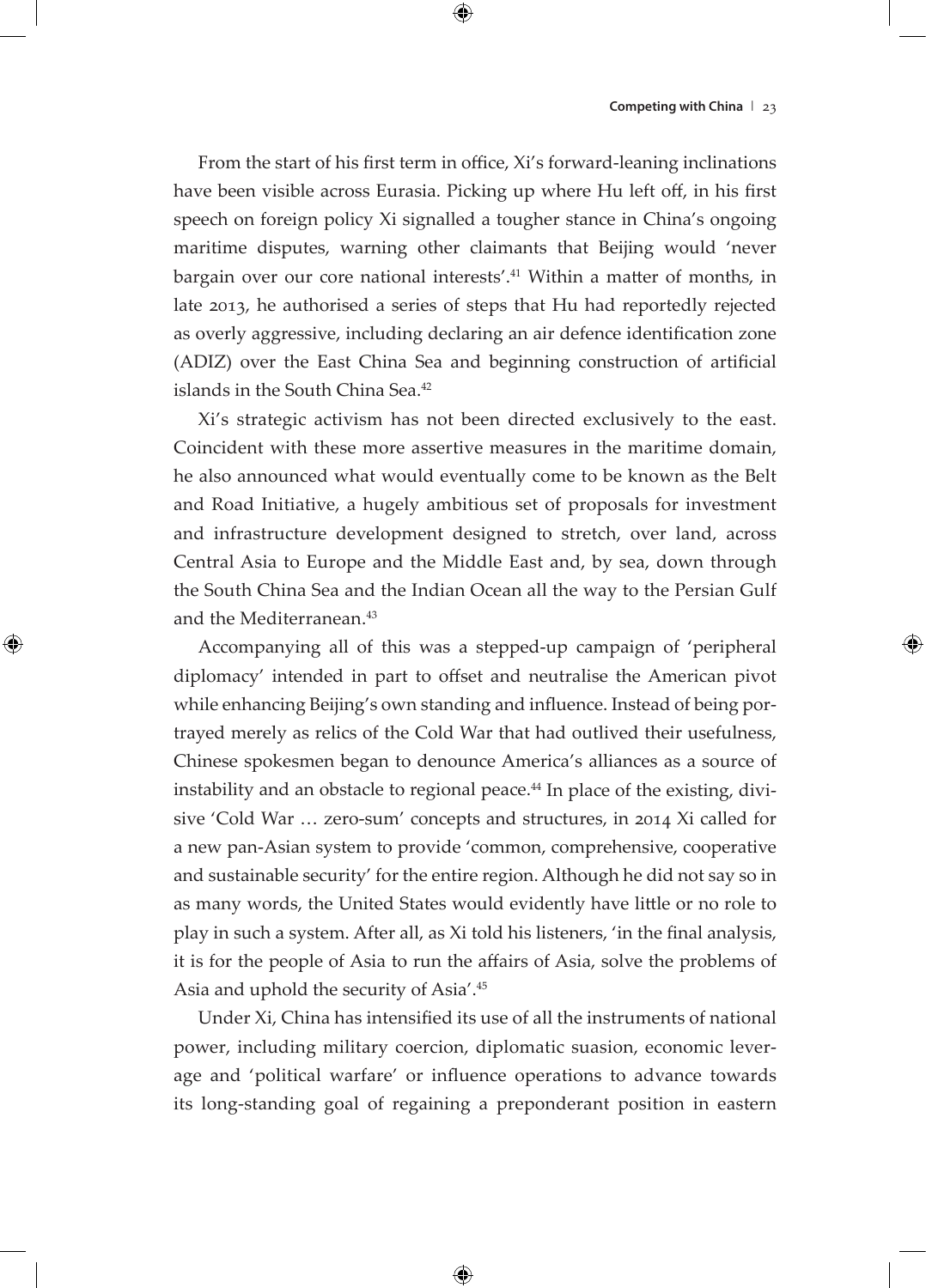From the start of his first term in office, Xi's forward-leaning inclinations have been visible across Eurasia. Picking up where Hu left off, in his first speech on foreign policy Xi signalled a tougher stance in China's ongoing maritime disputes, warning other claimants that Beijing would 'never bargain over our core national interests'.41 Within a matter of months, in late 2013, he authorised a series of steps that Hu had reportedly rejected as overly aggressive, including declaring an air defence identification zone (ADIZ) over the East China Sea and beginning construction of artificial islands in the South China Sea.<sup>42</sup>

Xi's strategic activism has not been directed exclusively to the east. Coincident with these more assertive measures in the maritime domain, he also announced what would eventually come to be known as the Belt and Road Initiative, a hugely ambitious set of proposals for investment and infrastructure development designed to stretch, over land, across Central Asia to Europe and the Middle East and, by sea, down through the South China Sea and the Indian Ocean all the way to the Persian Gulf and the Mediterranean.<sup>43</sup>

Accompanying all of this was a stepped-up campaign of 'peripheral diplomacy' intended in part to offset and neutralise the American pivot while enhancing Beijing's own standing and influence. Instead of being portrayed merely as relics of the Cold War that had outlived their usefulness, Chinese spokesmen began to denounce America's alliances as a source of instability and an obstacle to regional peace.44 In place of the existing, divisive 'Cold War … zero-sum' concepts and structures, in 2014 Xi called for a new pan-Asian system to provide 'common, comprehensive, cooperative and sustainable security' for the entire region. Although he did not say so in as many words, the United States would evidently have little or no role to play in such a system. After all, as Xi told his listeners, 'in the final analysis, it is for the people of Asia to run the affairs of Asia, solve the problems of Asia and uphold the security of Asia'.<sup>45</sup>

Under Xi, China has intensified its use of all the instruments of national power, including military coercion, diplomatic suasion, economic leverage and 'political warfare' or influence operations to advance towards its long-standing goal of regaining a preponderant position in eastern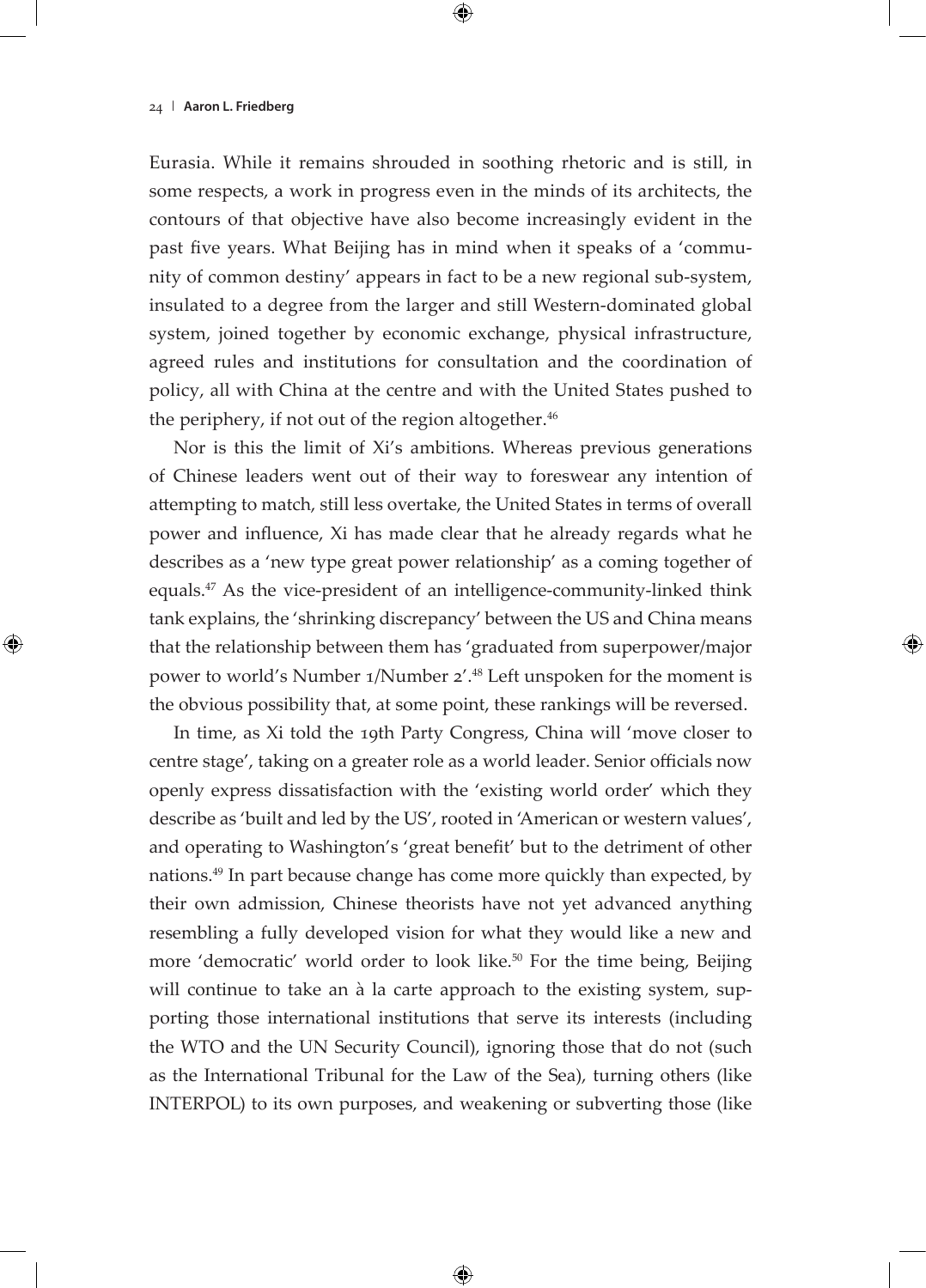Eurasia. While it remains shrouded in soothing rhetoric and is still, in some respects, a work in progress even in the minds of its architects, the contours of that objective have also become increasingly evident in the past five years. What Beijing has in mind when it speaks of a 'community of common destiny' appears in fact to be a new regional sub-system, insulated to a degree from the larger and still Western-dominated global system, joined together by economic exchange, physical infrastructure, agreed rules and institutions for consultation and the coordination of policy, all with China at the centre and with the United States pushed to the periphery, if not out of the region altogether. $46$ 

Nor is this the limit of Xi's ambitions. Whereas previous generations of Chinese leaders went out of their way to foreswear any intention of attempting to match, still less overtake, the United States in terms of overall power and influence, Xi has made clear that he already regards what he describes as a 'new type great power relationship' as a coming together of equals. $47$  As the vice-president of an intelligence-community-linked think tank explains, the 'shrinking discrepancy' between the US and China means that the relationship between them has 'graduated from superpower/major power to world's Number 1/Number 2'.<sup>48</sup> Left unspoken for the moment is the obvious possibility that, at some point, these rankings will be reversed.

In time, as Xi told the 19th Party Congress, China will 'move closer to centre stage', taking on a greater role as a world leader. Senior officials now openly express dissatisfaction with the 'existing world order' which they describe as 'built and led by the US', rooted in 'American or western values', and operating to Washington's 'great benefit' but to the detriment of other nations.49 In part because change has come more quickly than expected, by their own admission, Chinese theorists have not yet advanced anything resembling a fully developed vision for what they would like a new and more 'democratic' world order to look like.<sup>50</sup> For the time being, Beijing will continue to take an à la carte approach to the existing system, supporting those international institutions that serve its interests (including the WTO and the UN Security Council), ignoring those that do not (such as the International Tribunal for the Law of the Sea), turning others (like INTERPOL) to its own purposes, and weakening or subverting those (like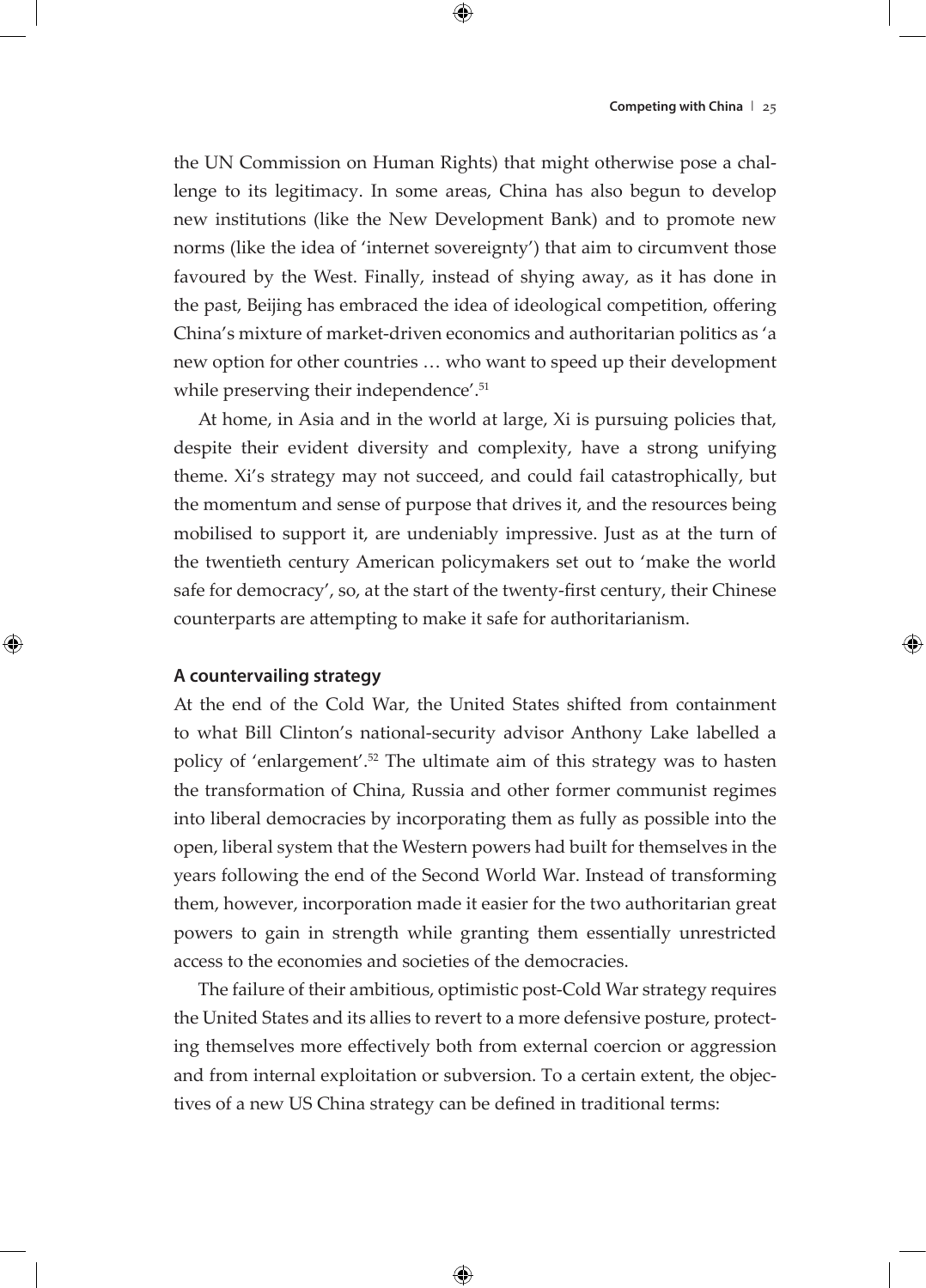the UN Commission on Human Rights) that might otherwise pose a challenge to its legitimacy. In some areas, China has also begun to develop new institutions (like the New Development Bank) and to promote new norms (like the idea of 'internet sovereignty') that aim to circumvent those favoured by the West. Finally, instead of shying away, as it has done in the past, Beijing has embraced the idea of ideological competition, offering China's mixture of market-driven economics and authoritarian politics as 'a new option for other countries … who want to speed up their development while preserving their independence'.<sup>51</sup>

At home, in Asia and in the world at large, Xi is pursuing policies that, despite their evident diversity and complexity, have a strong unifying theme. Xi's strategy may not succeed, and could fail catastrophically, but the momentum and sense of purpose that drives it, and the resources being mobilised to support it, are undeniably impressive. Just as at the turn of the twentieth century American policymakers set out to 'make the world safe for democracy', so, at the start of the twenty-first century, their Chinese counterparts are attempting to make it safe for authoritarianism.

#### **A countervailing strategy**

At the end of the Cold War, the United States shifted from containment to what Bill Clinton's national-security advisor Anthony Lake labelled a policy of 'enlargement'.52 The ultimate aim of this strategy was to hasten the transformation of China, Russia and other former communist regimes into liberal democracies by incorporating them as fully as possible into the open, liberal system that the Western powers had built for themselves in the years following the end of the Second World War. Instead of transforming them, however, incorporation made it easier for the two authoritarian great powers to gain in strength while granting them essentially unrestricted access to the economies and societies of the democracies.

The failure of their ambitious, optimistic post-Cold War strategy requires the United States and its allies to revert to a more defensive posture, protecting themselves more effectively both from external coercion or aggression and from internal exploitation or subversion. To a certain extent, the objectives of a new US China strategy can be defined in traditional terms: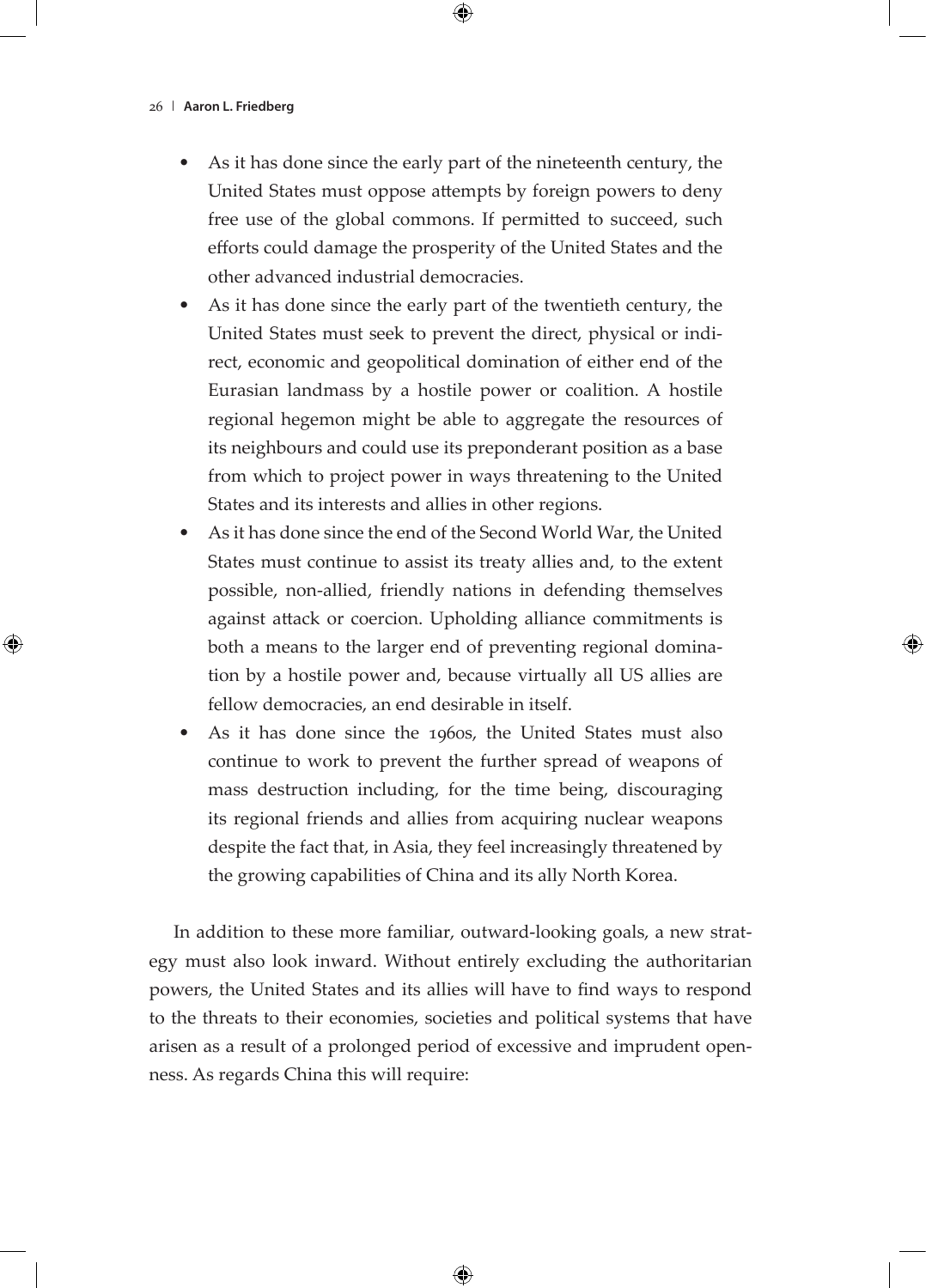- As it has done since the early part of the nineteenth century, the United States must oppose attempts by foreign powers to deny free use of the global commons. If permitted to succeed, such efforts could damage the prosperity of the United States and the other advanced industrial democracies.
- As it has done since the early part of the twentieth century, the United States must seek to prevent the direct, physical or indirect, economic and geopolitical domination of either end of the Eurasian landmass by a hostile power or coalition. A hostile regional hegemon might be able to aggregate the resources of its neighbours and could use its preponderant position as a base from which to project power in ways threatening to the United States and its interests and allies in other regions.
- As it has done since the end of the Second World War, the United States must continue to assist its treaty allies and, to the extent possible, non-allied, friendly nations in defending themselves against attack or coercion. Upholding alliance commitments is both a means to the larger end of preventing regional domination by a hostile power and, because virtually all US allies are fellow democracies, an end desirable in itself.
- As it has done since the 1960s, the United States must also continue to work to prevent the further spread of weapons of mass destruction including, for the time being, discouraging its regional friends and allies from acquiring nuclear weapons despite the fact that, in Asia, they feel increasingly threatened by the growing capabilities of China and its ally North Korea.

In addition to these more familiar, outward-looking goals, a new strategy must also look inward. Without entirely excluding the authoritarian powers, the United States and its allies will have to find ways to respond to the threats to their economies, societies and political systems that have arisen as a result of a prolonged period of excessive and imprudent openness. As regards China this will require: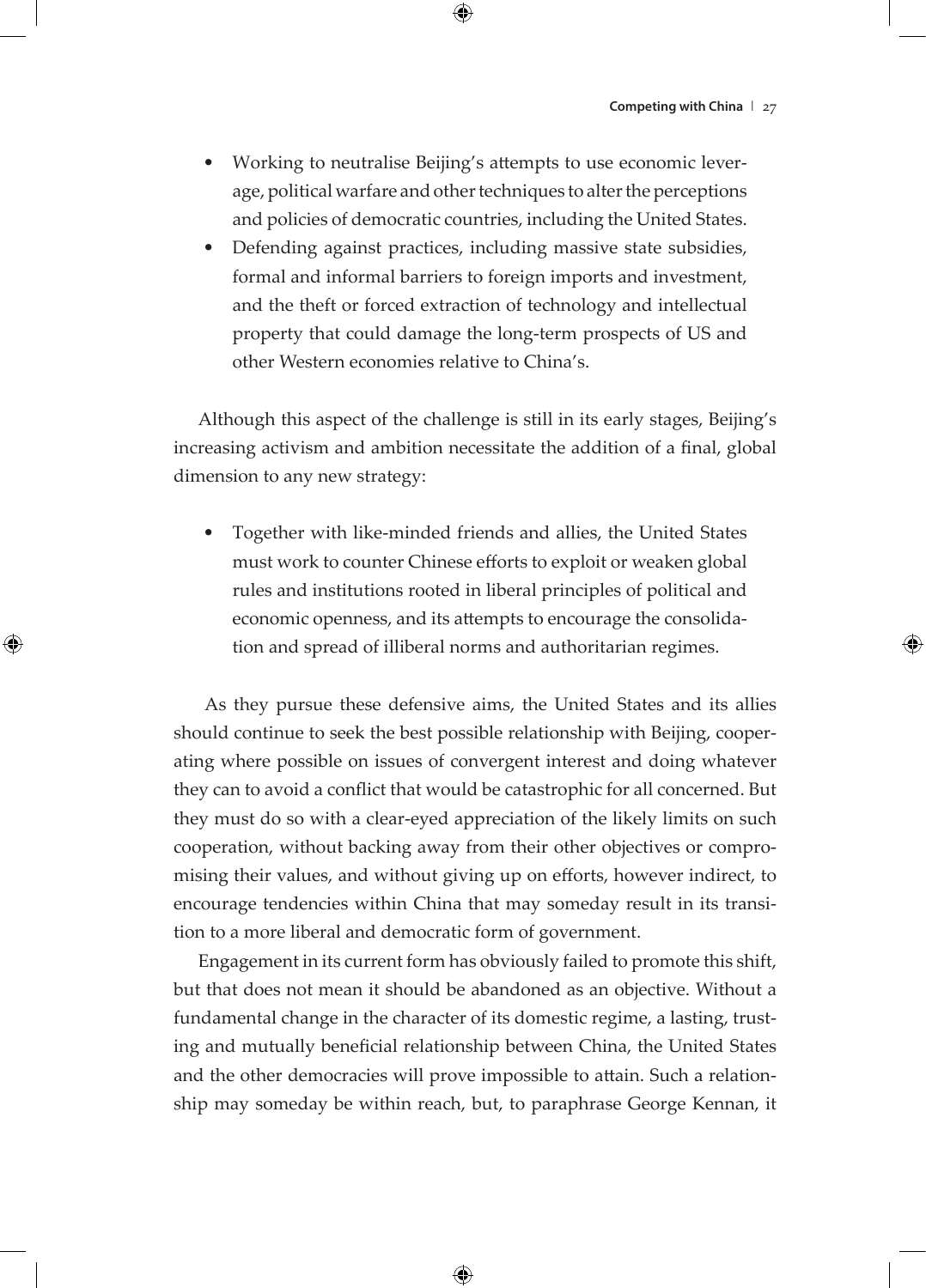- Working to neutralise Beijing's attempts to use economic leverage, political warfare and other techniques to alter the perceptions and policies of democratic countries, including the United States.
- Defending against practices, including massive state subsidies, formal and informal barriers to foreign imports and investment, and the theft or forced extraction of technology and intellectual property that could damage the long-term prospects of US and other Western economies relative to China's.

Although this aspect of the challenge is still in its early stages, Beijing's increasing activism and ambition necessitate the addition of a final, global dimension to any new strategy:

• Together with like-minded friends and allies, the United States must work to counter Chinese efforts to exploit or weaken global rules and institutions rooted in liberal principles of political and economic openness, and its attempts to encourage the consolidation and spread of illiberal norms and authoritarian regimes.

 As they pursue these defensive aims, the United States and its allies should continue to seek the best possible relationship with Beijing, cooperating where possible on issues of convergent interest and doing whatever they can to avoid a conflict that would be catastrophic for all concerned. But they must do so with a clear-eyed appreciation of the likely limits on such cooperation, without backing away from their other objectives or compromising their values, and without giving up on efforts, however indirect, to encourage tendencies within China that may someday result in its transition to a more liberal and democratic form of government.

Engagement in its current form has obviously failed to promote this shift, but that does not mean it should be abandoned as an objective. Without a fundamental change in the character of its domestic regime, a lasting, trusting and mutually beneficial relationship between China, the United States and the other democracies will prove impossible to attain. Such a relationship may someday be within reach, but, to paraphrase George Kennan, it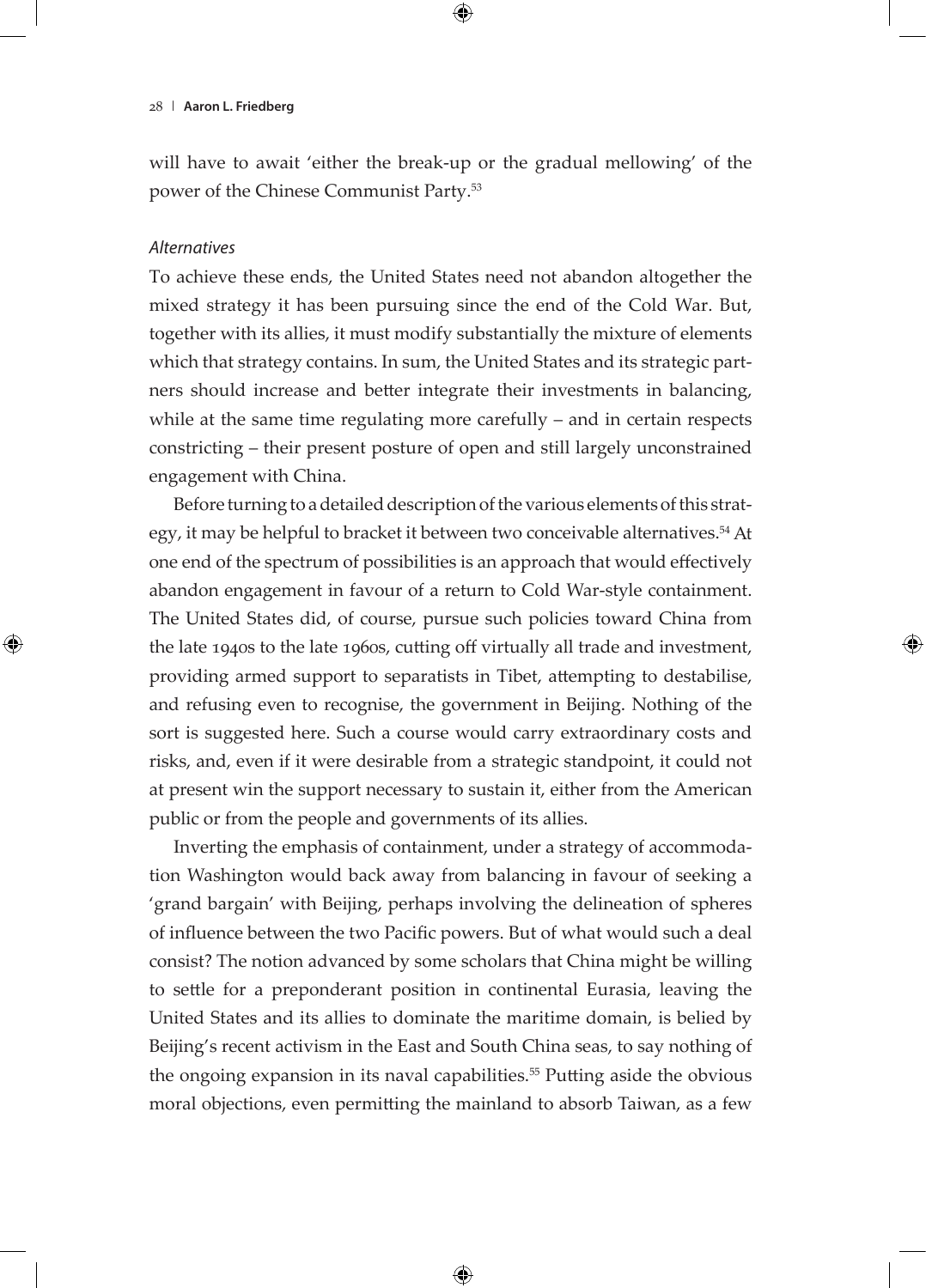will have to await 'either the break-up or the gradual mellowing' of the power of the Chinese Communist Party.53

## *Alternatives*

To achieve these ends, the United States need not abandon altogether the mixed strategy it has been pursuing since the end of the Cold War. But, together with its allies, it must modify substantially the mixture of elements which that strategy contains. In sum, the United States and its strategic partners should increase and better integrate their investments in balancing, while at the same time regulating more carefully – and in certain respects constricting – their present posture of open and still largely unconstrained engagement with China.

Before turning to a detailed description of the various elements of this strategy, it may be helpful to bracket it between two conceivable alternatives.54 At one end of the spectrum of possibilities is an approach that would effectively abandon engagement in favour of a return to Cold War-style containment. The United States did, of course, pursue such policies toward China from the late 1940s to the late 1960s, cutting off virtually all trade and investment, providing armed support to separatists in Tibet, attempting to destabilise, and refusing even to recognise, the government in Beijing. Nothing of the sort is suggested here. Such a course would carry extraordinary costs and risks, and, even if it were desirable from a strategic standpoint, it could not at present win the support necessary to sustain it, either from the American public or from the people and governments of its allies.

Inverting the emphasis of containment, under a strategy of accommodation Washington would back away from balancing in favour of seeking a 'grand bargain' with Beijing, perhaps involving the delineation of spheres of influence between the two Pacific powers. But of what would such a deal consist? The notion advanced by some scholars that China might be willing to settle for a preponderant position in continental Eurasia, leaving the United States and its allies to dominate the maritime domain, is belied by Beijing's recent activism in the East and South China seas, to say nothing of the ongoing expansion in its naval capabilities.<sup>55</sup> Putting aside the obvious moral objections, even permitting the mainland to absorb Taiwan, as a few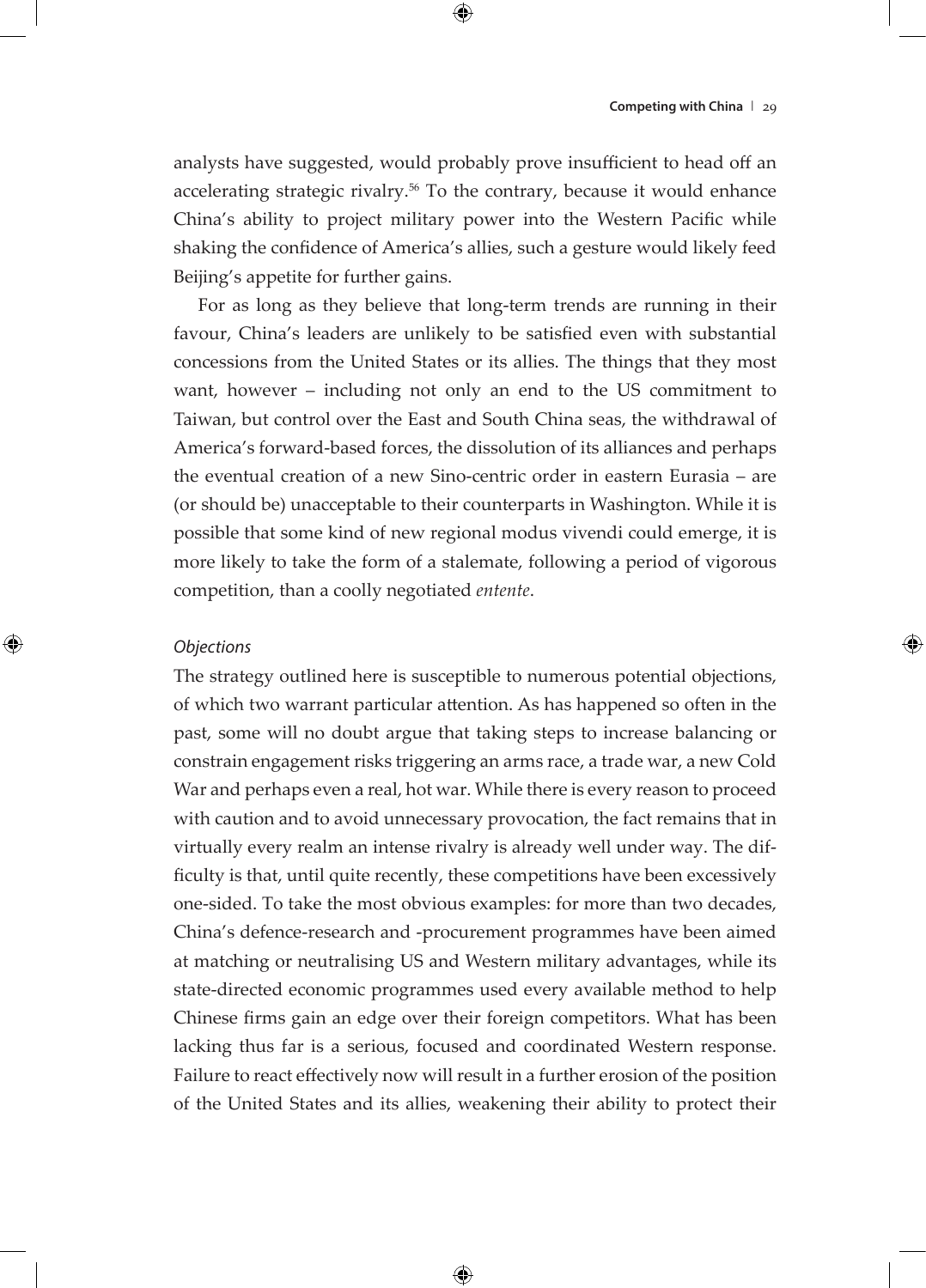analysts have suggested, would probably prove insufficient to head off an accelerating strategic rivalry.<sup>56</sup> To the contrary, because it would enhance China's ability to project military power into the Western Pacific while shaking the confidence of America's allies, such a gesture would likely feed Beijing's appetite for further gains.

For as long as they believe that long-term trends are running in their favour, China's leaders are unlikely to be satisfied even with substantial concessions from the United States or its allies. The things that they most want, however – including not only an end to the US commitment to Taiwan, but control over the East and South China seas, the withdrawal of America's forward-based forces, the dissolution of its alliances and perhaps the eventual creation of a new Sino-centric order in eastern Eurasia – are (or should be) unacceptable to their counterparts in Washington. While it is possible that some kind of new regional modus vivendi could emerge, it is more likely to take the form of a stalemate, following a period of vigorous competition, than a coolly negotiated *entente*.

#### *Objections*

The strategy outlined here is susceptible to numerous potential objections, of which two warrant particular attention. As has happened so often in the past, some will no doubt argue that taking steps to increase balancing or constrain engagement risks triggering an arms race, a trade war, a new Cold War and perhaps even a real, hot war. While there is every reason to proceed with caution and to avoid unnecessary provocation, the fact remains that in virtually every realm an intense rivalry is already well under way. The difficulty is that, until quite recently, these competitions have been excessively one-sided. To take the most obvious examples: for more than two decades, China's defence-research and -procurement programmes have been aimed at matching or neutralising US and Western military advantages, while its state-directed economic programmes used every available method to help Chinese firms gain an edge over their foreign competitors. What has been lacking thus far is a serious, focused and coordinated Western response. Failure to react effectively now will result in a further erosion of the position of the United States and its allies, weakening their ability to protect their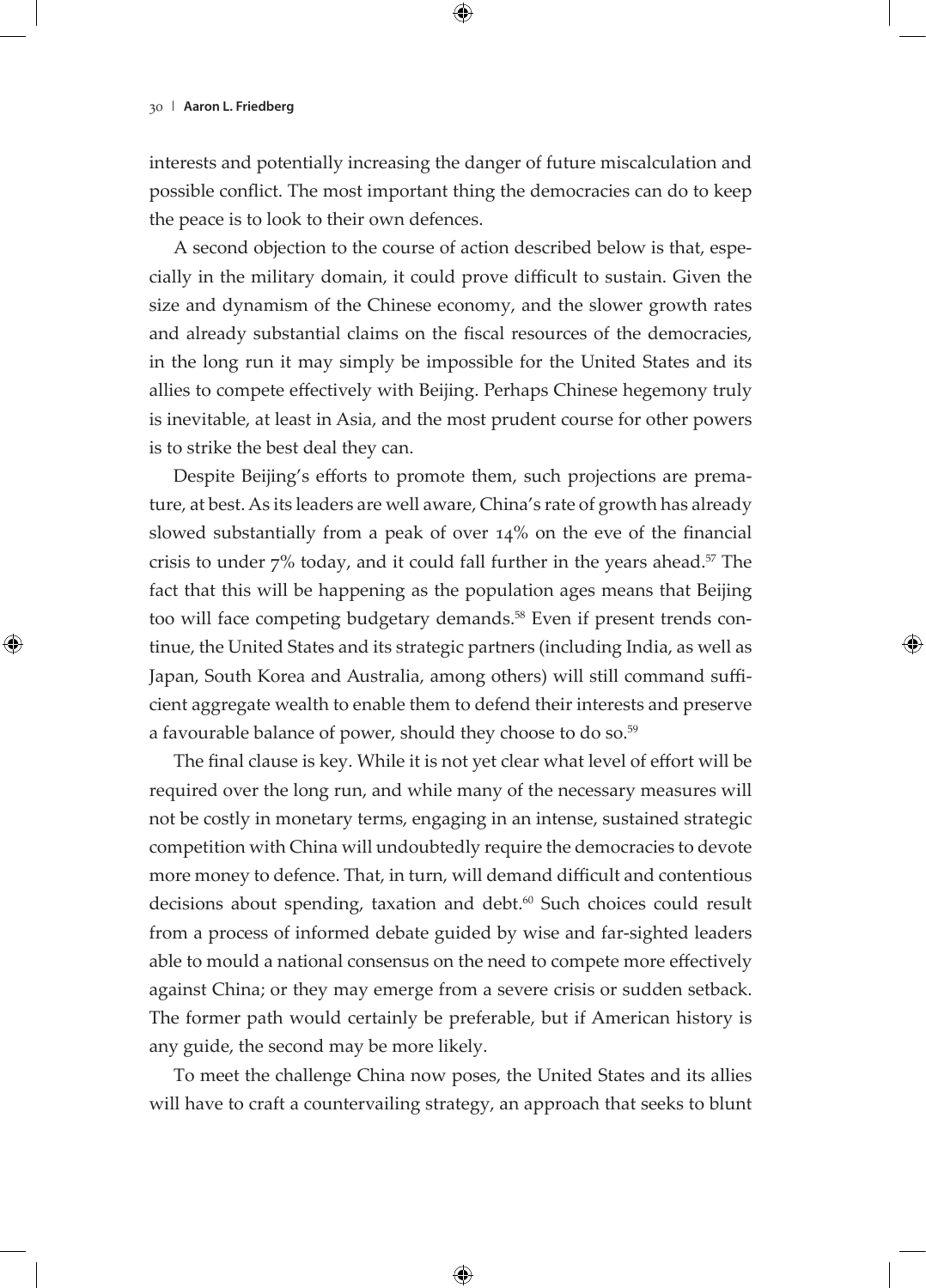interests and potentially increasing the danger of future miscalculation and possible conflict. The most important thing the democracies can do to keep the peace is to look to their own defences.

A second objection to the course of action described below is that, especially in the military domain, it could prove difficult to sustain. Given the size and dynamism of the Chinese economy, and the slower growth rates and already substantial claims on the fiscal resources of the democracies, in the long run it may simply be impossible for the United States and its allies to compete effectively with Beijing. Perhaps Chinese hegemony truly is inevitable, at least in Asia, and the most prudent course for other powers is to strike the best deal they can.

Despite Beijing's efforts to promote them, such projections are premature, at best. As its leaders are well aware, China's rate of growth has already slowed substantially from a peak of over 14% on the eve of the financial crisis to under  $7\%$  today, and it could fall further in the years ahead.<sup>57</sup> The fact that this will be happening as the population ages means that Beijing too will face competing budgetary demands.<sup>58</sup> Even if present trends continue, the United States and its strategic partners (including India, as well as Japan, South Korea and Australia, among others) will still command sufficient aggregate wealth to enable them to defend their interests and preserve a favourable balance of power, should they choose to do so.<sup>59</sup>

The final clause is key. While it is not yet clear what level of effort will be required over the long run, and while many of the necessary measures will not be costly in monetary terms, engaging in an intense, sustained strategic competition with China will undoubtedly require the democracies to devote more money to defence. That, in turn, will demand difficult and contentious decisions about spending, taxation and debt.<sup>60</sup> Such choices could result from a process of informed debate guided by wise and far-sighted leaders able to mould a national consensus on the need to compete more effectively against China; or they may emerge from a severe crisis or sudden setback. The former path would certainly be preferable, but if American history is any guide, the second may be more likely.

To meet the challenge China now poses, the United States and its allies will have to craft a countervailing strategy, an approach that seeks to blunt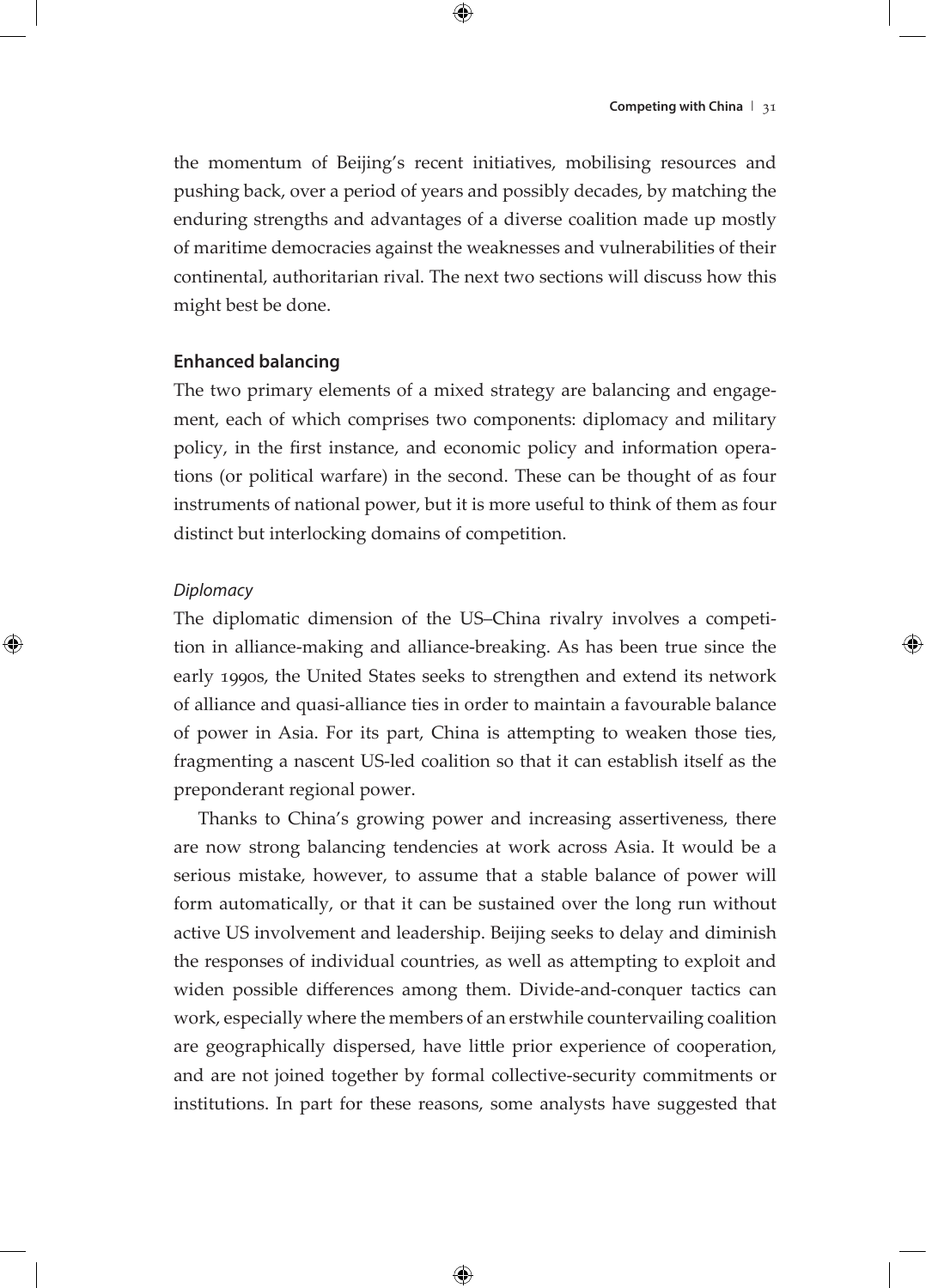the momentum of Beijing's recent initiatives, mobilising resources and pushing back, over a period of years and possibly decades, by matching the enduring strengths and advantages of a diverse coalition made up mostly of maritime democracies against the weaknesses and vulnerabilities of their continental, authoritarian rival. The next two sections will discuss how this might best be done.

#### **Enhanced balancing**

The two primary elements of a mixed strategy are balancing and engagement, each of which comprises two components: diplomacy and military policy, in the first instance, and economic policy and information operations (or political warfare) in the second. These can be thought of as four instruments of national power, but it is more useful to think of them as four distinct but interlocking domains of competition.

## *Diplomacy*

The diplomatic dimension of the US–China rivalry involves a competition in alliance-making and alliance-breaking. As has been true since the early 1990s, the United States seeks to strengthen and extend its network of alliance and quasi-alliance ties in order to maintain a favourable balance of power in Asia. For its part, China is attempting to weaken those ties, fragmenting a nascent US-led coalition so that it can establish itself as the preponderant regional power.

Thanks to China's growing power and increasing assertiveness, there are now strong balancing tendencies at work across Asia. It would be a serious mistake, however, to assume that a stable balance of power will form automatically, or that it can be sustained over the long run without active US involvement and leadership. Beijing seeks to delay and diminish the responses of individual countries, as well as attempting to exploit and widen possible differences among them. Divide-and-conquer tactics can work, especially where the members of an erstwhile countervailing coalition are geographically dispersed, have little prior experience of cooperation, and are not joined together by formal collective-security commitments or institutions. In part for these reasons, some analysts have suggested that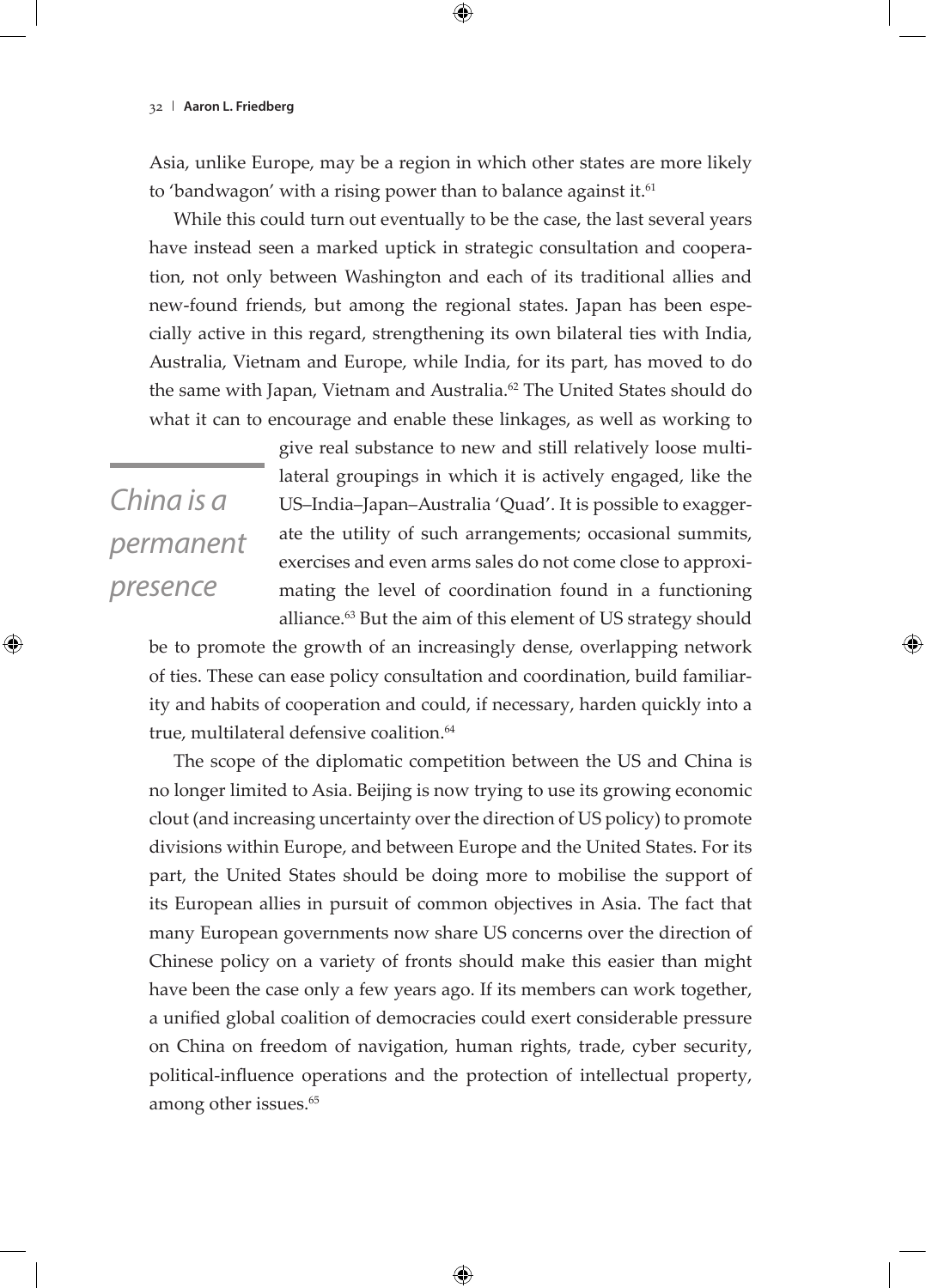Asia, unlike Europe, may be a region in which other states are more likely to 'bandwagon' with a rising power than to balance against it. $61$ 

While this could turn out eventually to be the case, the last several years have instead seen a marked uptick in strategic consultation and cooperation, not only between Washington and each of its traditional allies and new-found friends, but among the regional states. Japan has been especially active in this regard, strengthening its own bilateral ties with India, Australia, Vietnam and Europe, while India, for its part, has moved to do the same with Japan, Vietnam and Australia.<sup>62</sup> The United States should do what it can to encourage and enable these linkages, as well as working to

*China is a permanent presence*

give real substance to new and still relatively loose multilateral groupings in which it is actively engaged, like the US–India–Japan–Australia 'Quad'. It is possible to exaggerate the utility of such arrangements; occasional summits, exercises and even arms sales do not come close to approximating the level of coordination found in a functioning alliance.<sup>63</sup> But the aim of this element of US strategy should

be to promote the growth of an increasingly dense, overlapping network of ties. These can ease policy consultation and coordination, build familiarity and habits of cooperation and could, if necessary, harden quickly into a true, multilateral defensive coalition.<sup>64</sup>

The scope of the diplomatic competition between the US and China is no longer limited to Asia. Beijing is now trying to use its growing economic clout (and increasing uncertainty over the direction of US policy) to promote divisions within Europe, and between Europe and the United States. For its part, the United States should be doing more to mobilise the support of its European allies in pursuit of common objectives in Asia. The fact that many European governments now share US concerns over the direction of Chinese policy on a variety of fronts should make this easier than might have been the case only a few years ago. If its members can work together, a unified global coalition of democracies could exert considerable pressure on China on freedom of navigation, human rights, trade, cyber security, political-influence operations and the protection of intellectual property, among other issues.<sup>65</sup>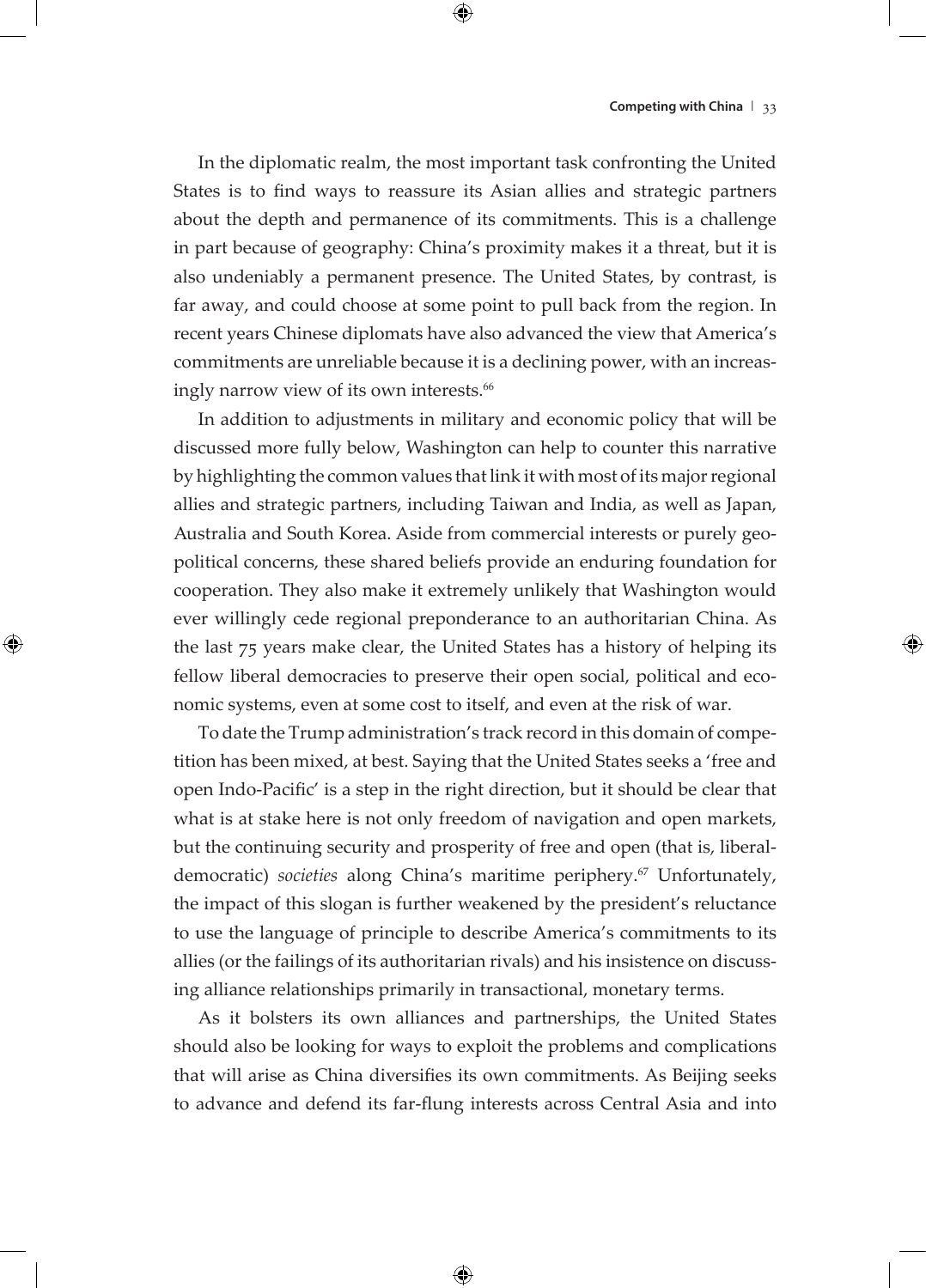In the diplomatic realm, the most important task confronting the United States is to find ways to reassure its Asian allies and strategic partners about the depth and permanence of its commitments. This is a challenge in part because of geography: China's proximity makes it a threat, but it is also undeniably a permanent presence. The United States, by contrast, is far away, and could choose at some point to pull back from the region. In recent years Chinese diplomats have also advanced the view that America's commitments are unreliable because it is a declining power, with an increasingly narrow view of its own interests.<sup>66</sup>

In addition to adjustments in military and economic policy that will be discussed more fully below, Washington can help to counter this narrative by highlighting the common values that link it with most of its major regional allies and strategic partners, including Taiwan and India, as well as Japan, Australia and South Korea. Aside from commercial interests or purely geopolitical concerns, these shared beliefs provide an enduring foundation for cooperation. They also make it extremely unlikely that Washington would ever willingly cede regional preponderance to an authoritarian China. As the last 75 years make clear, the United States has a history of helping its fellow liberal democracies to preserve their open social, political and economic systems, even at some cost to itself, and even at the risk of war.

To date the Trump administration's track record in this domain of competition has been mixed, at best. Saying that the United States seeks a 'free and open Indo-Pacific' is a step in the right direction, but it should be clear that what is at stake here is not only freedom of navigation and open markets, but the continuing security and prosperity of free and open (that is, liberaldemocratic) *societies* along China's maritime periphery.<sup>67</sup> Unfortunately, the impact of this slogan is further weakened by the president's reluctance to use the language of principle to describe America's commitments to its allies (or the failings of its authoritarian rivals) and his insistence on discussing alliance relationships primarily in transactional, monetary terms.

As it bolsters its own alliances and partnerships, the United States should also be looking for ways to exploit the problems and complications that will arise as China diversifies its own commitments. As Beijing seeks to advance and defend its far-flung interests across Central Asia and into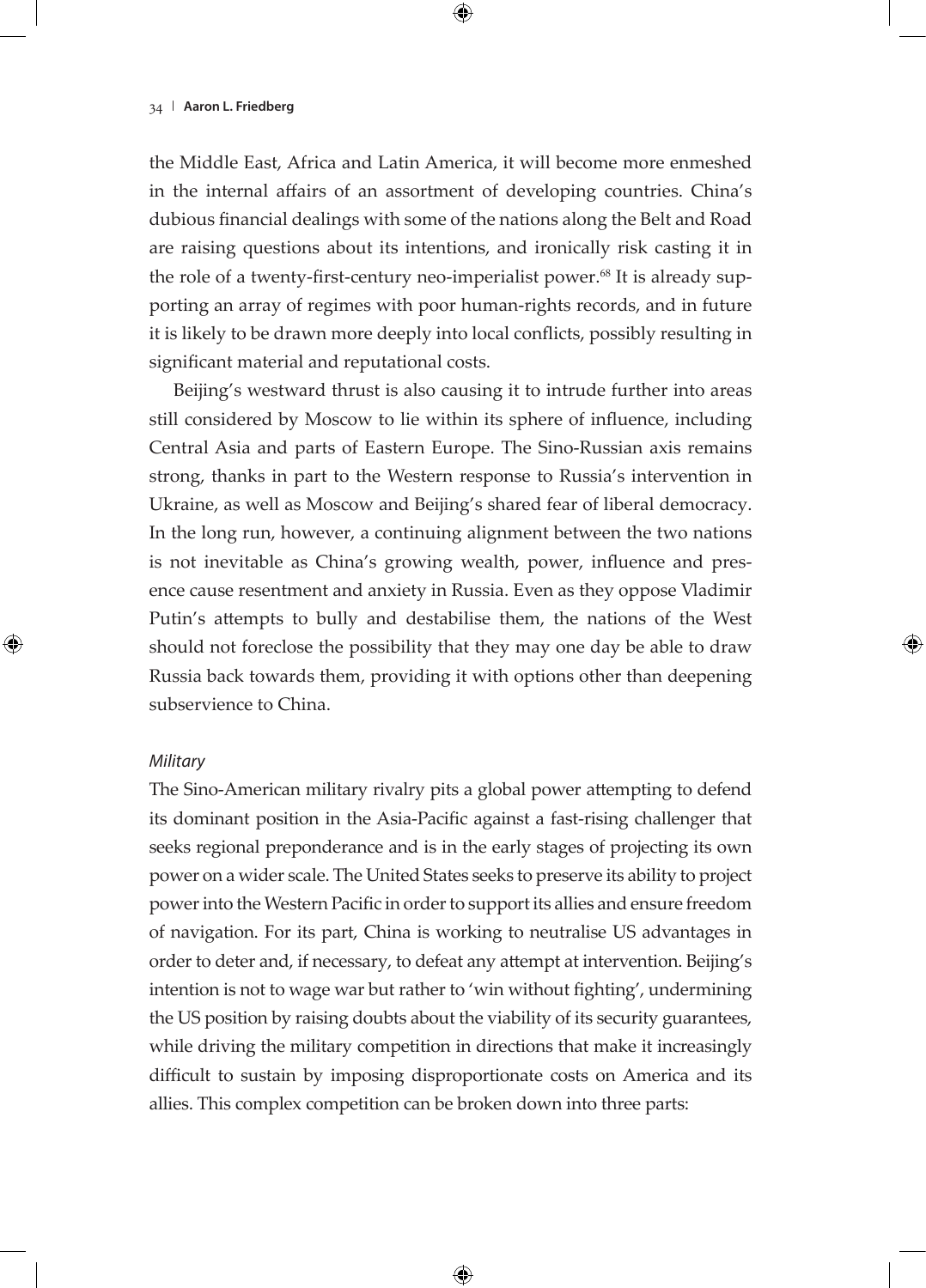the Middle East, Africa and Latin America, it will become more enmeshed in the internal affairs of an assortment of developing countries. China's dubious financial dealings with some of the nations along the Belt and Road are raising questions about its intentions, and ironically risk casting it in the role of a twenty-first-century neo-imperialist power.<sup>68</sup> It is already supporting an array of regimes with poor human-rights records, and in future it is likely to be drawn more deeply into local conflicts, possibly resulting in significant material and reputational costs.

Beijing's westward thrust is also causing it to intrude further into areas still considered by Moscow to lie within its sphere of influence, including Central Asia and parts of Eastern Europe. The Sino-Russian axis remains strong, thanks in part to the Western response to Russia's intervention in Ukraine, as well as Moscow and Beijing's shared fear of liberal democracy. In the long run, however, a continuing alignment between the two nations is not inevitable as China's growing wealth, power, influence and presence cause resentment and anxiety in Russia. Even as they oppose Vladimir Putin's attempts to bully and destabilise them, the nations of the West should not foreclose the possibility that they may one day be able to draw Russia back towards them, providing it with options other than deepening subservience to China.

## *Military*

The Sino-American military rivalry pits a global power attempting to defend its dominant position in the Asia-Pacific against a fast-rising challenger that seeks regional preponderance and is in the early stages of projecting its own power on a wider scale. The United States seeks to preserve its ability to project power into the Western Pacific in order to support its allies and ensure freedom of navigation. For its part, China is working to neutralise US advantages in order to deter and, if necessary, to defeat any attempt at intervention. Beijing's intention is not to wage war but rather to 'win without fighting', undermining the US position by raising doubts about the viability of its security guarantees, while driving the military competition in directions that make it increasingly difficult to sustain by imposing disproportionate costs on America and its allies. This complex competition can be broken down into three parts: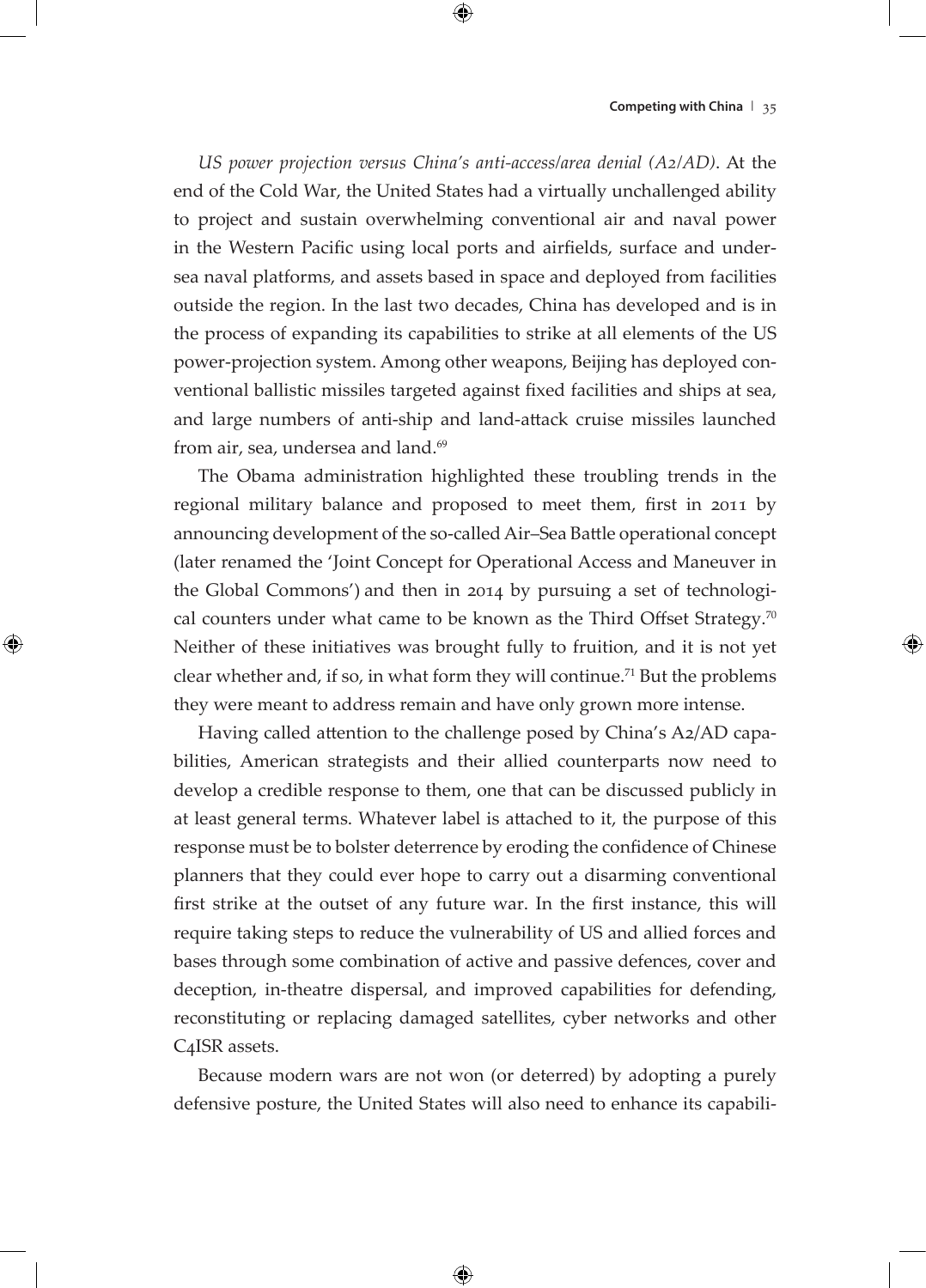*US power projection versus China's anti-access/area denial (A2/AD)*. At the end of the Cold War, the United States had a virtually unchallenged ability to project and sustain overwhelming conventional air and naval power in the Western Pacific using local ports and airfields, surface and undersea naval platforms, and assets based in space and deployed from facilities outside the region. In the last two decades, China has developed and is in the process of expanding its capabilities to strike at all elements of the US power-projection system. Among other weapons, Beijing has deployed conventional ballistic missiles targeted against fixed facilities and ships at sea, and large numbers of anti-ship and land-attack cruise missiles launched from air, sea, undersea and land.<sup>69</sup>

The Obama administration highlighted these troubling trends in the regional military balance and proposed to meet them, first in 2011 by announcing development of the so-called Air–Sea Battle operational concept (later renamed the 'Joint Concept for Operational Access and Maneuver in the Global Commons') and then in 2014 by pursuing a set of technological counters under what came to be known as the Third Offset Strategy.<sup>70</sup> Neither of these initiatives was brought fully to fruition, and it is not yet clear whether and, if so, in what form they will continue.<sup>71</sup> But the problems they were meant to address remain and have only grown more intense.

Having called attention to the challenge posed by China's A2/AD capabilities, American strategists and their allied counterparts now need to develop a credible response to them, one that can be discussed publicly in at least general terms. Whatever label is attached to it, the purpose of this response must be to bolster deterrence by eroding the confidence of Chinese planners that they could ever hope to carry out a disarming conventional first strike at the outset of any future war. In the first instance, this will require taking steps to reduce the vulnerability of US and allied forces and bases through some combination of active and passive defences, cover and deception, in-theatre dispersal, and improved capabilities for defending, reconstituting or replacing damaged satellites, cyber networks and other C4ISR assets.

Because modern wars are not won (or deterred) by adopting a purely defensive posture, the United States will also need to enhance its capabili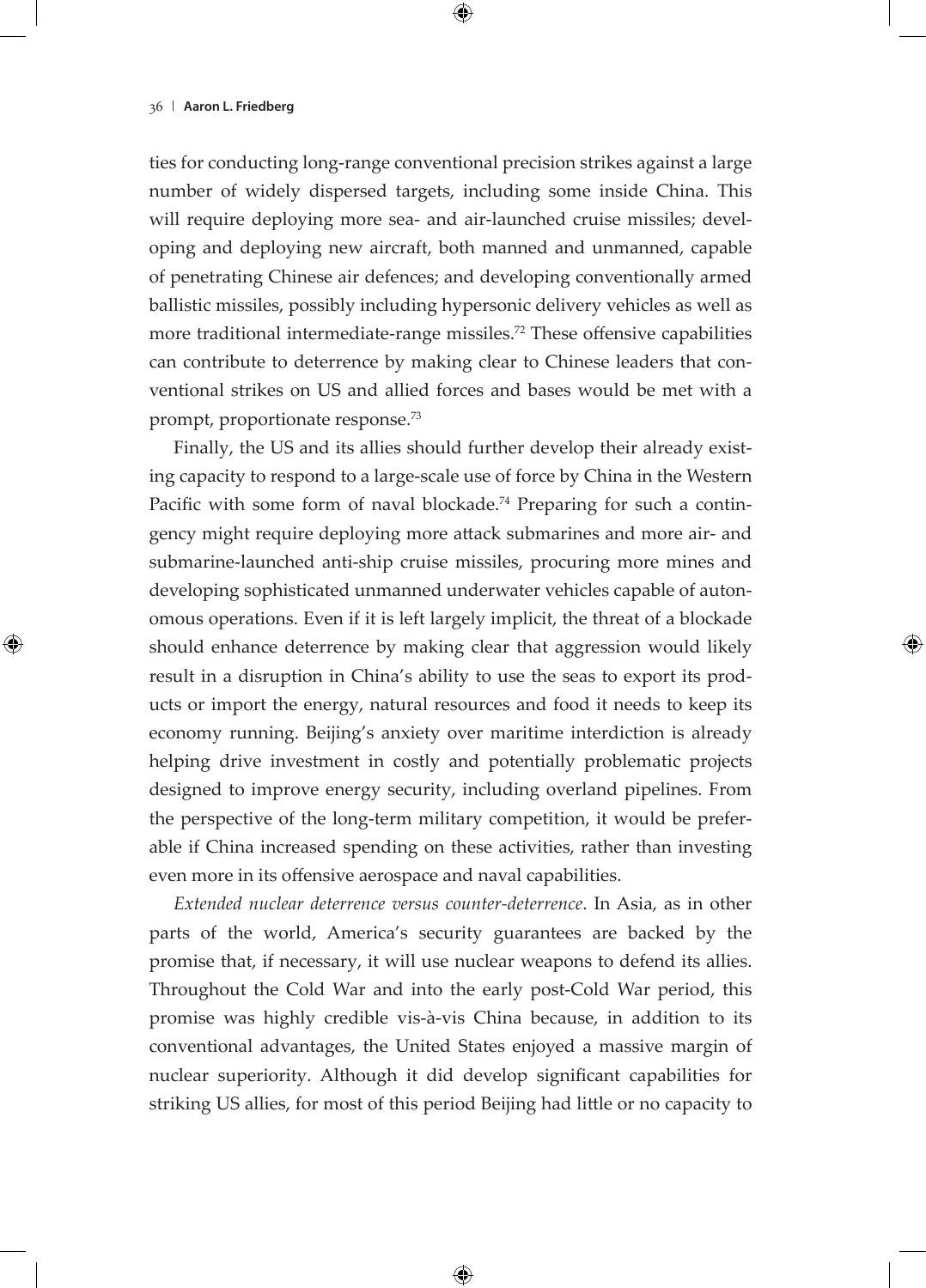ties for conducting long-range conventional precision strikes against a large number of widely dispersed targets, including some inside China. This will require deploying more sea- and air-launched cruise missiles; developing and deploying new aircraft, both manned and unmanned, capable of penetrating Chinese air defences; and developing conventionally armed ballistic missiles, possibly including hypersonic delivery vehicles as well as more traditional intermediate-range missiles.72 These offensive capabilities can contribute to deterrence by making clear to Chinese leaders that conventional strikes on US and allied forces and bases would be met with a prompt, proportionate response.<sup>73</sup>

Finally, the US and its allies should further develop their already existing capacity to respond to a large-scale use of force by China in the Western Pacific with some form of naval blockade.<sup>74</sup> Preparing for such a contingency might require deploying more attack submarines and more air- and submarine-launched anti-ship cruise missiles, procuring more mines and developing sophisticated unmanned underwater vehicles capable of autonomous operations. Even if it is left largely implicit, the threat of a blockade should enhance deterrence by making clear that aggression would likely result in a disruption in China's ability to use the seas to export its products or import the energy, natural resources and food it needs to keep its economy running. Beijing's anxiety over maritime interdiction is already helping drive investment in costly and potentially problematic projects designed to improve energy security, including overland pipelines. From the perspective of the long-term military competition, it would be preferable if China increased spending on these activities, rather than investing even more in its offensive aerospace and naval capabilities.

*Extended nuclear deterrence versus counter-deterrence*. In Asia, as in other parts of the world, America's security guarantees are backed by the promise that, if necessary, it will use nuclear weapons to defend its allies. Throughout the Cold War and into the early post-Cold War period, this promise was highly credible vis-à-vis China because, in addition to its conventional advantages, the United States enjoyed a massive margin of nuclear superiority. Although it did develop significant capabilities for striking US allies, for most of this period Beijing had little or no capacity to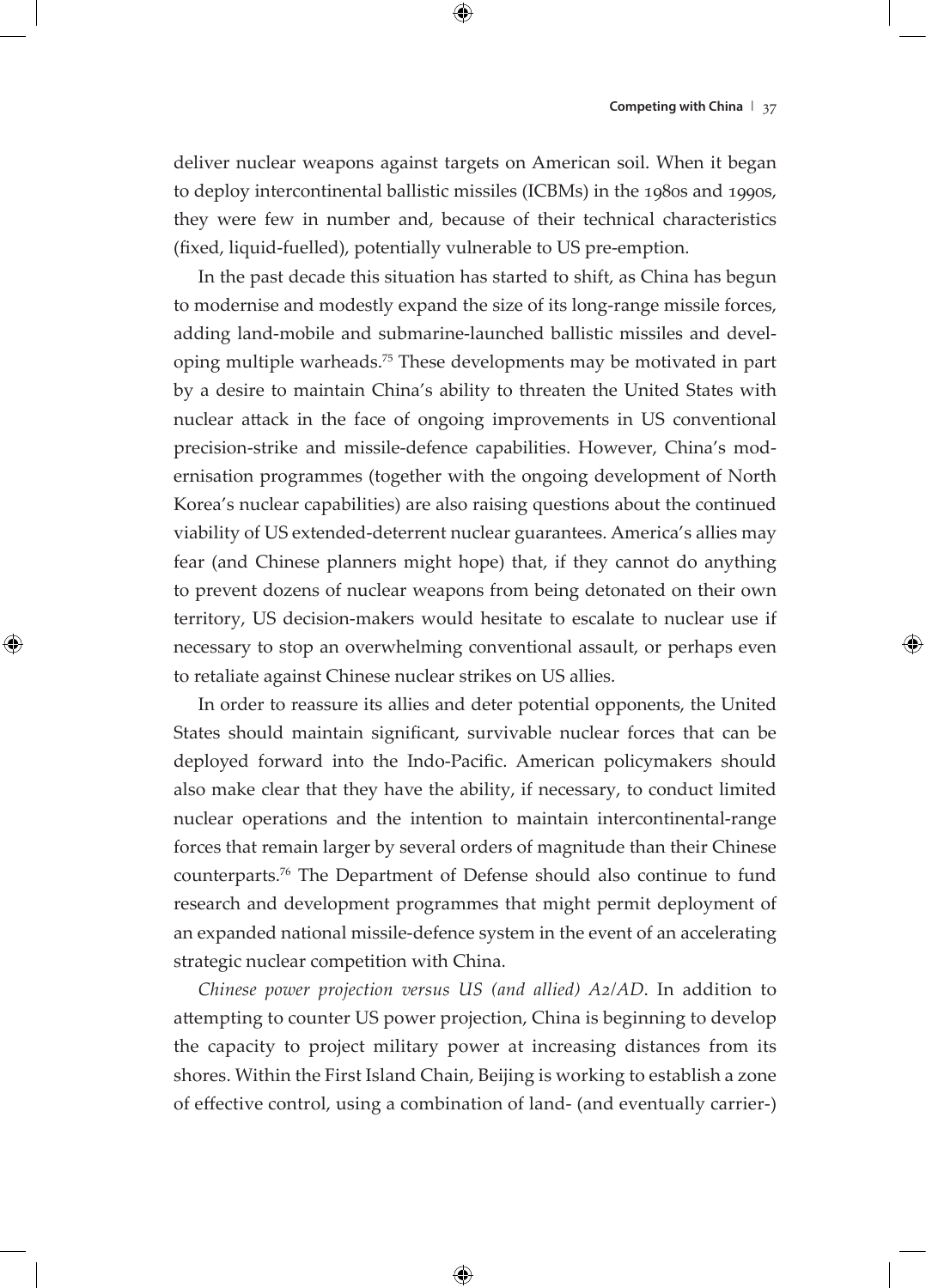deliver nuclear weapons against targets on American soil. When it began to deploy intercontinental ballistic missiles (ICBMs) in the 1980s and 1990s, they were few in number and, because of their technical characteristics (fixed, liquid-fuelled), potentially vulnerable to US pre-emption.

In the past decade this situation has started to shift, as China has begun to modernise and modestly expand the size of its long-range missile forces, adding land-mobile and submarine-launched ballistic missiles and developing multiple warheads.75 These developments may be motivated in part by a desire to maintain China's ability to threaten the United States with nuclear attack in the face of ongoing improvements in US conventional precision-strike and missile-defence capabilities. However, China's modernisation programmes (together with the ongoing development of North Korea's nuclear capabilities) are also raising questions about the continued viability of US extended-deterrent nuclear guarantees. America's allies may fear (and Chinese planners might hope) that, if they cannot do anything to prevent dozens of nuclear weapons from being detonated on their own territory, US decision-makers would hesitate to escalate to nuclear use if necessary to stop an overwhelming conventional assault, or perhaps even to retaliate against Chinese nuclear strikes on US allies.

In order to reassure its allies and deter potential opponents, the United States should maintain significant, survivable nuclear forces that can be deployed forward into the Indo-Pacific. American policymakers should also make clear that they have the ability, if necessary, to conduct limited nuclear operations and the intention to maintain intercontinental-range forces that remain larger by several orders of magnitude than their Chinese counterparts.<sup>76</sup> The Department of Defense should also continue to fund research and development programmes that might permit deployment of an expanded national missile-defence system in the event of an accelerating strategic nuclear competition with China.

*Chinese power projection versus US (and allied) A2/AD*. In addition to attempting to counter US power projection, China is beginning to develop the capacity to project military power at increasing distances from its shores. Within the First Island Chain, Beijing is working to establish a zone of effective control, using a combination of land- (and eventually carrier-)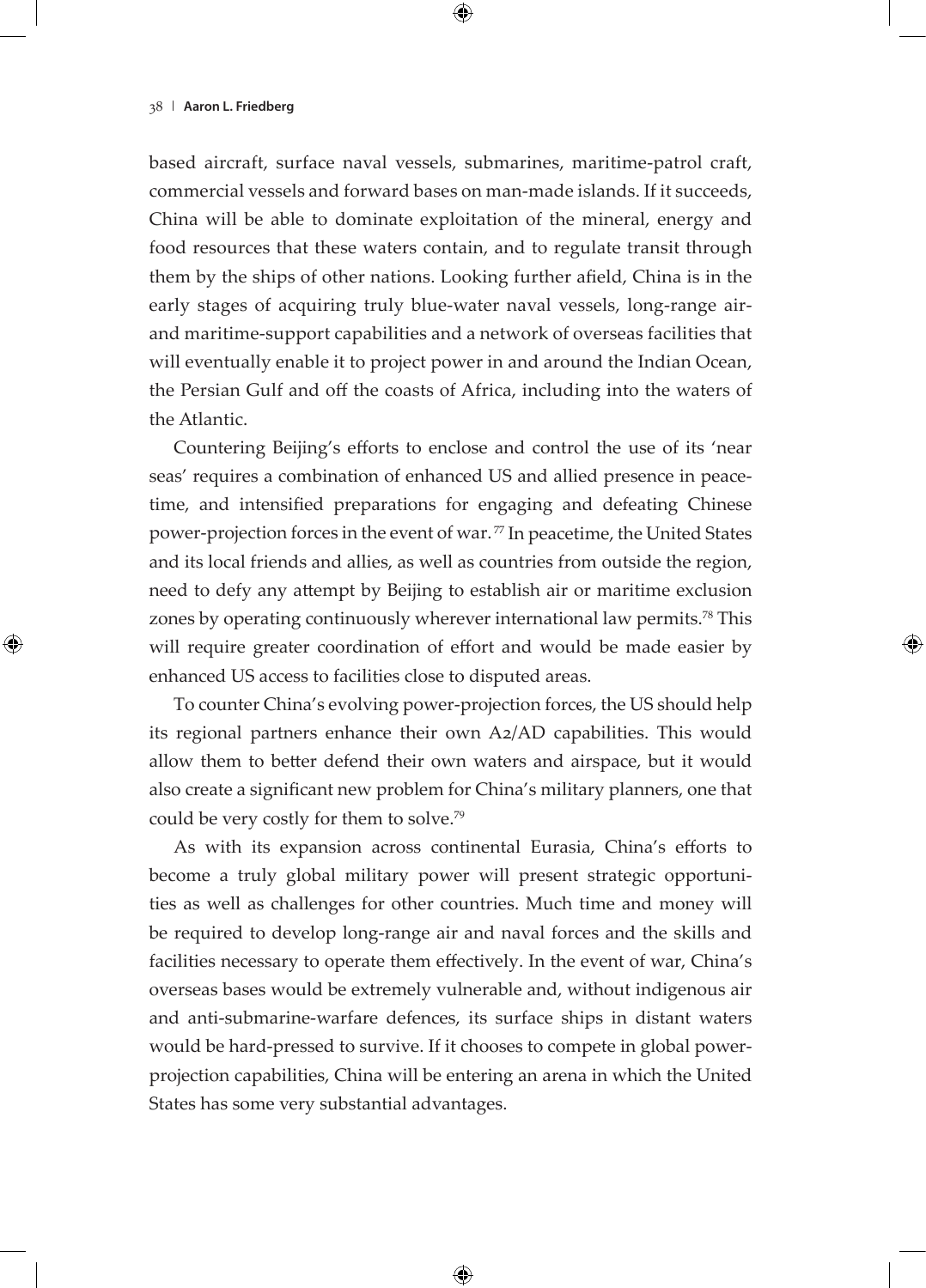based aircraft, surface naval vessels, submarines, maritime-patrol craft, commercial vessels and forward bases on man-made islands. If it succeeds, China will be able to dominate exploitation of the mineral, energy and food resources that these waters contain, and to regulate transit through them by the ships of other nations. Looking further afield, China is in the early stages of acquiring truly blue-water naval vessels, long-range airand maritime-support capabilities and a network of overseas facilities that will eventually enable it to project power in and around the Indian Ocean, the Persian Gulf and off the coasts of Africa, including into the waters of the Atlantic.

Countering Beijing's efforts to enclose and control the use of its 'near seas' requires a combination of enhanced US and allied presence in peacetime, and intensified preparations for engaging and defeating Chinese power-projection forces in the event of war.<sup>77</sup> In peacetime, the United States and its local friends and allies, as well as countries from outside the region, need to defy any attempt by Beijing to establish air or maritime exclusion zones by operating continuously wherever international law permits.<sup>78</sup> This will require greater coordination of effort and would be made easier by enhanced US access to facilities close to disputed areas.

To counter China's evolving power-projection forces, the US should help its regional partners enhance their own A2/AD capabilities. This would allow them to better defend their own waters and airspace, but it would also create a significant new problem for China's military planners, one that could be very costly for them to solve.<sup>79</sup>

As with its expansion across continental Eurasia, China's efforts to become a truly global military power will present strategic opportunities as well as challenges for other countries. Much time and money will be required to develop long-range air and naval forces and the skills and facilities necessary to operate them effectively. In the event of war, China's overseas bases would be extremely vulnerable and, without indigenous air and anti-submarine-warfare defences, its surface ships in distant waters would be hard-pressed to survive. If it chooses to compete in global powerprojection capabilities, China will be entering an arena in which the United States has some very substantial advantages.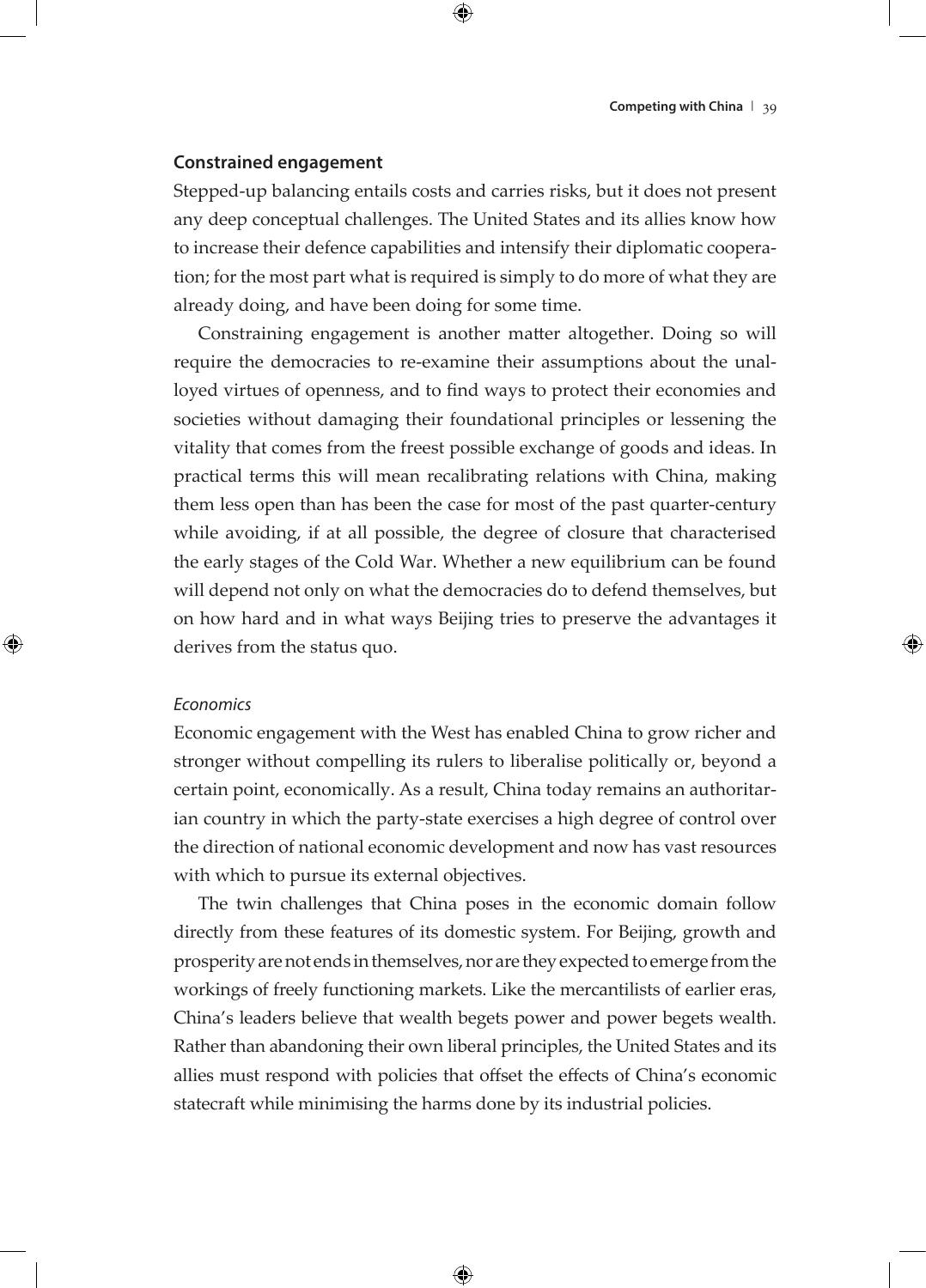#### **Constrained engagement**

Stepped-up balancing entails costs and carries risks, but it does not present any deep conceptual challenges. The United States and its allies know how to increase their defence capabilities and intensify their diplomatic cooperation; for the most part what is required is simply to do more of what they are already doing, and have been doing for some time.

Constraining engagement is another matter altogether. Doing so will require the democracies to re-examine their assumptions about the unalloyed virtues of openness, and to find ways to protect their economies and societies without damaging their foundational principles or lessening the vitality that comes from the freest possible exchange of goods and ideas. In practical terms this will mean recalibrating relations with China, making them less open than has been the case for most of the past quarter-century while avoiding, if at all possible, the degree of closure that characterised the early stages of the Cold War. Whether a new equilibrium can be found will depend not only on what the democracies do to defend themselves, but on how hard and in what ways Beijing tries to preserve the advantages it derives from the status quo.

#### *Economics*

Economic engagement with the West has enabled China to grow richer and stronger without compelling its rulers to liberalise politically or, beyond a certain point, economically. As a result, China today remains an authoritarian country in which the party-state exercises a high degree of control over the direction of national economic development and now has vast resources with which to pursue its external objectives.

The twin challenges that China poses in the economic domain follow directly from these features of its domestic system. For Beijing, growth and prosperity are not ends in themselves, nor are they expected to emerge from the workings of freely functioning markets. Like the mercantilists of earlier eras, China's leaders believe that wealth begets power and power begets wealth. Rather than abandoning their own liberal principles, the United States and its allies must respond with policies that offset the effects of China's economic statecraft while minimising the harms done by its industrial policies.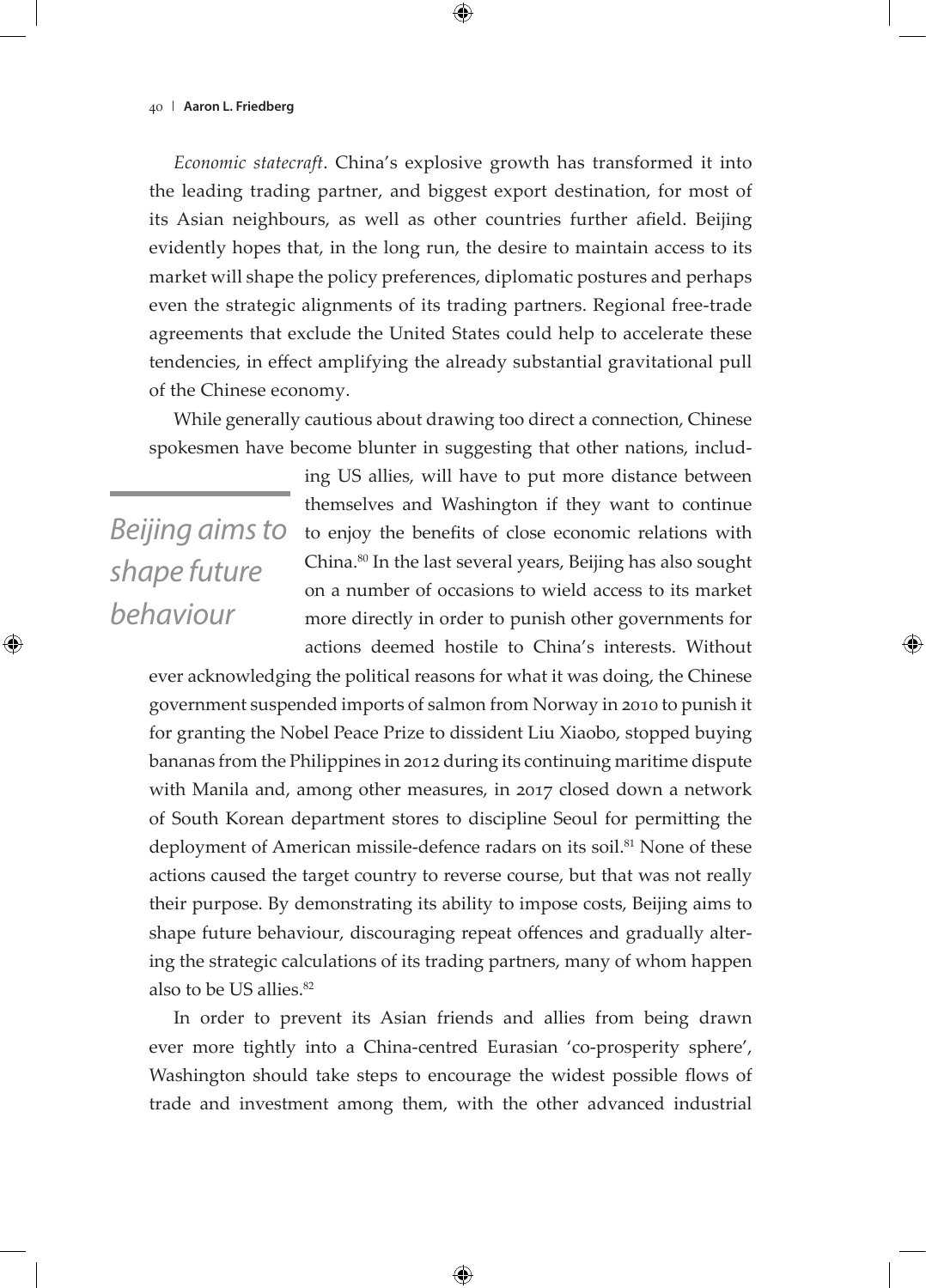*Economic statecraft*. China's explosive growth has transformed it into the leading trading partner, and biggest export destination, for most of its Asian neighbours, as well as other countries further afield. Beijing evidently hopes that, in the long run, the desire to maintain access to its market will shape the policy preferences, diplomatic postures and perhaps even the strategic alignments of its trading partners. Regional free-trade agreements that exclude the United States could help to accelerate these tendencies, in effect amplifying the already substantial gravitational pull of the Chinese economy.

While generally cautious about drawing too direct a connection, Chinese spokesmen have become blunter in suggesting that other nations, includ-

*Beijing aims to shape future behaviour*

ing US allies, will have to put more distance between themselves and Washington if they want to continue to enjoy the benefits of close economic relations with China.80 In the last several years, Beijing has also sought on a number of occasions to wield access to its market more directly in order to punish other governments for actions deemed hostile to China's interests. Without

ever acknowledging the political reasons for what it was doing, the Chinese government suspended imports of salmon from Norway in 2010 to punish it for granting the Nobel Peace Prize to dissident Liu Xiaobo, stopped buying bananas from the Philippines in 2012 during its continuing maritime dispute with Manila and, among other measures, in 2017 closed down a network of South Korean department stores to discipline Seoul for permitting the deployment of American missile-defence radars on its soil.<sup>81</sup> None of these actions caused the target country to reverse course, but that was not really their purpose. By demonstrating its ability to impose costs, Beijing aims to shape future behaviour, discouraging repeat offences and gradually altering the strategic calculations of its trading partners, many of whom happen also to be US allies.<sup>82</sup>

In order to prevent its Asian friends and allies from being drawn ever more tightly into a China-centred Eurasian 'co-prosperity sphere', Washington should take steps to encourage the widest possible flows of trade and investment among them, with the other advanced industrial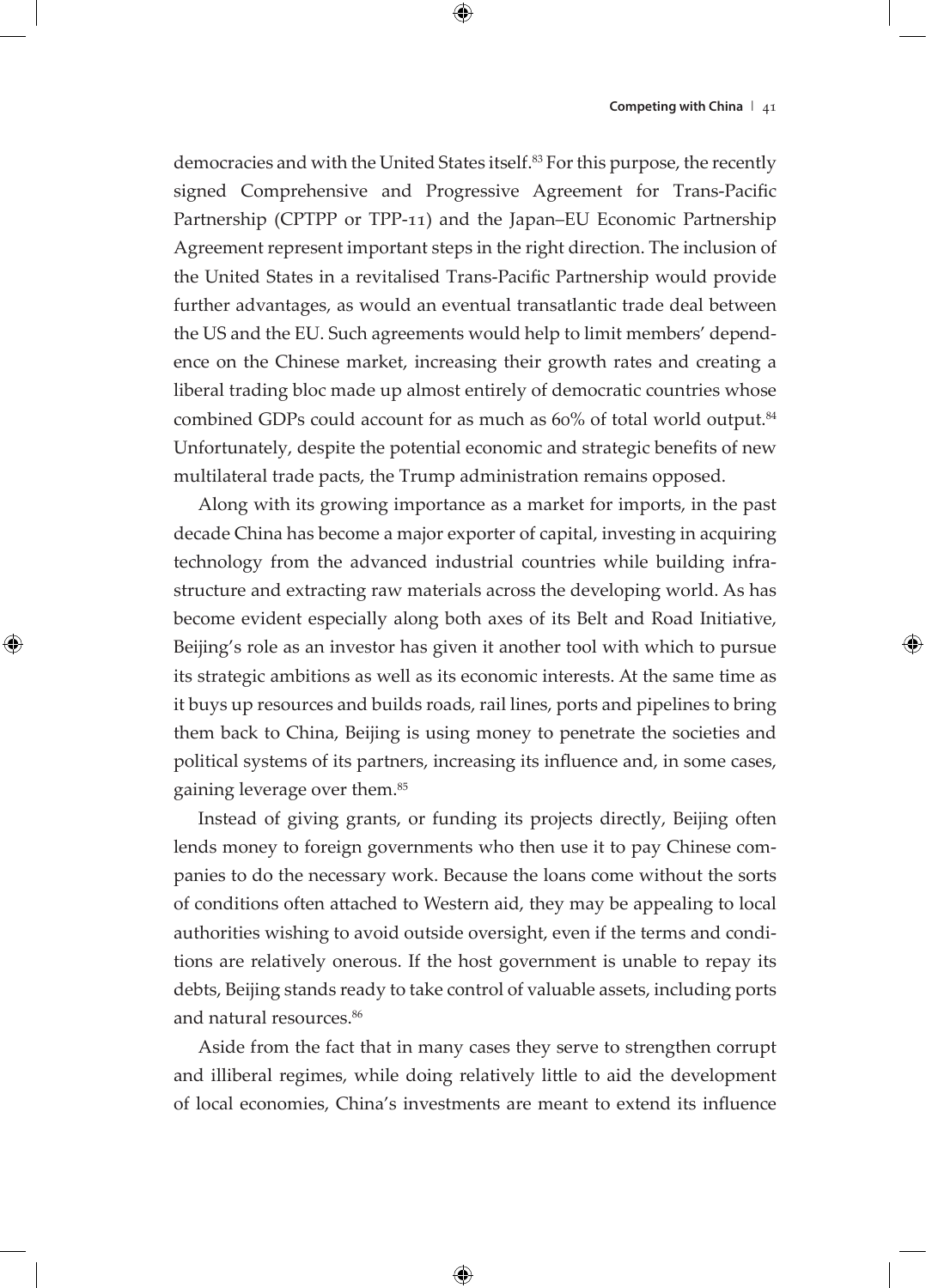democracies and with the United States itself.<sup>83</sup> For this purpose, the recently signed Comprehensive and Progressive Agreement for Trans-Pacific Partnership (CPTPP or TPP-11) and the Japan–EU Economic Partnership Agreement represent important steps in the right direction. The inclusion of the United States in a revitalised Trans-Pacific Partnership would provide further advantages, as would an eventual transatlantic trade deal between the US and the EU. Such agreements would help to limit members' dependence on the Chinese market, increasing their growth rates and creating a liberal trading bloc made up almost entirely of democratic countries whose combined GDPs could account for as much as 60% of total world output.<sup>84</sup> Unfortunately, despite the potential economic and strategic benefits of new multilateral trade pacts, the Trump administration remains opposed.

Along with its growing importance as a market for imports, in the past decade China has become a major exporter of capital, investing in acquiring technology from the advanced industrial countries while building infrastructure and extracting raw materials across the developing world. As has become evident especially along both axes of its Belt and Road Initiative, Beijing's role as an investor has given it another tool with which to pursue its strategic ambitions as well as its economic interests. At the same time as it buys up resources and builds roads, rail lines, ports and pipelines to bring them back to China, Beijing is using money to penetrate the societies and political systems of its partners, increasing its influence and, in some cases, gaining leverage over them.85

Instead of giving grants, or funding its projects directly, Beijing often lends money to foreign governments who then use it to pay Chinese companies to do the necessary work. Because the loans come without the sorts of conditions often attached to Western aid, they may be appealing to local authorities wishing to avoid outside oversight, even if the terms and conditions are relatively onerous. If the host government is unable to repay its debts, Beijing stands ready to take control of valuable assets, including ports and natural resources.<sup>86</sup>

Aside from the fact that in many cases they serve to strengthen corrupt and illiberal regimes, while doing relatively little to aid the development of local economies, China's investments are meant to extend its influence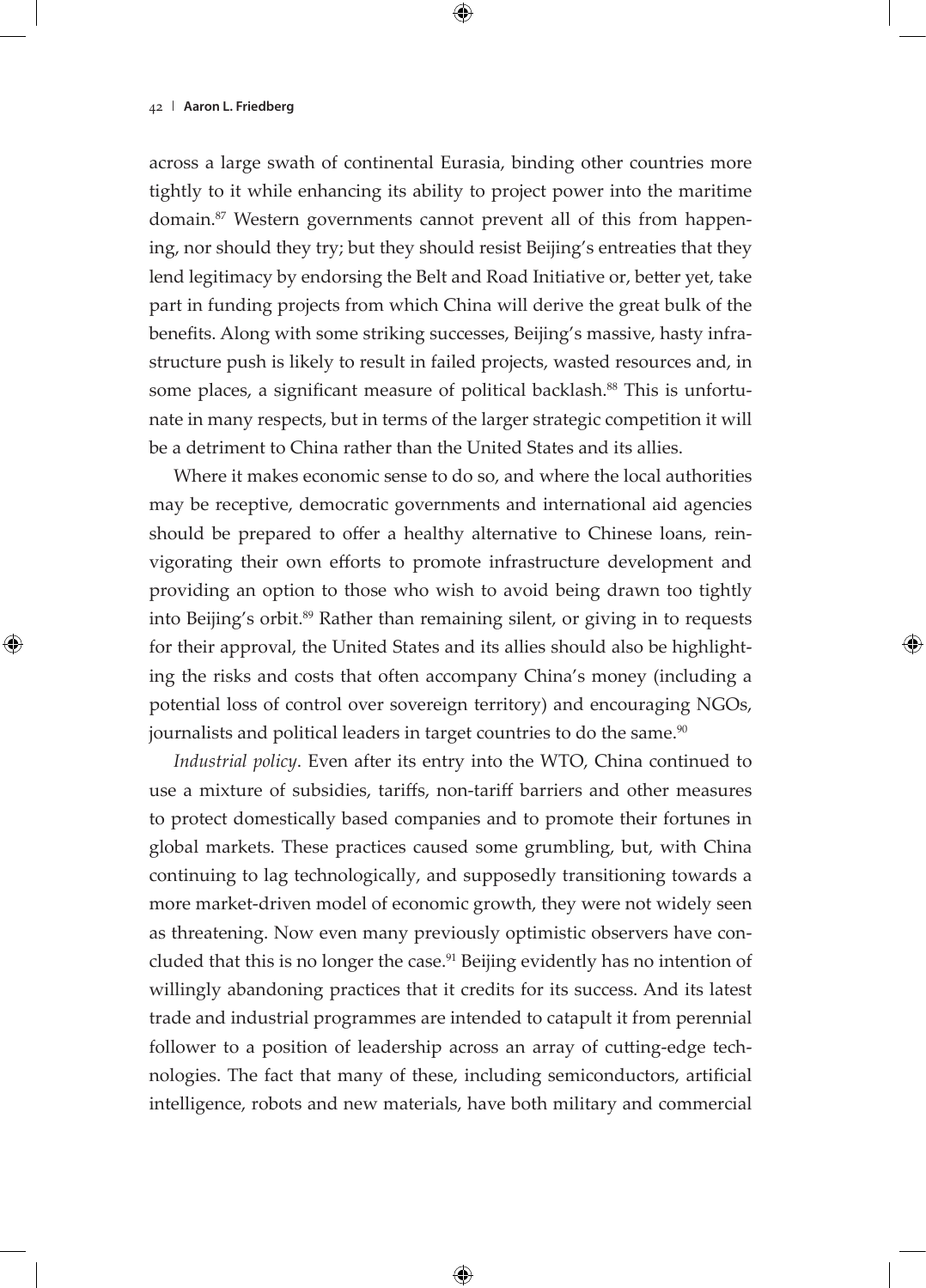across a large swath of continental Eurasia, binding other countries more tightly to it while enhancing its ability to project power into the maritime domain.87 Western governments cannot prevent all of this from happening, nor should they try; but they should resist Beijing's entreaties that they lend legitimacy by endorsing the Belt and Road Initiative or, better yet, take part in funding projects from which China will derive the great bulk of the benefits. Along with some striking successes, Beijing's massive, hasty infrastructure push is likely to result in failed projects, wasted resources and, in some places, a significant measure of political backlash.<sup>88</sup> This is unfortunate in many respects, but in terms of the larger strategic competition it will be a detriment to China rather than the United States and its allies.

Where it makes economic sense to do so, and where the local authorities may be receptive, democratic governments and international aid agencies should be prepared to offer a healthy alternative to Chinese loans, reinvigorating their own efforts to promote infrastructure development and providing an option to those who wish to avoid being drawn too tightly into Beijing's orbit.<sup>89</sup> Rather than remaining silent, or giving in to requests for their approval, the United States and its allies should also be highlighting the risks and costs that often accompany China's money (including a potential loss of control over sovereign territory) and encouraging NGOs, journalists and political leaders in target countries to do the same.<sup>90</sup>

*Industrial policy*. Even after its entry into the WTO, China continued to use a mixture of subsidies, tariffs, non-tariff barriers and other measures to protect domestically based companies and to promote their fortunes in global markets. These practices caused some grumbling, but, with China continuing to lag technologically, and supposedly transitioning towards a more market-driven model of economic growth, they were not widely seen as threatening. Now even many previously optimistic observers have concluded that this is no longer the case.<sup>91</sup> Beijing evidently has no intention of willingly abandoning practices that it credits for its success. And its latest trade and industrial programmes are intended to catapult it from perennial follower to a position of leadership across an array of cutting-edge technologies. The fact that many of these, including semiconductors, artificial intelligence, robots and new materials, have both military and commercial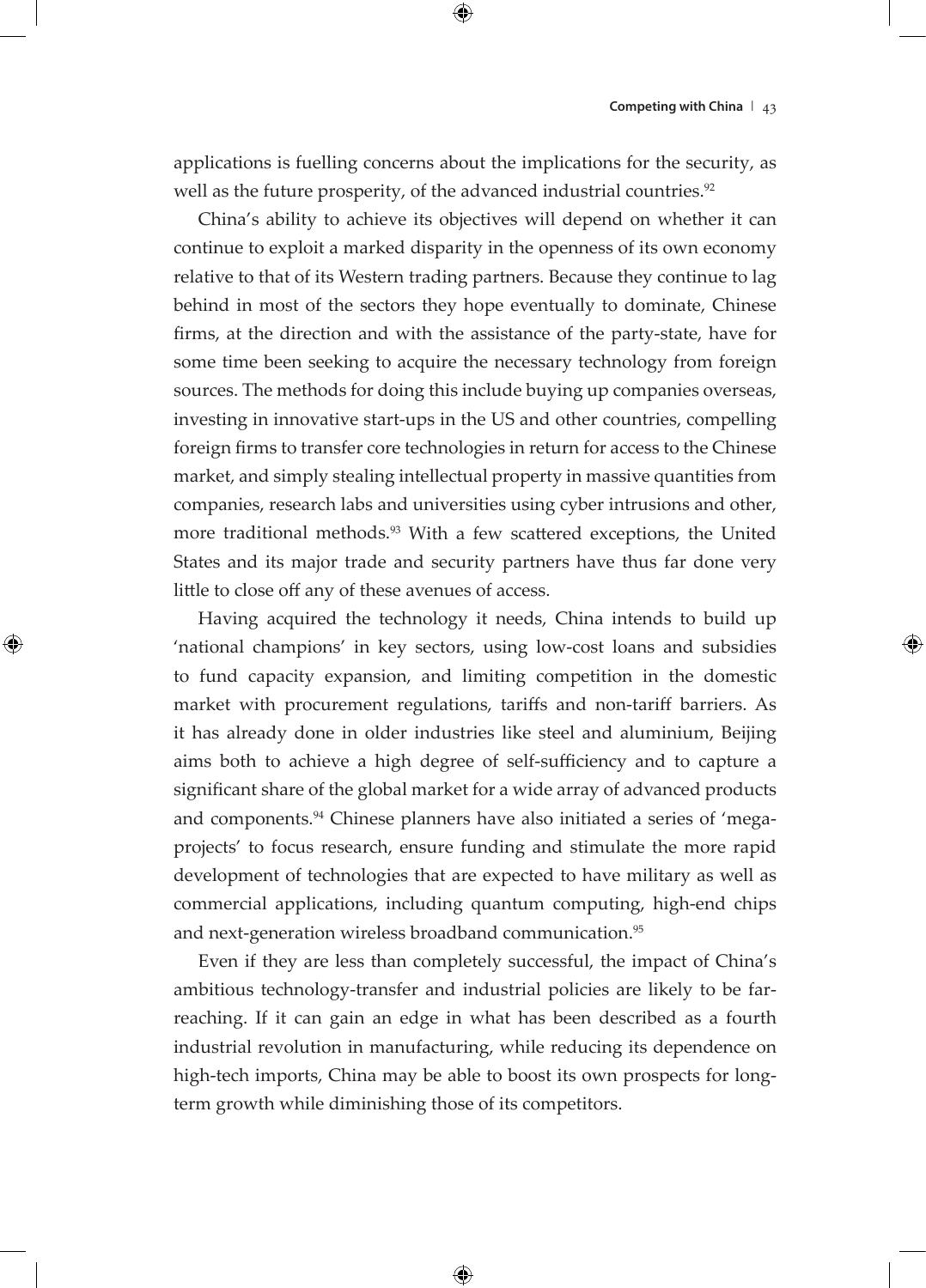applications is fuelling concerns about the implications for the security, as well as the future prosperity, of the advanced industrial countries.<sup>92</sup>

China's ability to achieve its objectives will depend on whether it can continue to exploit a marked disparity in the openness of its own economy relative to that of its Western trading partners. Because they continue to lag behind in most of the sectors they hope eventually to dominate, Chinese firms, at the direction and with the assistance of the party-state, have for some time been seeking to acquire the necessary technology from foreign sources. The methods for doing this include buying up companies overseas, investing in innovative start-ups in the US and other countries, compelling foreign firms to transfer core technologies in return for access to the Chinese market, and simply stealing intellectual property in massive quantities from companies, research labs and universities using cyber intrusions and other, more traditional methods.<sup>93</sup> With a few scattered exceptions, the United States and its major trade and security partners have thus far done very little to close off any of these avenues of access.

Having acquired the technology it needs, China intends to build up 'national champions' in key sectors, using low-cost loans and subsidies to fund capacity expansion, and limiting competition in the domestic market with procurement regulations, tariffs and non-tariff barriers. As it has already done in older industries like steel and aluminium, Beijing aims both to achieve a high degree of self-sufficiency and to capture a significant share of the global market for a wide array of advanced products and components.94 Chinese planners have also initiated a series of 'megaprojects' to focus research, ensure funding and stimulate the more rapid development of technologies that are expected to have military as well as commercial applications, including quantum computing, high-end chips and next-generation wireless broadband communication.<sup>95</sup>

Even if they are less than completely successful, the impact of China's ambitious technology-transfer and industrial policies are likely to be farreaching. If it can gain an edge in what has been described as a fourth industrial revolution in manufacturing, while reducing its dependence on high-tech imports, China may be able to boost its own prospects for longterm growth while diminishing those of its competitors.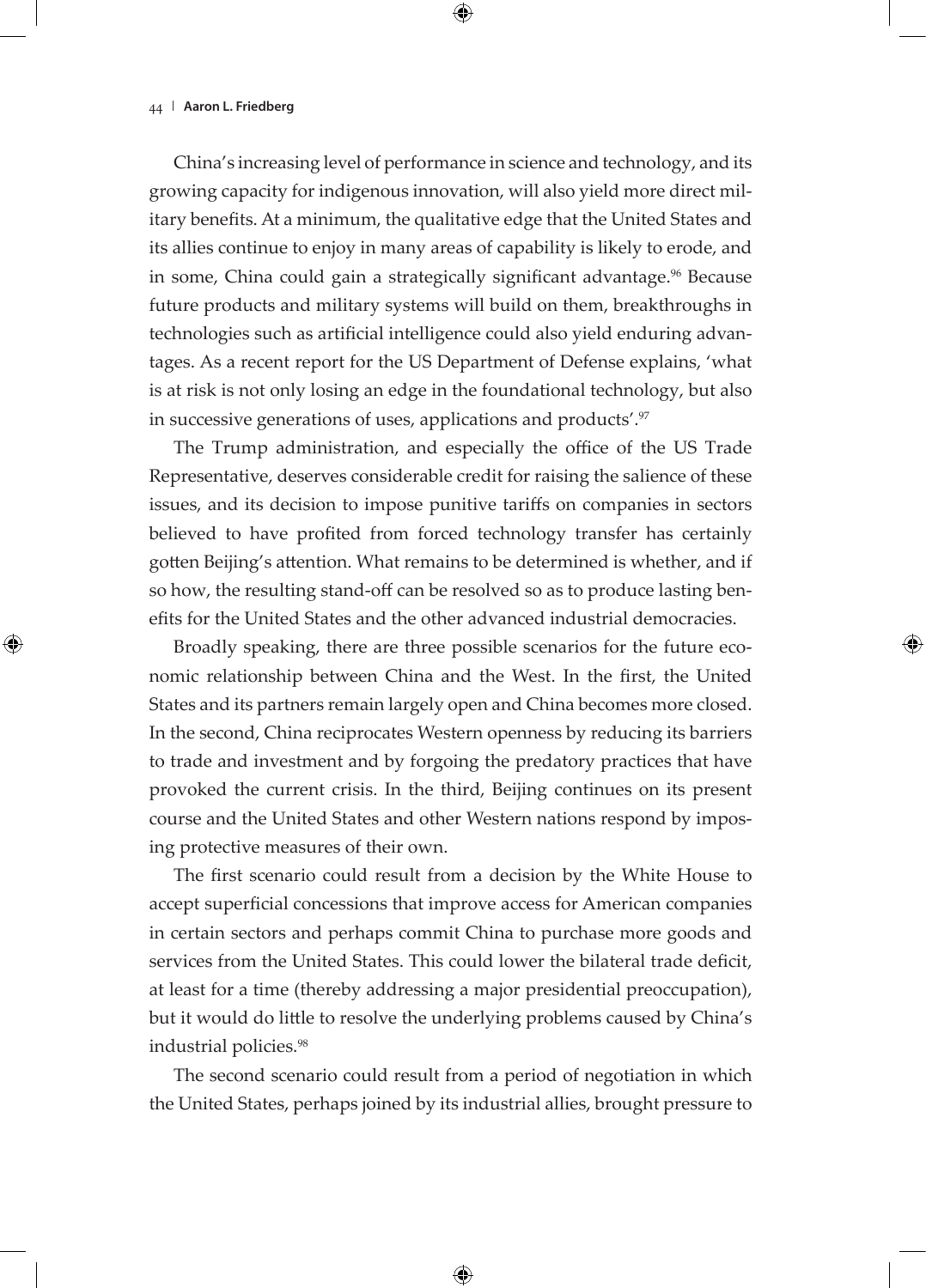China's increasing level of performance in science and technology, and its growing capacity for indigenous innovation, will also yield more direct military benefits. At a minimum, the qualitative edge that the United States and its allies continue to enjoy in many areas of capability is likely to erode, and in some, China could gain a strategically significant advantage.<sup>96</sup> Because future products and military systems will build on them, breakthroughs in technologies such as artificial intelligence could also yield enduring advantages. As a recent report for the US Department of Defense explains, 'what is at risk is not only losing an edge in the foundational technology, but also in successive generations of uses, applications and products'.<sup>97</sup>

The Trump administration, and especially the office of the US Trade Representative, deserves considerable credit for raising the salience of these issues, and its decision to impose punitive tariffs on companies in sectors believed to have profited from forced technology transfer has certainly gotten Beijing's attention. What remains to be determined is whether, and if so how, the resulting stand-off can be resolved so as to produce lasting benefits for the United States and the other advanced industrial democracies.

Broadly speaking, there are three possible scenarios for the future economic relationship between China and the West. In the first, the United States and its partners remain largely open and China becomes more closed. In the second, China reciprocates Western openness by reducing its barriers to trade and investment and by forgoing the predatory practices that have provoked the current crisis. In the third, Beijing continues on its present course and the United States and other Western nations respond by imposing protective measures of their own.

The first scenario could result from a decision by the White House to accept superficial concessions that improve access for American companies in certain sectors and perhaps commit China to purchase more goods and services from the United States. This could lower the bilateral trade deficit, at least for a time (thereby addressing a major presidential preoccupation), but it would do little to resolve the underlying problems caused by China's industrial policies.<sup>98</sup>

The second scenario could result from a period of negotiation in which the United States, perhaps joined by its industrial allies, brought pressure to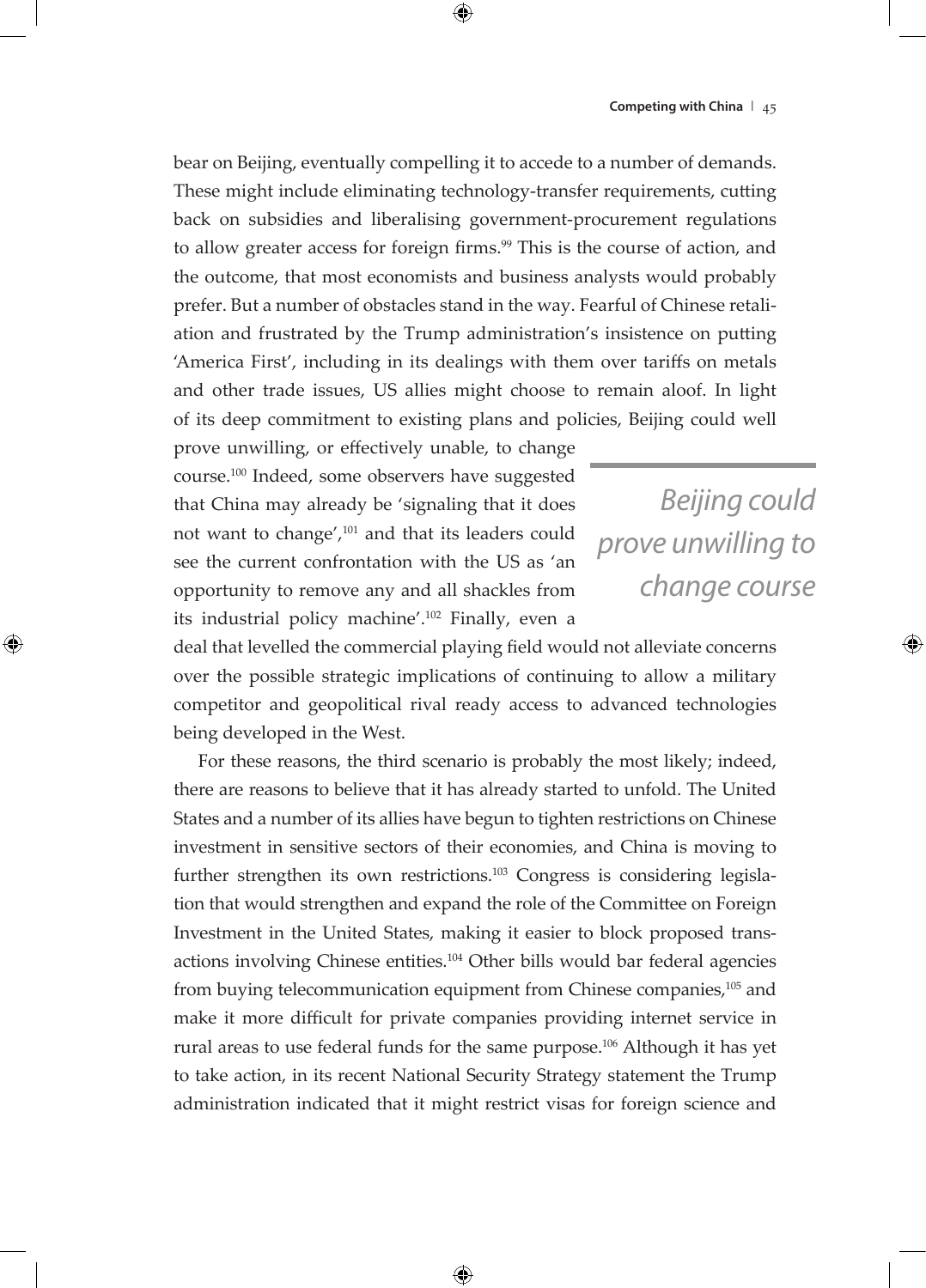bear on Beijing, eventually compelling it to accede to a number of demands. These might include eliminating technology-transfer requirements, cutting back on subsidies and liberalising government-procurement regulations to allow greater access for foreign firms.<sup>99</sup> This is the course of action, and the outcome, that most economists and business analysts would probably prefer. But a number of obstacles stand in the way. Fearful of Chinese retaliation and frustrated by the Trump administration's insistence on putting 'America First', including in its dealings with them over tariffs on metals and other trade issues, US allies might choose to remain aloof. In light of its deep commitment to existing plans and policies, Beijing could well

prove unwilling, or effectively unable, to change course.100 Indeed, some observers have suggested that China may already be 'signaling that it does not want to change',101 and that its leaders could see the current confrontation with the US as 'an opportunity to remove any and all shackles from its industrial policy machine'.102 Finally, even a

*Beijing could prove unwilling to change course*

deal that levelled the commercial playing field would not alleviate concerns over the possible strategic implications of continuing to allow a military competitor and geopolitical rival ready access to advanced technologies being developed in the West.

For these reasons, the third scenario is probably the most likely; indeed, there are reasons to believe that it has already started to unfold. The United States and a number of its allies have begun to tighten restrictions on Chinese investment in sensitive sectors of their economies, and China is moving to further strengthen its own restrictions.<sup>103</sup> Congress is considering legislation that would strengthen and expand the role of the Committee on Foreign Investment in the United States, making it easier to block proposed transactions involving Chinese entities.104 Other bills would bar federal agencies from buying telecommunication equipment from Chinese companies,105 and make it more difficult for private companies providing internet service in rural areas to use federal funds for the same purpose.106 Although it has yet to take action, in its recent National Security Strategy statement the Trump administration indicated that it might restrict visas for foreign science and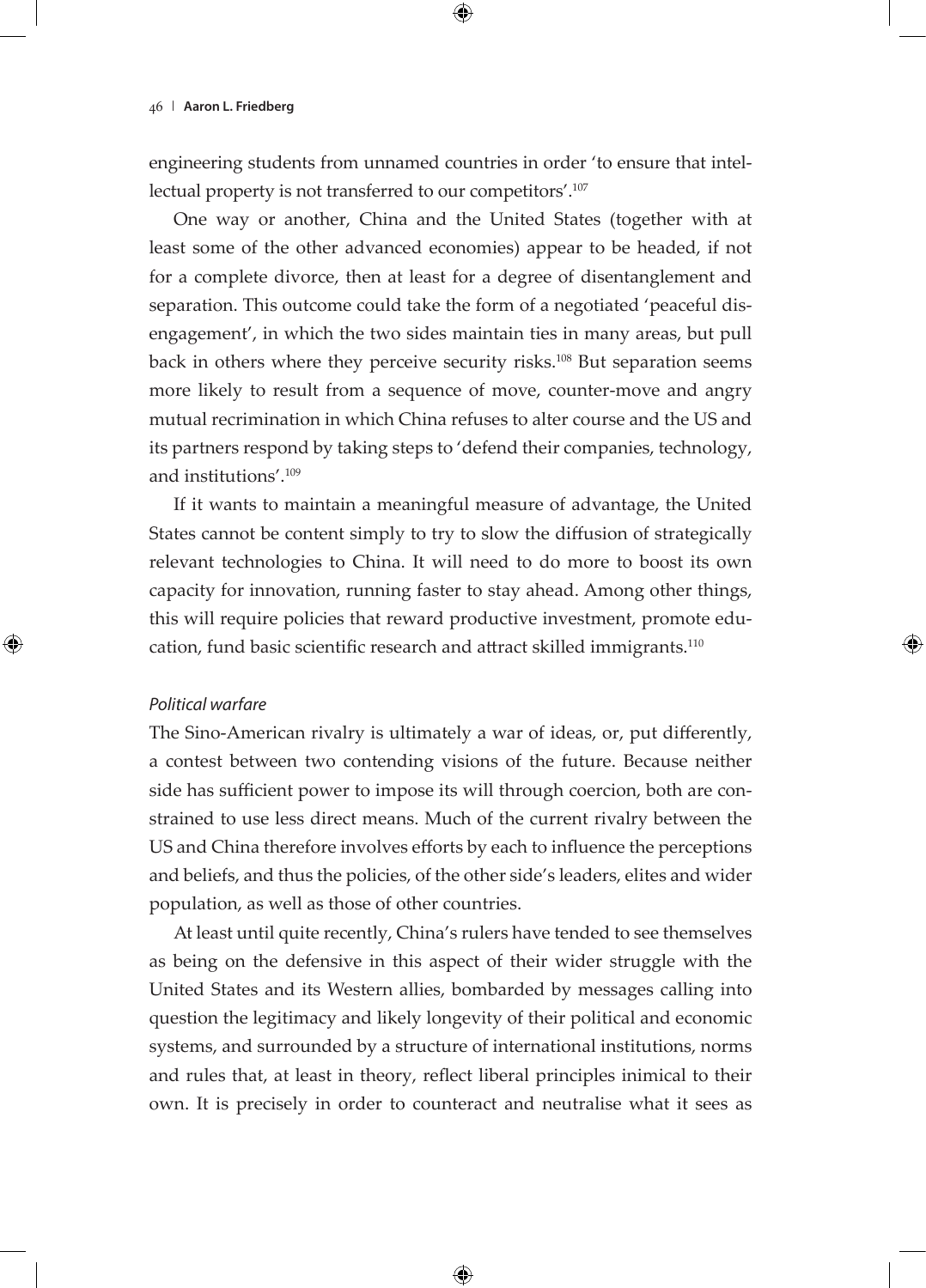engineering students from unnamed countries in order 'to ensure that intellectual property is not transferred to our competitors'.<sup>107</sup>

One way or another, China and the United States (together with at least some of the other advanced economies) appear to be headed, if not for a complete divorce, then at least for a degree of disentanglement and separation. This outcome could take the form of a negotiated 'peaceful disengagement', in which the two sides maintain ties in many areas, but pull back in others where they perceive security risks.<sup>108</sup> But separation seems more likely to result from a sequence of move, counter-move and angry mutual recrimination in which China refuses to alter course and the US and its partners respond by taking steps to 'defend their companies, technology, and institutions'.<sup>109</sup>

If it wants to maintain a meaningful measure of advantage, the United States cannot be content simply to try to slow the diffusion of strategically relevant technologies to China. It will need to do more to boost its own capacity for innovation, running faster to stay ahead. Among other things, this will require policies that reward productive investment, promote education, fund basic scientific research and attract skilled immigrants.110

## *Political warfare*

The Sino-American rivalry is ultimately a war of ideas, or, put differently, a contest between two contending visions of the future. Because neither side has sufficient power to impose its will through coercion, both are constrained to use less direct means. Much of the current rivalry between the US and China therefore involves efforts by each to influence the perceptions and beliefs, and thus the policies, of the other side's leaders, elites and wider population, as well as those of other countries.

At least until quite recently, China's rulers have tended to see themselves as being on the defensive in this aspect of their wider struggle with the United States and its Western allies, bombarded by messages calling into question the legitimacy and likely longevity of their political and economic systems, and surrounded by a structure of international institutions, norms and rules that, at least in theory, reflect liberal principles inimical to their own. It is precisely in order to counteract and neutralise what it sees as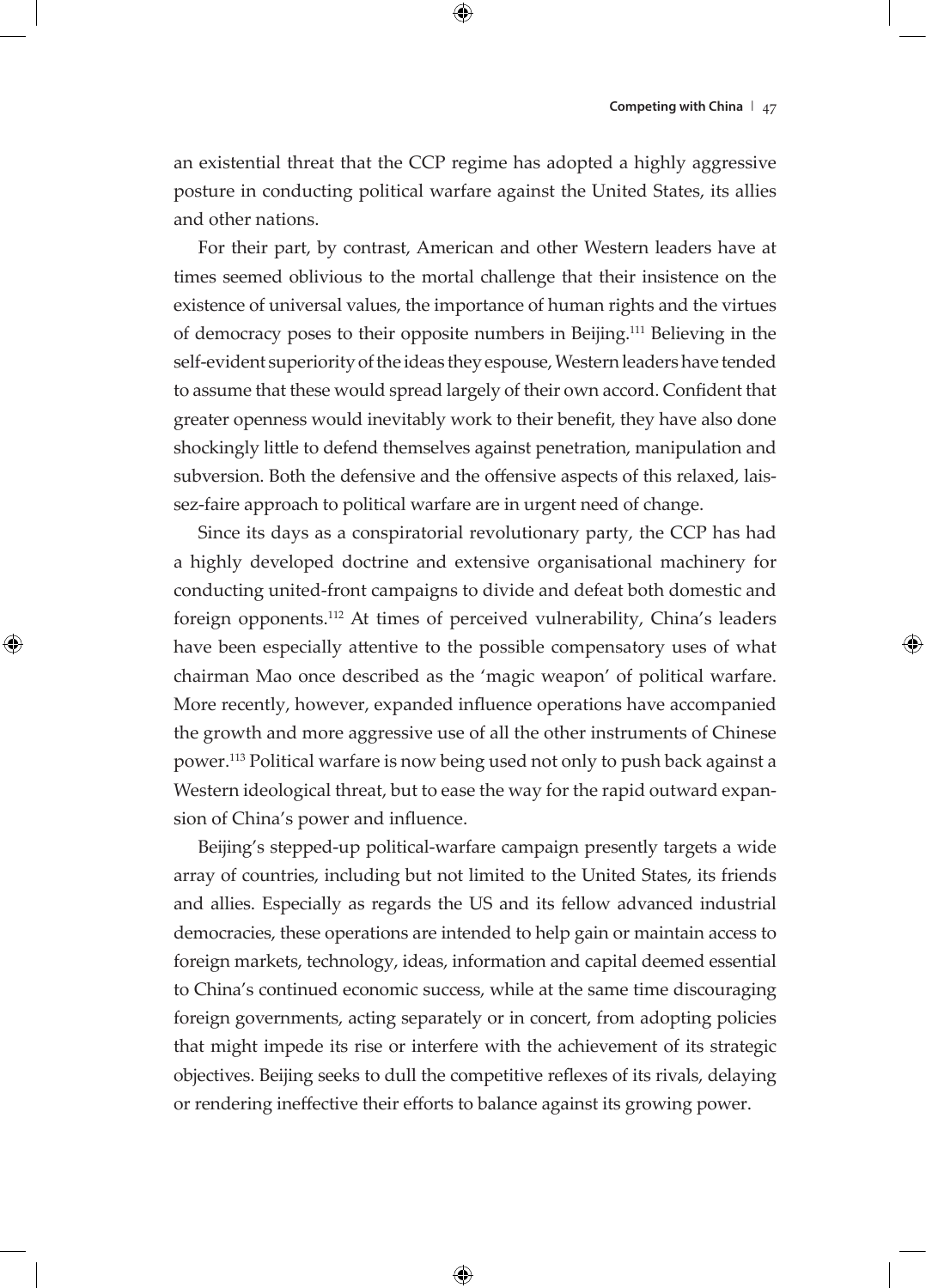an existential threat that the CCP regime has adopted a highly aggressive posture in conducting political warfare against the United States, its allies and other nations.

For their part, by contrast, American and other Western leaders have at times seemed oblivious to the mortal challenge that their insistence on the existence of universal values, the importance of human rights and the virtues of democracy poses to their opposite numbers in Beijing.111 Believing in the self-evident superiority of the ideas they espouse, Western leaders have tended to assume that these would spread largely of their own accord. Confident that greater openness would inevitably work to their benefit, they have also done shockingly little to defend themselves against penetration, manipulation and subversion. Both the defensive and the offensive aspects of this relaxed, laissez-faire approach to political warfare are in urgent need of change.

Since its days as a conspiratorial revolutionary party, the CCP has had a highly developed doctrine and extensive organisational machinery for conducting united-front campaigns to divide and defeat both domestic and foreign opponents.112 At times of perceived vulnerability, China's leaders have been especially attentive to the possible compensatory uses of what chairman Mao once described as the 'magic weapon' of political warfare. More recently, however, expanded influence operations have accompanied the growth and more aggressive use of all the other instruments of Chinese power.113 Political warfare is now being used not only to push back against a Western ideological threat, but to ease the way for the rapid outward expansion of China's power and influence.

Beijing's stepped-up political-warfare campaign presently targets a wide array of countries, including but not limited to the United States, its friends and allies. Especially as regards the US and its fellow advanced industrial democracies, these operations are intended to help gain or maintain access to foreign markets, technology, ideas, information and capital deemed essential to China's continued economic success, while at the same time discouraging foreign governments, acting separately or in concert, from adopting policies that might impede its rise or interfere with the achievement of its strategic objectives. Beijing seeks to dull the competitive reflexes of its rivals, delaying or rendering ineffective their efforts to balance against its growing power.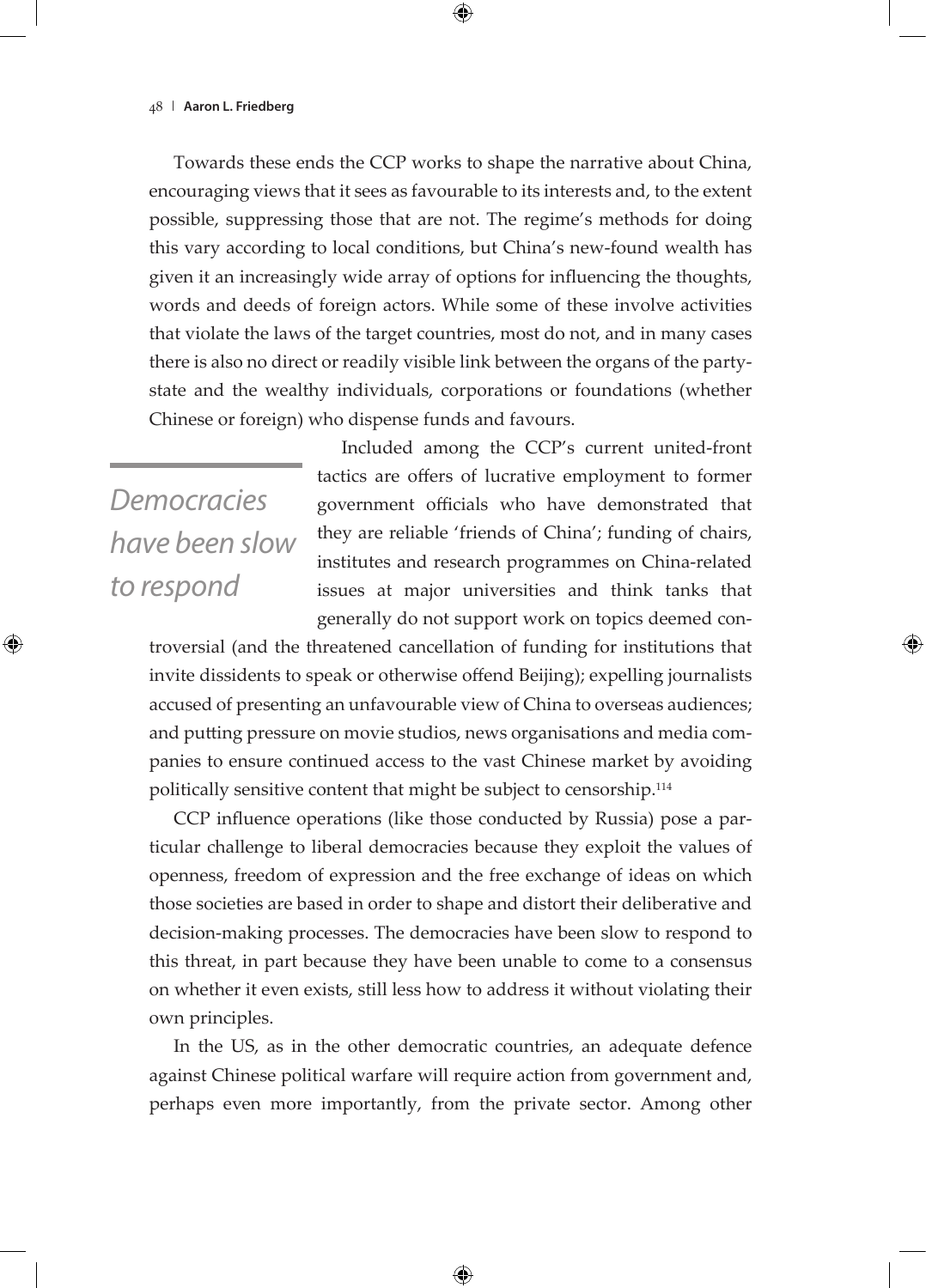Towards these ends the CCP works to shape the narrative about China, encouraging views that it sees as favourable to its interests and, to the extent possible, suppressing those that are not. The regime's methods for doing this vary according to local conditions, but China's new-found wealth has given it an increasingly wide array of options for influencing the thoughts, words and deeds of foreign actors. While some of these involve activities that violate the laws of the target countries, most do not, and in many cases there is also no direct or readily visible link between the organs of the partystate and the wealthy individuals, corporations or foundations (whether Chinese or foreign) who dispense funds and favours.

*Democracies have been slow to respond*

Included among the CCP's current united-front tactics are offers of lucrative employment to former government officials who have demonstrated that they are reliable 'friends of China'; funding of chairs, institutes and research programmes on China-related issues at major universities and think tanks that generally do not support work on topics deemed con-

troversial (and the threatened cancellation of funding for institutions that invite dissidents to speak or otherwise offend Beijing); expelling journalists accused of presenting an unfavourable view of China to overseas audiences; and putting pressure on movie studios, news organisations and media companies to ensure continued access to the vast Chinese market by avoiding politically sensitive content that might be subject to censorship.114

CCP influence operations (like those conducted by Russia) pose a particular challenge to liberal democracies because they exploit the values of openness, freedom of expression and the free exchange of ideas on which those societies are based in order to shape and distort their deliberative and decision-making processes. The democracies have been slow to respond to this threat, in part because they have been unable to come to a consensus on whether it even exists, still less how to address it without violating their own principles.

In the US, as in the other democratic countries, an adequate defence against Chinese political warfare will require action from government and, perhaps even more importantly, from the private sector. Among other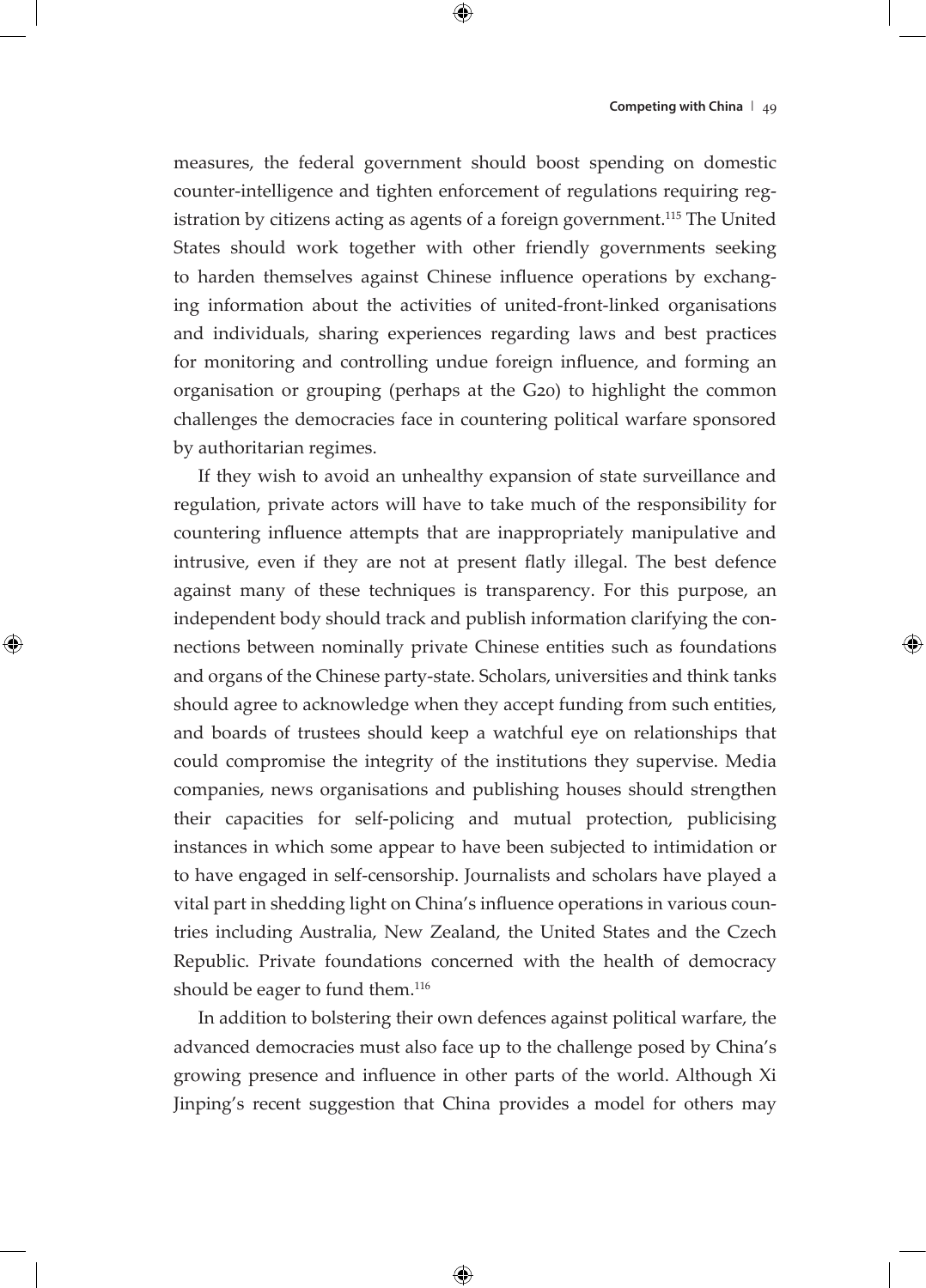measures, the federal government should boost spending on domestic counter-intelligence and tighten enforcement of regulations requiring registration by citizens acting as agents of a foreign government.<sup>115</sup> The United States should work together with other friendly governments seeking to harden themselves against Chinese influence operations by exchanging information about the activities of united-front-linked organisations and individuals, sharing experiences regarding laws and best practices for monitoring and controlling undue foreign influence, and forming an organisation or grouping (perhaps at the G20) to highlight the common challenges the democracies face in countering political warfare sponsored by authoritarian regimes.

If they wish to avoid an unhealthy expansion of state surveillance and regulation, private actors will have to take much of the responsibility for countering influence attempts that are inappropriately manipulative and intrusive, even if they are not at present flatly illegal. The best defence against many of these techniques is transparency. For this purpose, an independent body should track and publish information clarifying the connections between nominally private Chinese entities such as foundations and organs of the Chinese party-state. Scholars, universities and think tanks should agree to acknowledge when they accept funding from such entities, and boards of trustees should keep a watchful eye on relationships that could compromise the integrity of the institutions they supervise. Media companies, news organisations and publishing houses should strengthen their capacities for self-policing and mutual protection, publicising instances in which some appear to have been subjected to intimidation or to have engaged in self-censorship. Journalists and scholars have played a vital part in shedding light on China's influence operations in various countries including Australia, New Zealand, the United States and the Czech Republic. Private foundations concerned with the health of democracy should be eager to fund them.<sup>116</sup>

In addition to bolstering their own defences against political warfare, the advanced democracies must also face up to the challenge posed by China's growing presence and influence in other parts of the world. Although Xi Jinping's recent suggestion that China provides a model for others may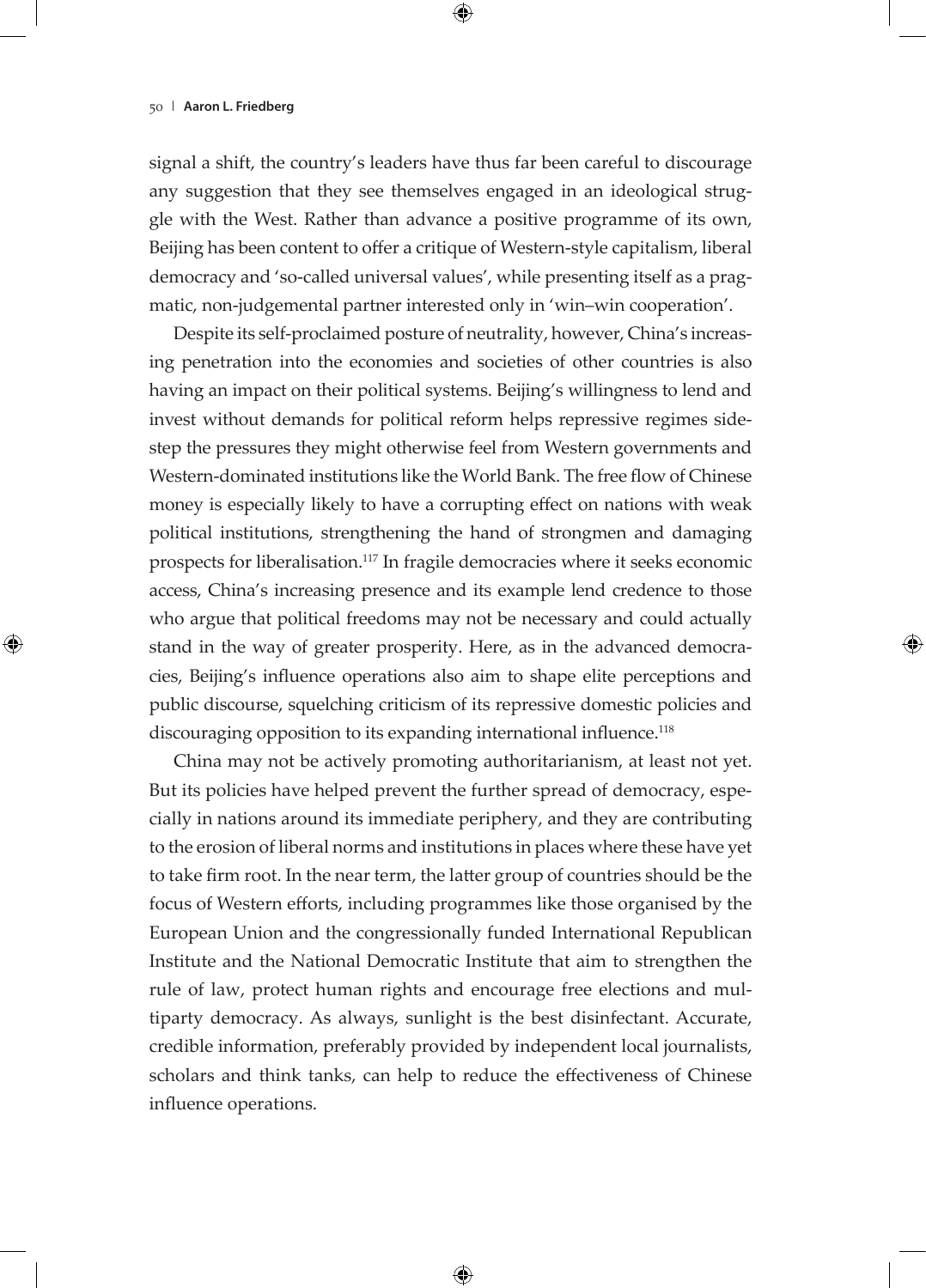signal a shift, the country's leaders have thus far been careful to discourage any suggestion that they see themselves engaged in an ideological struggle with the West. Rather than advance a positive programme of its own, Beijing has been content to offer a critique of Western-style capitalism, liberal democracy and 'so-called universal values', while presenting itself as a pragmatic, non-judgemental partner interested only in 'win–win cooperation'.

Despite its self-proclaimed posture of neutrality, however, China's increasing penetration into the economies and societies of other countries is also having an impact on their political systems. Beijing's willingness to lend and invest without demands for political reform helps repressive regimes sidestep the pressures they might otherwise feel from Western governments and Western-dominated institutions like the World Bank. The free flow of Chinese money is especially likely to have a corrupting effect on nations with weak political institutions, strengthening the hand of strongmen and damaging prospects for liberalisation.117 In fragile democracies where it seeks economic access, China's increasing presence and its example lend credence to those who argue that political freedoms may not be necessary and could actually stand in the way of greater prosperity. Here, as in the advanced democracies, Beijing's influence operations also aim to shape elite perceptions and public discourse, squelching criticism of its repressive domestic policies and discouraging opposition to its expanding international influence.<sup>118</sup>

China may not be actively promoting authoritarianism, at least not yet. But its policies have helped prevent the further spread of democracy, especially in nations around its immediate periphery, and they are contributing to the erosion of liberal norms and institutions in places where these have yet to take firm root. In the near term, the latter group of countries should be the focus of Western efforts, including programmes like those organised by the European Union and the congressionally funded International Republican Institute and the National Democratic Institute that aim to strengthen the rule of law, protect human rights and encourage free elections and multiparty democracy. As always, sunlight is the best disinfectant. Accurate, credible information, preferably provided by independent local journalists, scholars and think tanks, can help to reduce the effectiveness of Chinese influence operations.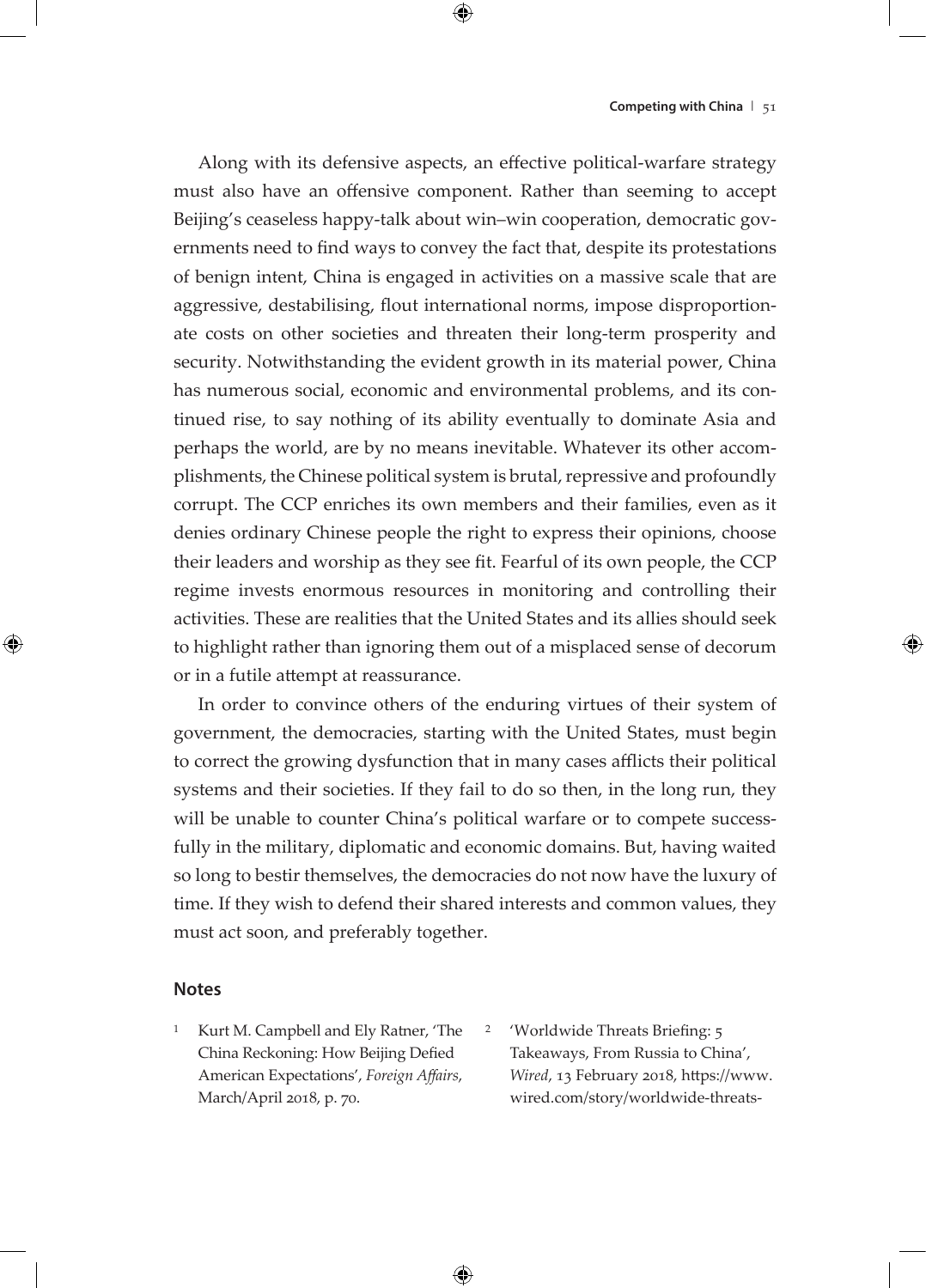Along with its defensive aspects, an effective political-warfare strategy must also have an offensive component. Rather than seeming to accept Beijing's ceaseless happy-talk about win–win cooperation, democratic governments need to find ways to convey the fact that, despite its protestations of benign intent, China is engaged in activities on a massive scale that are aggressive, destabilising, flout international norms, impose disproportionate costs on other societies and threaten their long-term prosperity and security. Notwithstanding the evident growth in its material power, China has numerous social, economic and environmental problems, and its continued rise, to say nothing of its ability eventually to dominate Asia and perhaps the world, are by no means inevitable. Whatever its other accomplishments, the Chinese political system is brutal, repressive and profoundly corrupt. The CCP enriches its own members and their families, even as it denies ordinary Chinese people the right to express their opinions, choose their leaders and worship as they see fit. Fearful of its own people, the CCP regime invests enormous resources in monitoring and controlling their activities. These are realities that the United States and its allies should seek to highlight rather than ignoring them out of a misplaced sense of decorum or in a futile attempt at reassurance.

In order to convince others of the enduring virtues of their system of government, the democracies, starting with the United States, must begin to correct the growing dysfunction that in many cases afflicts their political systems and their societies. If they fail to do so then, in the long run, they will be unable to counter China's political warfare or to compete successfully in the military, diplomatic and economic domains. But, having waited so long to bestir themselves, the democracies do not now have the luxury of time. If they wish to defend their shared interests and common values, they must act soon, and preferably together.

#### **Notes**

- <sup>1</sup> Kurt M. Campbell and Ely Ratner, 'The China Reckoning: How Beijing Defied American Expectations', *Foreign Affairs*, March/April 2018, p. 70.
- <sup>2</sup> 'Worldwide Threats Briefing: 5 Takeaways, From Russia to China', *Wired*, 13 February 2018, https://www. wired.com/story/worldwide-threats-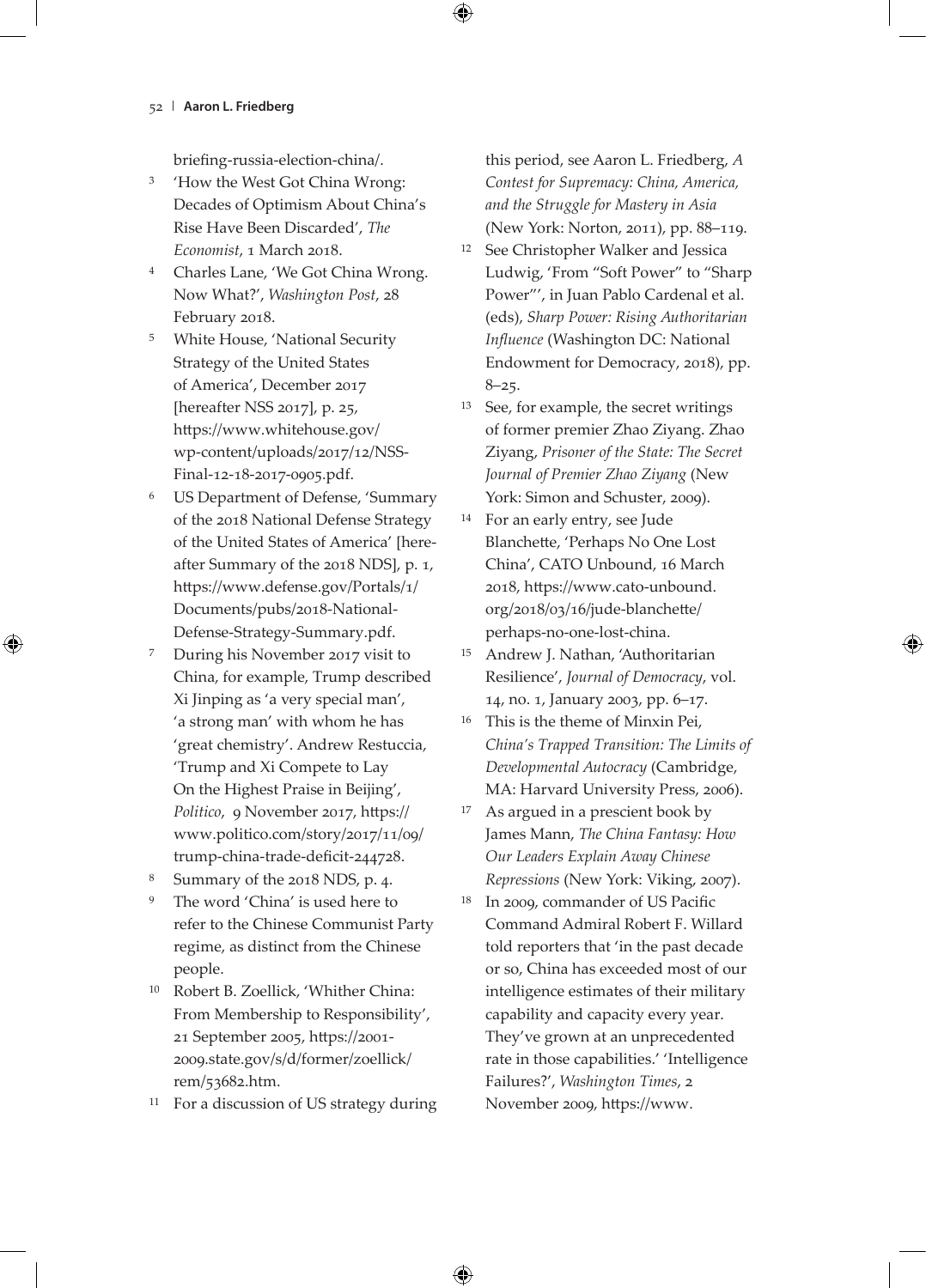briefing-russia-election-china/.

- <sup>3</sup> 'How the West Got China Wrong: Decades of Optimism About China's Rise Have Been Discarded', *The Economist*, 1 March 2018.
- <sup>4</sup> Charles Lane, 'We Got China Wrong. Now What?', *Washington Post*, 28 February 2018.
- <sup>5</sup> White House, 'National Security Strategy of the United States of America', December 2017 [hereafter NSS 2017], p. 25, https://www.whitehouse.gov/ wp-content/uploads/2017/12/NSS-Final-12-18-2017-0905.pdf.
- <sup>6</sup> US Department of Defense, 'Summary of the 2018 National Defense Strategy of the United States of America' [hereafter Summary of the 2018 NDS], p. 1, https://www.defense.gov/Portals/1/ Documents/pubs/2018-National-Defense-Strategy-Summary.pdf.
- <sup>7</sup> During his November 2017 visit to China, for example, Trump described Xi Jinping as 'a very special man', 'a strong man' with whom he has 'great chemistry'. Andrew Restuccia, 'Trump and Xi Compete to Lay On the Highest Praise in Beijing', *Politico*, 9 November 2017, https:// www.politico.com/story/2017/11/09/ trump-china-trade-deficit-244728.
- Summary of the 2018 NDS, p. 4.
- The word 'China' is used here to refer to the Chinese Communist Party regime, as distinct from the Chinese people.
- <sup>10</sup> Robert B. Zoellick, 'Whither China: From Membership to Responsibility', 21 September 2005, https://2001- 2009.state.gov/s/d/former/zoellick/ rem/53682.htm.
- <sup>11</sup> For a discussion of US strategy during

this period, see Aaron L. Friedberg, *A Contest for Supremacy: China, America, and the Struggle for Mastery in Asia* (New York: Norton, 2011), pp. 88–119.

- <sup>12</sup> See Christopher Walker and Jessica Ludwig, 'From "Soft Power" to "Sharp Power"', in Juan Pablo Cardenal et al. (eds), *Sharp Power: Rising Authoritarian Influence* (Washington DC: National Endowment for Democracy, 2018), pp.  $8 - 25.$
- <sup>13</sup> See, for example, the secret writings of former premier Zhao Ziyang. Zhao Ziyang, *Prisoner of the State: The Secret Journal of Premier Zhao Ziyang* (New York: Simon and Schuster, 2009).
- <sup>14</sup> For an early entry, see Jude Blanchette, 'Perhaps No One Lost China', CATO Unbound, 16 March 2018, https://www.cato-unbound. org/2018/03/16/jude-blanchette/ perhaps-no-one-lost-china.
- <sup>15</sup> Andrew J. Nathan, 'Authoritarian Resilience', *Journal of Democracy*, vol. 14, no. 1, January 2003, pp. 6–17.
- <sup>16</sup> This is the theme of Minxin Pei, *China's Trapped Transition: The Limits of Developmental Autocracy* (Cambridge, MA: Harvard University Press, 2006).
- <sup>17</sup> As argued in a prescient book by James Mann, *The China Fantasy: How Our Leaders Explain Away Chinese Repressions* (New York: Viking, 2007).
- <sup>18</sup> In 2009, commander of US Pacific Command Admiral Robert F. Willard told reporters that 'in the past decade or so, China has exceeded most of our intelligence estimates of their military capability and capacity every year. They've grown at an unprecedented rate in those capabilities.' 'Intelligence Failures?', *Washington Times*, 2 November 2009, https://www.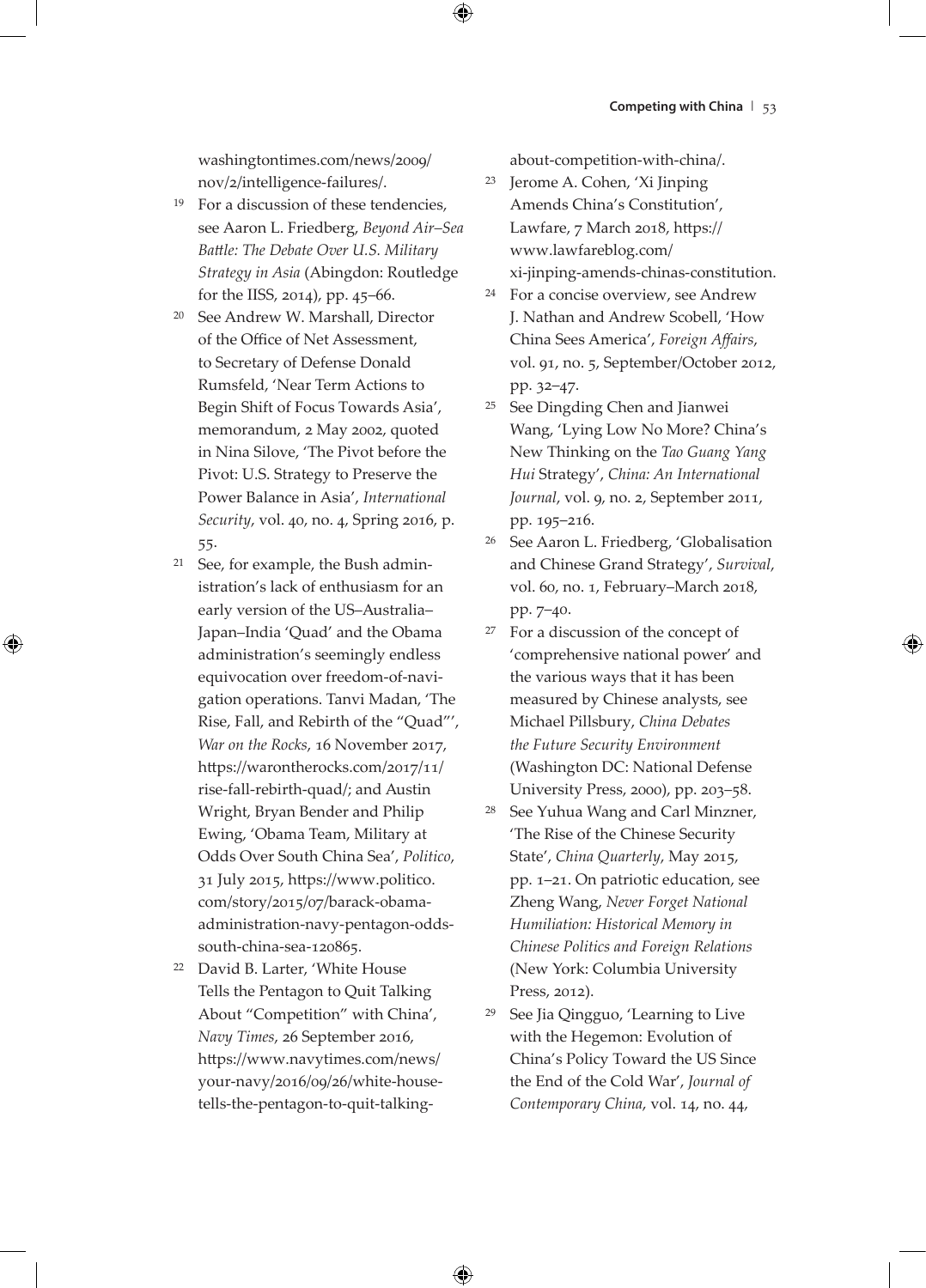washingtontimes.com/news/2009/ nov/2/intelligence-failures/.

- <sup>19</sup> For a discussion of these tendencies, see Aaron L. Friedberg, *Beyond Air–Sea Battle: The Debate Over U.S. Military Strategy in Asia* (Abingdon: Routledge for the IISS, 2014), pp. 45–66.
- <sup>20</sup> See Andrew W. Marshall, Director of the Office of Net Assessment, to Secretary of Defense Donald Rumsfeld, 'Near Term Actions to Begin Shift of Focus Towards Asia', memorandum, 2 May 2002, quoted in Nina Silove, 'The Pivot before the Pivot: U.S. Strategy to Preserve the Power Balance in Asia', *International Security*, vol. 40, no. 4, Spring 2016, p. 55.
- <sup>21</sup> See, for example, the Bush administration's lack of enthusiasm for an early version of the US–Australia– Japan–India 'Quad' and the Obama administration's seemingly endless equivocation over freedom-of-navigation operations. Tanvi Madan, 'The Rise, Fall, and Rebirth of the "Quad"', *War on the Rocks*, 16 November 2017, https://warontherocks.com/2017/11/ rise-fall-rebirth-quad/; and Austin Wright, Bryan Bender and Philip Ewing, 'Obama Team, Military at Odds Over South China Sea', *Politico*, 31 July 2015, https://www.politico. com/story/2015/07/barack-obamaadministration-navy-pentagon-oddssouth-china-sea-120865.
- <sup>22</sup> David B. Larter, 'White House Tells the Pentagon to Quit Talking About "Competition" with China', *Navy Times*, 26 September 2016, https://www.navytimes.com/news/ your-navy/2016/09/26/white-housetells-the-pentagon-to-quit-talking-

about-competition-with-china/.

- <sup>23</sup> Jerome A. Cohen, 'Xi Jinping Amends China's Constitution', Lawfare, 7 March 2018, https:// www.lawfareblog.com/ xi-jinping-amends-chinas-constitution.
- <sup>24</sup> For a concise overview, see Andrew J. Nathan and Andrew Scobell, 'How China Sees America', *Foreign Affairs*, vol. 91, no. 5, September/October 2012, pp. 32–47.
- <sup>25</sup> See Dingding Chen and Jianwei Wang, 'Lying Low No More? China's New Thinking on the *Tao Guang Yang Hui* Strategy', *China: An International Journal*, vol. 9, no. 2, September 2011, pp. 195–216.
- <sup>26</sup> See Aaron L. Friedberg, 'Globalisation and Chinese Grand Strategy', *Survival*, vol. 60, no. 1, February–March 2018, pp. 7–40.
- <sup>27</sup> For a discussion of the concept of 'comprehensive national power' and the various ways that it has been measured by Chinese analysts, see Michael Pillsbury, *China Debates the Future Security Environment* (Washington DC: National Defense University Press, 2000), pp. 203–58.
- <sup>28</sup> See Yuhua Wang and Carl Minzner, 'The Rise of the Chinese Security State', *China Quarterly*, May 2015, pp. 1–21. On patriotic education, see Zheng Wang, *Never Forget National Humiliation: Historical Memory in Chinese Politics and Foreign Relations* (New York: Columbia University Press, 2012).
- <sup>29</sup> See Jia Qingguo, 'Learning to Live with the Hegemon: Evolution of China's Policy Toward the US Since the End of the Cold War', *Journal of Contemporary China*, vol. 14, no. 44,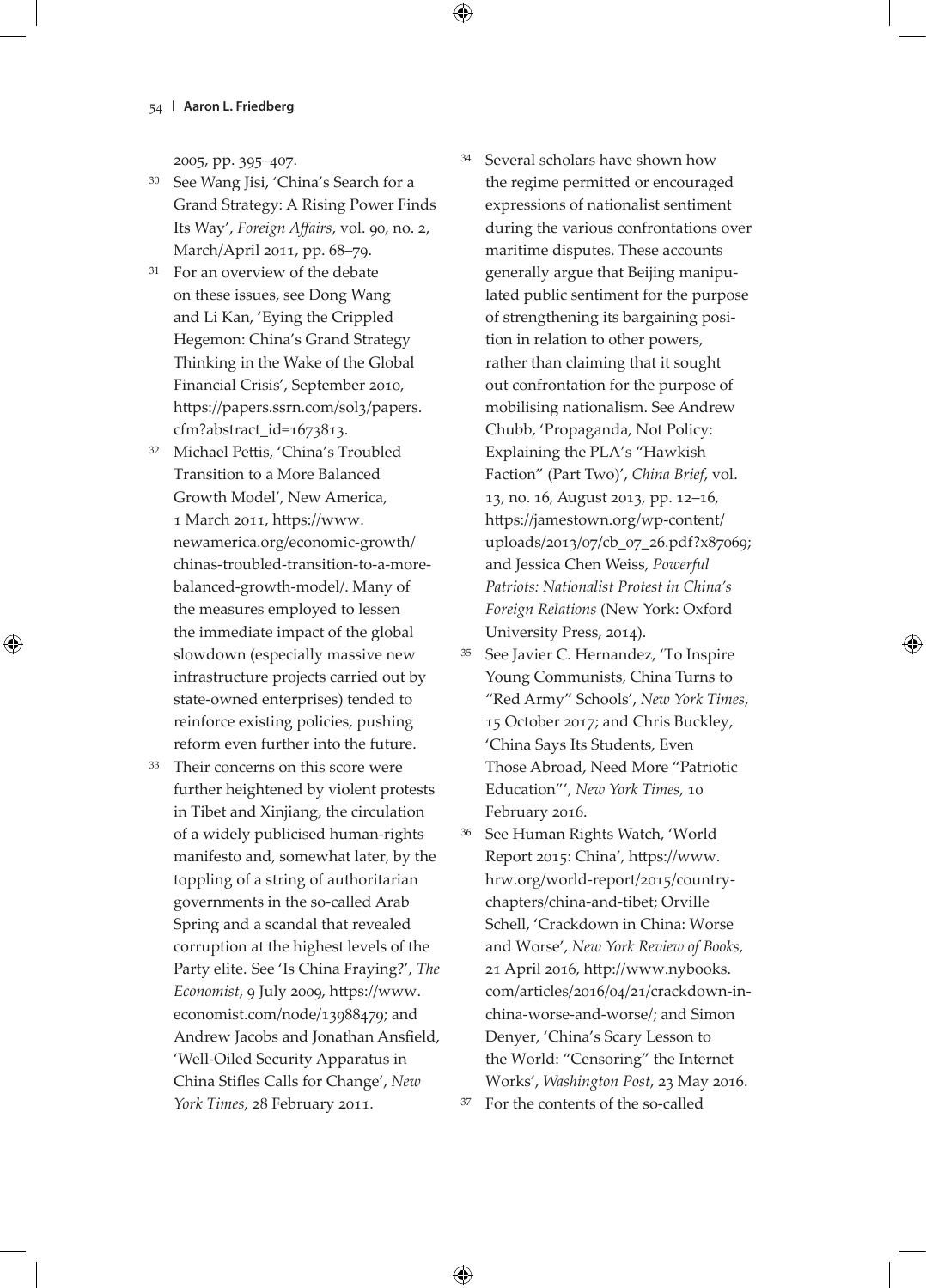2005, pp. 395–407.

- See Wang Jisi, 'China's Search for a Grand Strategy: A Rising Power Finds Its Way', *Foreign Affairs*, vol. 90, no. 2, March/April 2011, pp. 68–79.
- <sup>31</sup> For an overview of the debate on these issues, see Dong Wang and Li Kan, 'Eying the Crippled Hegemon: China's Grand Strategy Thinking in the Wake of the Global Financial Crisis', September 2010, https://papers.ssrn.com/sol3/papers. cfm?abstract\_id=1673813.
- <sup>32</sup> Michael Pettis, 'China's Troubled Transition to a More Balanced Growth Model', New America, 1 March 2011, https://www. newamerica.org/economic-growth/ chinas-troubled-transition-to-a-morebalanced-growth-model/. Many of the measures employed to lessen the immediate impact of the global slowdown (especially massive new infrastructure projects carried out by state-owned enterprises) tended to reinforce existing policies, pushing reform even further into the future.
- <sup>33</sup> Their concerns on this score were further heightened by violent protests in Tibet and Xinjiang, the circulation of a widely publicised human-rights manifesto and, somewhat later, by the toppling of a string of authoritarian governments in the so-called Arab Spring and a scandal that revealed corruption at the highest levels of the Party elite. See 'Is China Fraying?', *The Economist*, 9 July 2009, https://www. economist.com/node/13988479; and Andrew Jacobs and Jonathan Ansfield, 'Well-Oiled Security Apparatus in China Stifles Calls for Change', *New York Times*, 28 February 2011.
- <sup>34</sup> Several scholars have shown how the regime permitted or encouraged expressions of nationalist sentiment during the various confrontations over maritime disputes. These accounts generally argue that Beijing manipulated public sentiment for the purpose of strengthening its bargaining position in relation to other powers, rather than claiming that it sought out confrontation for the purpose of mobilising nationalism. See Andrew Chubb, 'Propaganda, Not Policy: Explaining the PLA's "Hawkish Faction" (Part Two)', *China Brief*, vol. 13, no. 16, August 2013, pp. 12–16, https://jamestown.org/wp-content/ uploads/2013/07/cb\_07\_26.pdf?x87069; and Jessica Chen Weiss, *Powerful Patriots: Nationalist Protest in China's Foreign Relations* (New York: Oxford University Press, 2014).
- <sup>35</sup> See Javier C. Hernandez, 'To Inspire Young Communists, China Turns to "Red Army" Schools', *New York Times*, 15 October 2017; and Chris Buckley, 'China Says Its Students, Even Those Abroad, Need More "Patriotic Education"', *New York Times*, 10 February 2016.
- <sup>36</sup> See Human Rights Watch, 'World Report 2015: China', https://www. hrw.org/world-report/2015/countrychapters/china-and-tibet; Orville Schell, 'Crackdown in China: Worse and Worse', *New York Review of Books*, 21 April 2016, http://www.nybooks. com/articles/2016/04/21/crackdown-inchina-worse-and-worse/; and Simon Denyer, 'China's Scary Lesson to the World: "Censoring" the Internet Works', *Washington Post*, 23 May 2016. <sup>37</sup> For the contents of the so-called
-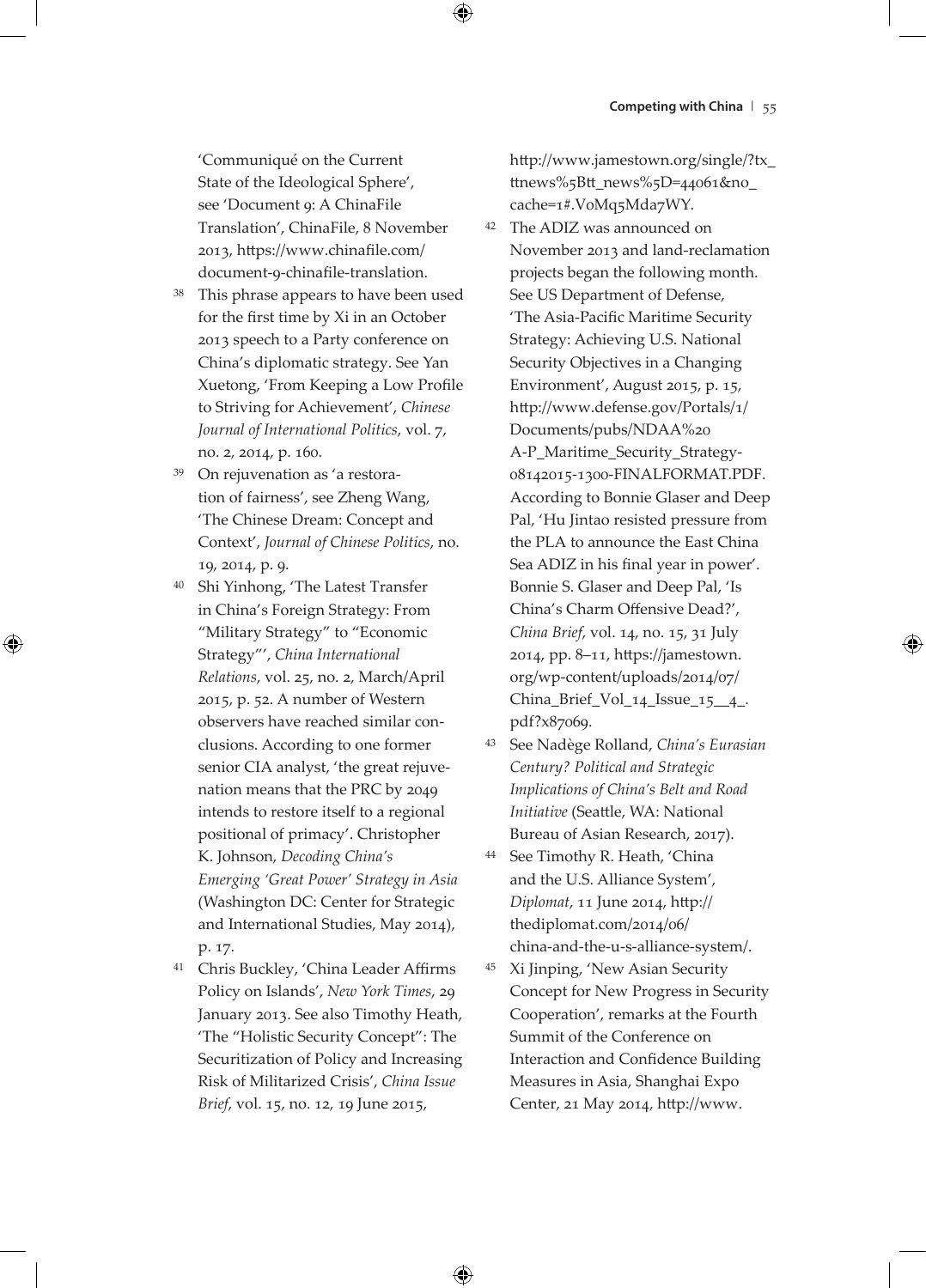'Communiqué on the Current State of the Ideological Sphere', see 'Document 9: A ChinaFile Translation', ChinaFile, 8 November 2013, https://www.chinafile.com/ document-9-chinafile-translation.

- This phrase appears to have been used for the first time by Xi in an October 2013 speech to a Party conference on China's diplomatic strategy. See Yan Xuetong, 'From Keeping a Low Profile to Striving for Achievement', *Chinese Journal of International Politics*, vol. 7, no. 2, 2014, p. 160.
- <sup>39</sup> On rejuvenation as 'a restoration of fairness', see Zheng Wang, 'The Chinese Dream: Concept and Context', *Journal of Chinese Politics*, no. 19, 2014, p. 9.
- <sup>40</sup> Shi Yinhong, 'The Latest Transfer in China's Foreign Strategy: From "Military Strategy" to "Economic Strategy"', *China International Relations*, vol. 25, no. 2, March/April 2015, p. 52. A number of Western observers have reached similar conclusions. According to one former senior CIA analyst, 'the great rejuvenation means that the PRC by 2049 intends to restore itself to a regional positional of primacy'. Christopher K. Johnson, *Decoding China's Emerging 'Great Power' Strategy in Asia* (Washington DC: Center for Strategic and International Studies, May 2014), p. 17.
- <sup>41</sup> Chris Buckley, 'China Leader Affirms Policy on Islands', *New York Times*, 29 January 2013. See also Timothy Heath, 'The "Holistic Security Concept": The Securitization of Policy and Increasing Risk of Militarized Crisis', *China Issue Brief*, vol. 15, no. 12, 19 June 2015,

http://www.jamestown.org/single/?tx\_ ttnews%5Btt\_news%5D=44061&no\_ cache=1#.V0Mq5Mda7WY.

- <sup>42</sup> The ADIZ was announced on November 2013 and land-reclamation projects began the following month. See US Department of Defense, 'The Asia-Pacific Maritime Security Strategy: Achieving U.S. National Security Objectives in a Changing Environment', August 2015, p. 15, http://www.defense.gov/Portals/1/ Documents/pubs/NDAA%20 A-P\_Maritime\_Security\_Strategy-08142015-1300-FINALFORMAT.PDF. According to Bonnie Glaser and Deep Pal, 'Hu Jintao resisted pressure from the PLA to announce the East China Sea ADIZ in his final year in power'. Bonnie S. Glaser and Deep Pal, 'Is China's Charm Offensive Dead?', *China Brief*, vol. 14, no. 15, 31 July 2014, pp. 8–11, https://jamestown. org/wp-content/uploads/2014/07/ China\_Brief\_Vol\_14\_Issue\_15\_\_4\_. pdf?x87069.
- <sup>43</sup> See Nadège Rolland, *China's Eurasian Century? Political and Strategic Implications of China's Belt and Road Initiative* (Seattle, WA: National Bureau of Asian Research, 2017).
- <sup>44</sup> See Timothy R. Heath, 'China and the U.S. Alliance System', *Diplomat*, 11 June 2014, http:// thediplomat.com/2014/06/ china-and-the-u-s-alliance-system/.
- <sup>45</sup> Xi Jinping, 'New Asian Security Concept for New Progress in Security Cooperation', remarks at the Fourth Summit of the Conference on Interaction and Confidence Building Measures in Asia, Shanghai Expo Center, 21 May 2014, http://www.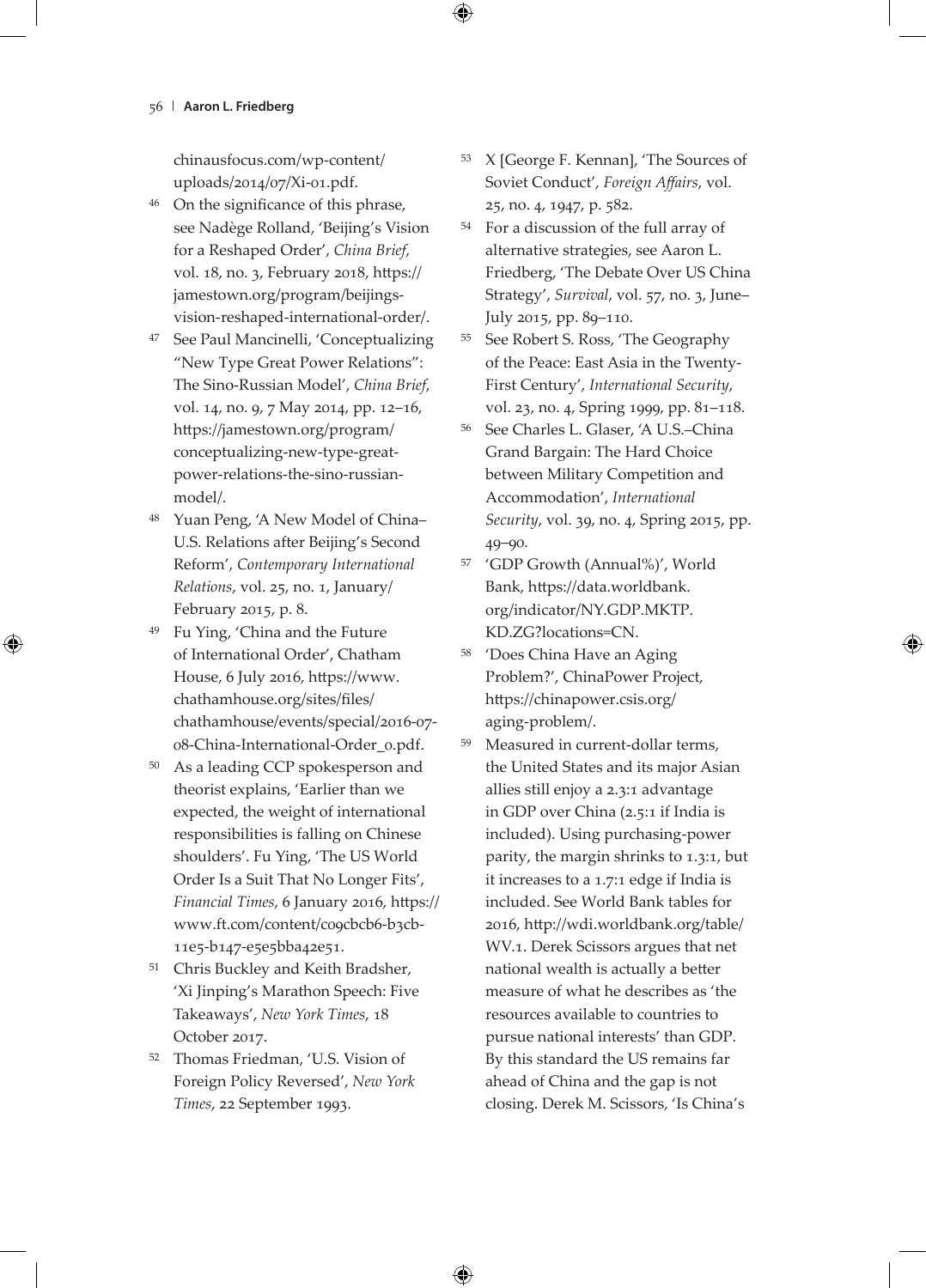chinausfocus.com/wp-content/ uploads/2014/07/Xi-01.pdf.

- <sup>46</sup> On the significance of this phrase, see Nadège Rolland, 'Beijing's Vision for a Reshaped Order', *China Brief*, vol. 18, no. 3, February 2018, https:// jamestown.org/program/beijingsvision-reshaped-international-order/.
- <sup>47</sup> See Paul Mancinelli, 'Conceptualizing "New Type Great Power Relations": The Sino-Russian Model', *China Brief*, vol. 14, no. 9, 7 May 2014, pp. 12–16, https://jamestown.org/program/ conceptualizing-new-type-greatpower-relations-the-sino-russianmodel/.
- Yuan Peng, 'A New Model of China– U.S. Relations after Beijing's Second Reform', *Contemporary International Relations*, vol. 25, no. 1, January/ February 2015, p. 8.
- <sup>49</sup> Fu Ying, 'China and the Future of International Order', Chatham House, 6 July 2016, https://www. chathamhouse.org/sites/files/ chathamhouse/events/special/2016-07- 08-China-International-Order\_0.pdf.
- As a leading CCP spokesperson and theorist explains, 'Earlier than we expected, the weight of international responsibilities is falling on Chinese shoulders'. Fu Ying, 'The US World Order Is a Suit That No Longer Fits', *Financial Times*, 6 January 2016, https:// www.ft.com/content/c09cbcb6-b3cb-11e5-b147-e5e5bba42e51.
- <sup>51</sup> Chris Buckley and Keith Bradsher, 'Xi Jinping's Marathon Speech: Five Takeaways', *New York Times*, 18 October 2017.
- <sup>52</sup> Thomas Friedman, 'U.S. Vision of Foreign Policy Reversed', *New York Times*, 22 September 1993.
- <sup>53</sup> X [George F. Kennan], 'The Sources of Soviet Conduct', *Foreign Affairs*, vol. 25, no. 4, 1947, p. 582.
- <sup>54</sup> For a discussion of the full array of alternative strategies, see Aaron L. Friedberg, 'The Debate Over US China Strategy', *Survival*, vol. 57, no. 3, June– July 2015, pp. 89–110.
- <sup>55</sup> See Robert S. Ross, 'The Geography of the Peace: East Asia in the Twenty-First Century', *International Security*, vol. 23, no. 4, Spring 1999, pp. 81–118.
- <sup>56</sup> See Charles L. Glaser, 'A U.S.–China Grand Bargain: The Hard Choice between Military Competition and Accommodation', *International Security*, vol. 39, no. 4, Spring 2015, pp. 49–90.
- <sup>57</sup> 'GDP Growth (Annual%)', World Bank, https://data.worldbank. org/indicator/NY.GDP.MKTP. KD.ZG?locations=CN.
- <sup>58</sup> 'Does China Have an Aging Problem?', ChinaPower Project, https://chinapower.csis.org/ aging-problem/.
- <sup>59</sup> Measured in current-dollar terms, the United States and its major Asian allies still enjoy a 2.3:1 advantage in GDP over China (2.5:1 if India is included). Using purchasing-power parity, the margin shrinks to 1.3:1, but it increases to a 1.7:1 edge if India is included. See World Bank tables for 2016, http://wdi.worldbank.org/table/ WV.1. Derek Scissors argues that net national wealth is actually a better measure of what he describes as 'the resources available to countries to pursue national interests' than GDP. By this standard the US remains far ahead of China and the gap is not closing. Derek M. Scissors, 'Is China's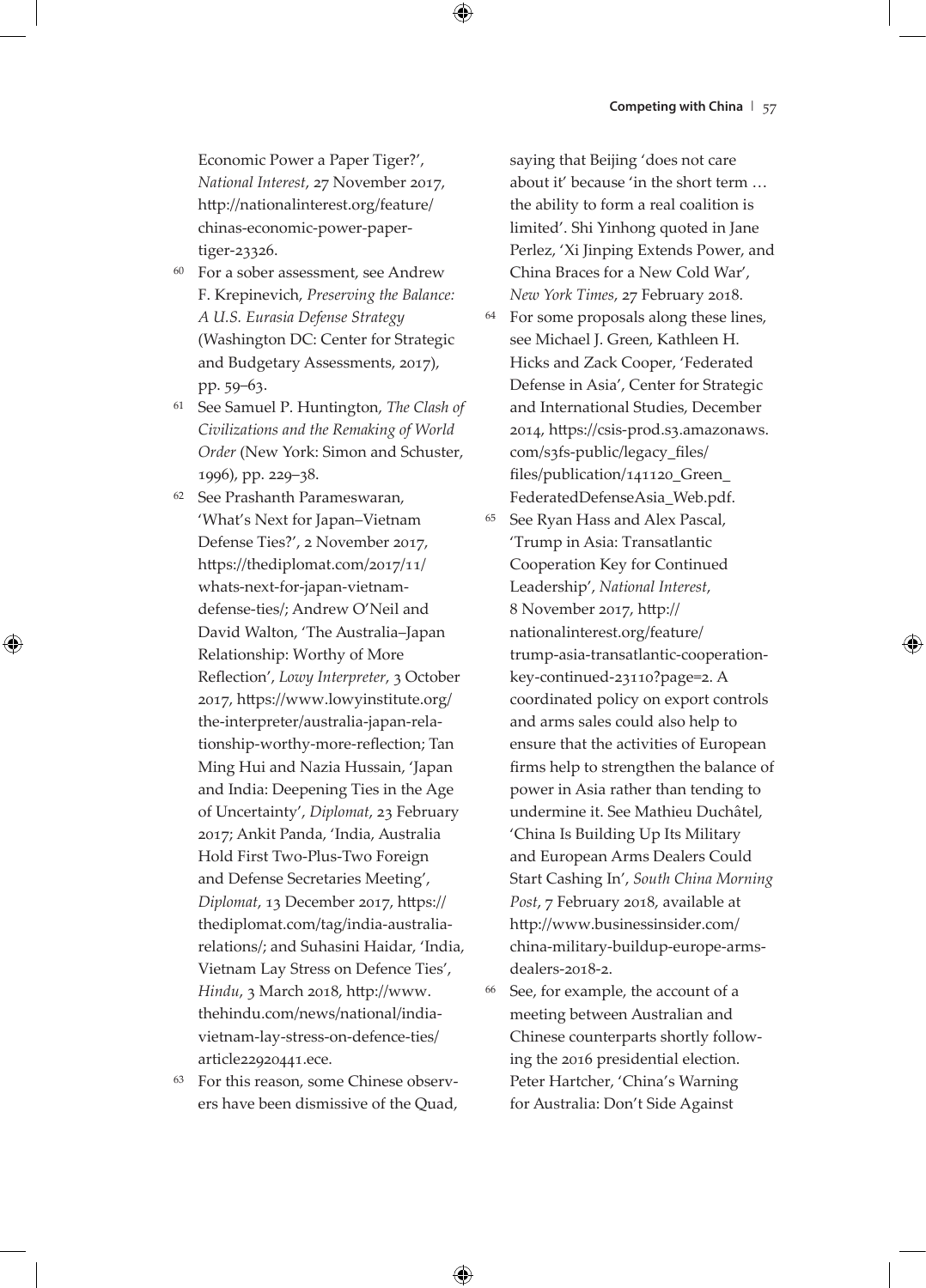Economic Power a Paper Tiger?', *National Interest*, 27 November 2017, http://nationalinterest.org/feature/ chinas-economic-power-papertiger-23326.

- <sup>60</sup> For a sober assessment, see Andrew F. Krepinevich, *Preserving the Balance: A U.S. Eurasia Defense Strategy* (Washington DC: Center for Strategic and Budgetary Assessments, 2017), pp. 59–63.
- <sup>61</sup> See Samuel P. Huntington, *The Clash of Civilizations and the Remaking of World Order* (New York: Simon and Schuster, 1996), pp. 229–38.
- <sup>62</sup> See Prashanth Parameswaran, 'What's Next for Japan–Vietnam Defense Ties?', 2 November 2017, https://thediplomat.com/2017/11/ whats-next-for-japan-vietnamdefense-ties/; Andrew O'Neil and David Walton, 'The Australia–Japan Relationship: Worthy of More Reflection', *Lowy Interpreter*, 3 October 2017, https://www.lowyinstitute.org/ the-interpreter/australia-japan-relationship-worthy-more-reflection; Tan Ming Hui and Nazia Hussain, 'Japan and India: Deepening Ties in the Age of Uncertainty', *Diplomat*, 23 February 2017; Ankit Panda, 'India, Australia Hold First Two-Plus-Two Foreign and Defense Secretaries Meeting', *Diplomat*, 13 December 2017, https:// thediplomat.com/tag/india-australiarelations/; and Suhasini Haidar, 'India, Vietnam Lay Stress on Defence Ties', *Hindu*, 3 March 2018, http://www. thehindu.com/news/national/indiavietnam-lay-stress-on-defence-ties/ article22920441.ece.
- <sup>63</sup> For this reason, some Chinese observers have been dismissive of the Quad,

saying that Beijing 'does not care about it' because 'in the short term … the ability to form a real coalition is limited'. Shi Yinhong quoted in Jane Perlez, 'Xi Jinping Extends Power, and China Braces for a New Cold War', *New York Times*, 27 February 2018.

- <sup>64</sup> For some proposals along these lines, see Michael J. Green, Kathleen H. Hicks and Zack Cooper, 'Federated Defense in Asia', Center for Strategic and International Studies, December 2014, https://csis-prod.s3.amazonaws. com/s3fs-public/legacy\_files/ files/publication/141120\_Green\_ FederatedDefenseAsia\_Web.pdf.
- <sup>65</sup> See Ryan Hass and Alex Pascal, 'Trump in Asia: Transatlantic Cooperation Key for Continued Leadership', *National Interest*, 8 November 2017, http:// nationalinterest.org/feature/ trump-asia-transatlantic-cooperationkey-continued-23110?page=2. A coordinated policy on export controls and arms sales could also help to ensure that the activities of European firms help to strengthen the balance of power in Asia rather than tending to undermine it. See Mathieu Duchâtel, 'China Is Building Up Its Military and European Arms Dealers Could Start Cashing In', *South China Morning Post*, 7 February 2018, available at http://www.businessinsider.com/ china-military-buildup-europe-armsdealers-2018-2.
- <sup>66</sup> See, for example, the account of a meeting between Australian and Chinese counterparts shortly following the 2016 presidential election. Peter Hartcher, 'China's Warning for Australia: Don't Side Against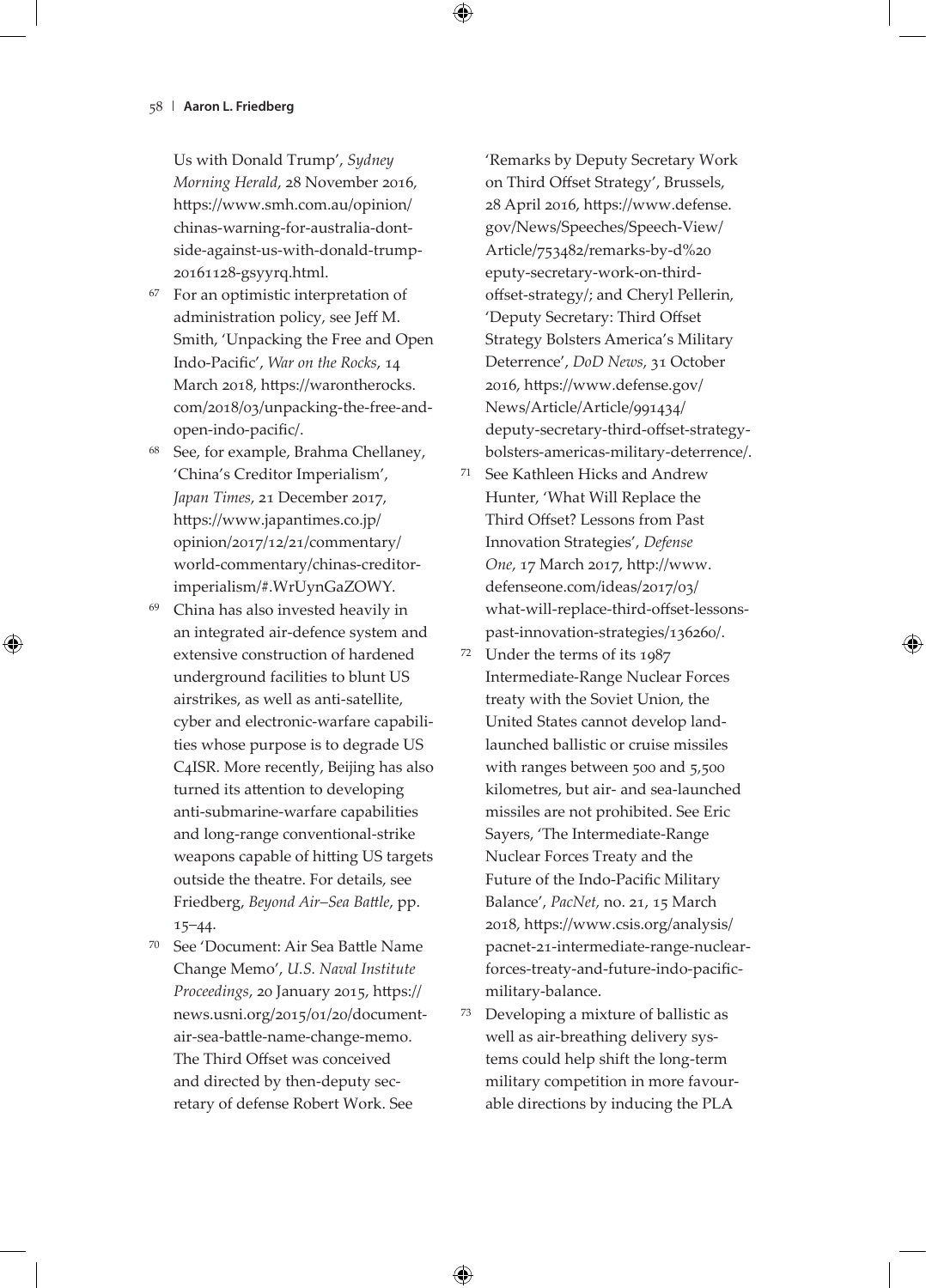Us with Donald Trump', *Sydney Morning Herald*, 28 November 2016, https://www.smh.com.au/opinion/ chinas-warning-for-australia-dontside-against-us-with-donald-trump-20161128-gsyyrq.html.

- For an optimistic interpretation of administration policy, see Jeff M. Smith, 'Unpacking the Free and Open Indo-Pacific', *War on the Rocks*, 14 March 2018, https://warontherocks. com/2018/03/unpacking-the-free-andopen-indo-pacific/.
- <sup>68</sup> See, for example, Brahma Chellaney, 'China's Creditor Imperialism', *Japan Times*, 21 December 2017, https://www.japantimes.co.jp/ opinion/2017/12/21/commentary/ world-commentary/chinas-creditorimperialism/#.WrUynGaZOWY.
- <sup>69</sup> China has also invested heavily in an integrated air-defence system and extensive construction of hardened underground facilities to blunt US airstrikes, as well as anti-satellite, cyber and electronic-warfare capabilities whose purpose is to degrade US C4ISR. More recently, Beijing has also turned its attention to developing anti-submarine-warfare capabilities and long-range conventional-strike weapons capable of hitting US targets outside the theatre. For details, see Friedberg, *Beyond Air–Sea Battle*, pp. 15–44.
- <sup>70</sup> See 'Document: Air Sea Battle Name Change Memo', *U.S. Naval Institute Proceedings*, 20 January 2015, https:// news.usni.org/2015/01/20/documentair-sea-battle-name-change-memo. The Third Offset was conceived and directed by then-deputy secretary of defense Robert Work. See

'Remarks by Deputy Secretary Work on Third Offset Strategy', Brussels, 28 April 2016, https://www.defense. gov/News/Speeches/Speech-View/ Article/753482/remarks-by-d%20 eputy-secretary-work-on-thirdoffset-strategy/; and Cheryl Pellerin, 'Deputy Secretary: Third Offset Strategy Bolsters America's Military Deterrence', *DoD News*, 31 October 2016, https://www.defense.gov/ News/Article/Article/991434/ deputy-secretary-third-offset-strategybolsters-americas-military-deterrence/.

- <sup>71</sup> See Kathleen Hicks and Andrew Hunter, 'What Will Replace the Third Offset? Lessons from Past Innovation Strategies', *Defense One*, 17 March 2017, http://www. defenseone.com/ideas/2017/03/ what-will-replace-third-offset-lessonspast-innovation-strategies/136260/.
- <sup>72</sup> Under the terms of its 1987 Intermediate-Range Nuclear Forces treaty with the Soviet Union, the United States cannot develop landlaunched ballistic or cruise missiles with ranges between 500 and 5,500 kilometres, but air- and sea-launched missiles are not prohibited. See Eric Sayers, 'The Intermediate-Range Nuclear Forces Treaty and the Future of the Indo-Pacific Military Balance', *PacNet,* no. 21, 15 March 2018, https://www.csis.org/analysis/ pacnet-21-intermediate-range-nuclearforces-treaty-and-future-indo-pacificmilitary-balance.
- <sup>73</sup> Developing a mixture of ballistic as well as air-breathing delivery systems could help shift the long-term military competition in more favourable directions by inducing the PLA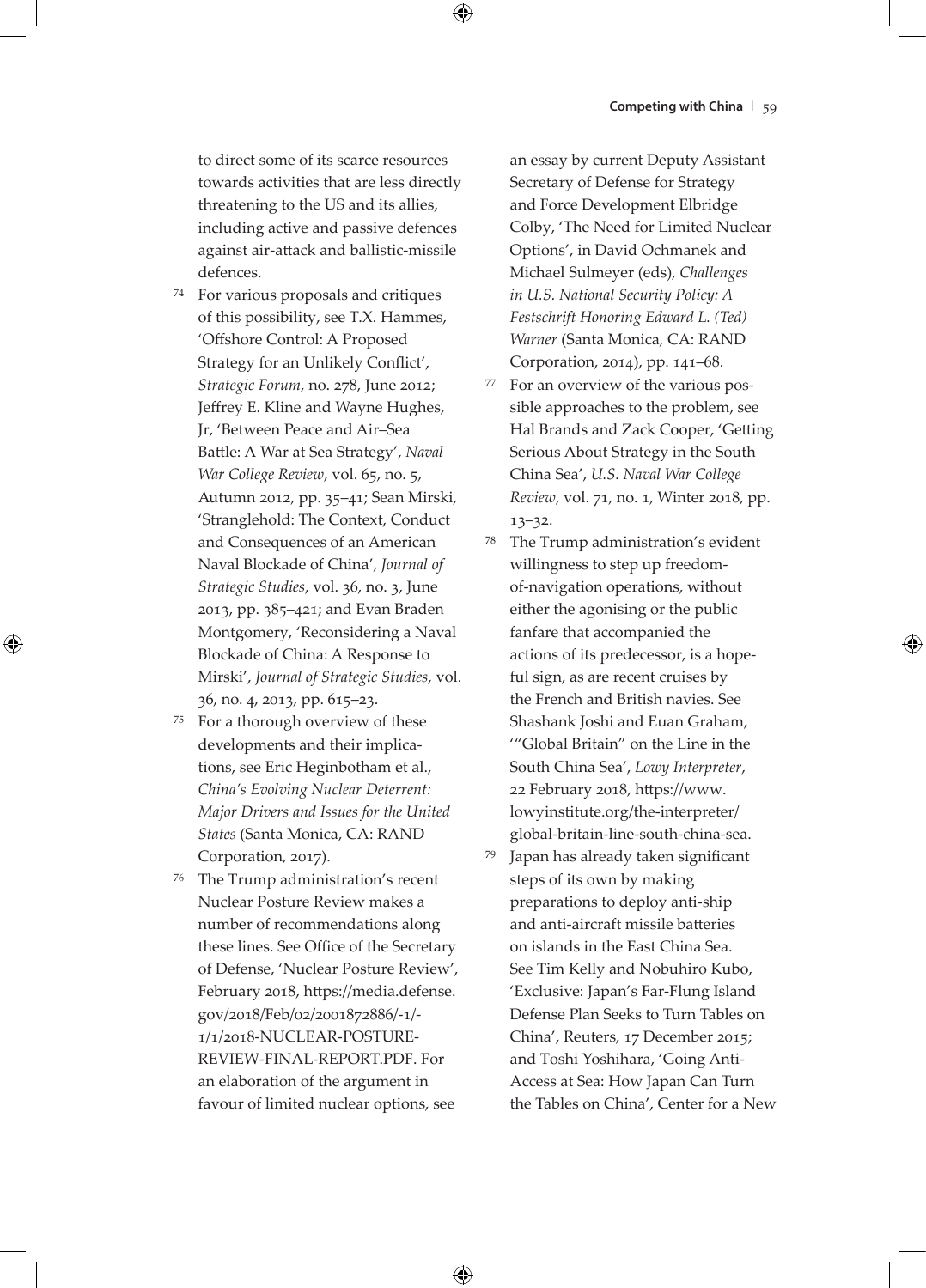to direct some of its scarce resources towards activities that are less directly threatening to the US and its allies, including active and passive defences against air-attack and ballistic-missile defences.

- <sup>74</sup> For various proposals and critiques of this possibility, see T.X. Hammes, 'Offshore Control: A Proposed Strategy for an Unlikely Conflict', *Strategic Forum*, no. 278, June 2012; Jeffrey E. Kline and Wayne Hughes, Jr, 'Between Peace and Air–Sea Battle: A War at Sea Strategy', *Naval War College Review*, vol. 65, no. 5, Autumn 2012, pp. 35–41; Sean Mirski, 'Stranglehold: The Context, Conduct and Consequences of an American Naval Blockade of China', *Journal of Strategic Studies*, vol. 36, no. 3, June 2013, pp. 385–421; and Evan Braden Montgomery, 'Reconsidering a Naval Blockade of China: A Response to Mirski', *Journal of Strategic Studies*, vol. 36, no. 4, 2013, pp. 615–23.
- <sup>75</sup> For a thorough overview of these developments and their implications, see Eric Heginbotham et al., *China's Evolving Nuclear Deterrent: Major Drivers and Issues for the United States* (Santa Monica, CA: RAND Corporation, 2017).
- <sup>76</sup> The Trump administration's recent Nuclear Posture Review makes a number of recommendations along these lines. See Office of the Secretary of Defense, 'Nuclear Posture Review', February 2018, https://media.defense. gov/2018/Feb/02/2001872886/-1/- 1/1/2018-NUCLEAR-POSTURE-REVIEW-FINAL-REPORT.PDF. For an elaboration of the argument in favour of limited nuclear options, see

an essay by current Deputy Assistant Secretary of Defense for Strategy and Force Development Elbridge Colby, 'The Need for Limited Nuclear Options', in David Ochmanek and Michael Sulmeyer (eds), *Challenges in U.S. National Security Policy: A Festschrift Honoring Edward L. (Ted) Warner* (Santa Monica, CA: RAND Corporation, 2014), pp. 141–68.

<sup>77</sup> For an overview of the various possible approaches to the problem, see Hal Brands and Zack Cooper, 'Getting Serious About Strategy in the South China Sea', *U.S. Naval War College Review*, vol. 71, no. 1, Winter 2018, pp. 13–32.

<sup>78</sup> The Trump administration's evident willingness to step up freedomof-navigation operations, without either the agonising or the public fanfare that accompanied the actions of its predecessor, is a hopeful sign, as are recent cruises by the French and British navies. See Shashank Joshi and Euan Graham, '"Global Britain" on the Line in the South China Sea', *Lowy Interpreter*, 22 February 2018, https://www. lowyinstitute.org/the-interpreter/ global-britain-line-south-china-sea.

<sup>79</sup> Japan has already taken significant steps of its own by making preparations to deploy anti-ship and anti-aircraft missile batteries on islands in the East China Sea. See Tim Kelly and Nobuhiro Kubo, 'Exclusive: Japan's Far-Flung Island Defense Plan Seeks to Turn Tables on China', Reuters, 17 December 2015; and Toshi Yoshihara, 'Going Anti-Access at Sea: How Japan Can Turn the Tables on China', Center for a New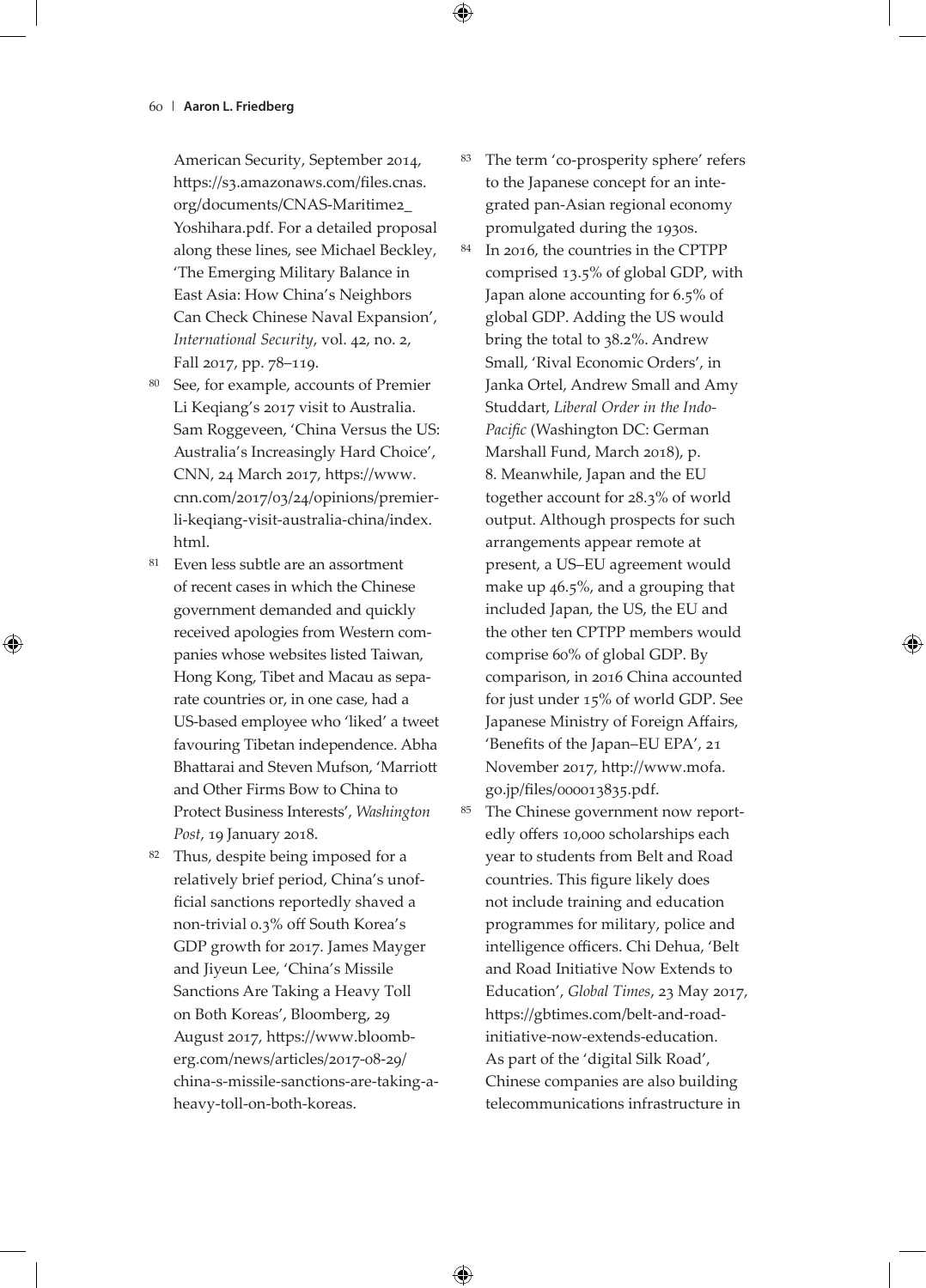American Security, September 2014, https://s3.amazonaws.com/files.cnas. org/documents/CNAS-Maritime2\_ Yoshihara.pdf. For a detailed proposal along these lines, see Michael Beckley, 'The Emerging Military Balance in East Asia: How China's Neighbors Can Check Chinese Naval Expansion', *International Security*, vol. 42, no. 2, Fall 2017, pp. 78–119.

- <sup>80</sup> See, for example, accounts of Premier Li Keqiang's 2017 visit to Australia. Sam Roggeveen, 'China Versus the US: Australia's Increasingly Hard Choice', CNN, 24 March 2017, https://www. cnn.com/2017/03/24/opinions/premierli-keqiang-visit-australia-china/index. html.
- <sup>81</sup> Even less subtle are an assortment of recent cases in which the Chinese government demanded and quickly received apologies from Western companies whose websites listed Taiwan, Hong Kong, Tibet and Macau as separate countries or, in one case, had a US-based employee who 'liked' a tweet favouring Tibetan independence. Abha Bhattarai and Steven Mufson, 'Marriott and Other Firms Bow to China to Protect Business Interests', *Washington Post*, 19 January 2018.
- <sup>82</sup> Thus, despite being imposed for a relatively brief period, China's unofficial sanctions reportedly shaved a non-trivial 0.3% off South Korea's GDP growth for 2017. James Mayger and Jiyeun Lee, 'China's Missile Sanctions Are Taking a Heavy Toll on Both Koreas', Bloomberg, 29 August 2017, https://www.bloomberg.com/news/articles/2017-08-29/ china-s-missile-sanctions-are-taking-aheavy-toll-on-both-koreas.
- <sup>83</sup> The term 'co-prosperity sphere' refers to the Japanese concept for an integrated pan-Asian regional economy promulgated during the 1930s.
- <sup>84</sup> In 2016, the countries in the CPTPP comprised 13.5% of global GDP, with Japan alone accounting for 6.5% of global GDP. Adding the US would bring the total to 38.2%. Andrew Small, 'Rival Economic Orders', in Janka Ortel, Andrew Small and Amy Studdart, *Liberal Order in the Indo-Pacific* (Washington DC: German Marshall Fund, March 2018), p. 8. Meanwhile, Japan and the EU together account for 28.3% of world output. Although prospects for such arrangements appear remote at present, a US–EU agreement would make up 46.5%, and a grouping that included Japan, the US, the EU and the other ten CPTPP members would comprise 60% of global GDP. By comparison, in 2016 China accounted for just under 15% of world GDP. See Japanese Ministry of Foreign Affairs, 'Benefits of the Japan–EU EPA', 21 November 2017, http://www.mofa. go.jp/files/000013835.pdf.
- <sup>85</sup> The Chinese government now reportedly offers 10,000 scholarships each year to students from Belt and Road countries. This figure likely does not include training and education programmes for military, police and intelligence officers. Chi Dehua, 'Belt and Road Initiative Now Extends to Education', *Global Times*, 23 May 2017, https://gbtimes.com/belt-and-roadinitiative-now-extends-education. As part of the 'digital Silk Road', Chinese companies are also building telecommunications infrastructure in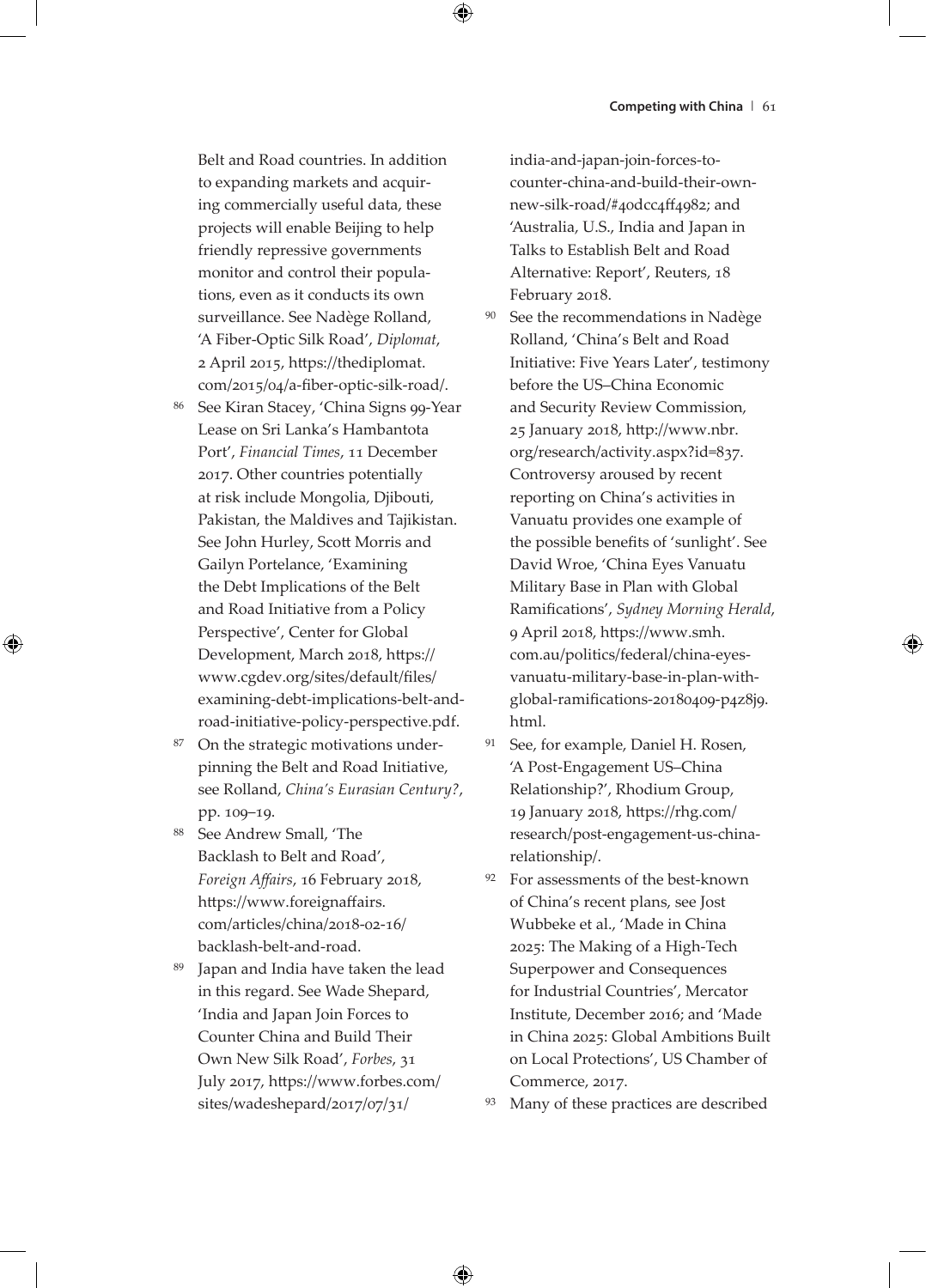Belt and Road countries. In addition to expanding markets and acquiring commercially useful data, these projects will enable Beijing to help friendly repressive governments monitor and control their populations, even as it conducts its own surveillance. See Nadège Rolland, 'A Fiber-Optic Silk Road', *Diplomat*, 2 April 2015, https://thediplomat. com/2015/04/a-fiber-optic-silk-road/.

- <sup>86</sup> See Kiran Stacey, 'China Signs 99-Year Lease on Sri Lanka's Hambantota Port', *Financial Times*, 11 December 2017. Other countries potentially at risk include Mongolia, Djibouti, Pakistan, the Maldives and Tajikistan. See John Hurley, Scott Morris and Gailyn Portelance, 'Examining the Debt Implications of the Belt and Road Initiative from a Policy Perspective', Center for Global Development, March 2018, https:// www.cgdev.org/sites/default/files/ examining-debt-implications-belt-androad-initiative-policy-perspective.pdf.
- <sup>87</sup> On the strategic motivations underpinning the Belt and Road Initiative, see Rolland, *China's Eurasian Century?*, pp. 109–19.
- <sup>88</sup> See Andrew Small, 'The Backlash to Belt and Road', *Foreign Affairs*, 16 February 2018, https://www.foreignaffairs. com/articles/china/2018-02-16/ backlash-belt-and-road.
- <sup>89</sup> Japan and India have taken the lead in this regard. See Wade Shepard, 'India and Japan Join Forces to Counter China and Build Their Own New Silk Road', *Forbes*, 31 July 2017, https://www.forbes.com/ sites/wadeshepard/2017/07/31/

india-and-japan-join-forces-tocounter-china-and-build-their-ownnew-silk-road/#40dcc4ff4982; and 'Australia, U.S., India and Japan in Talks to Establish Belt and Road Alternative: Report', Reuters, 18 February 2018.

- <sup>90</sup> See the recommendations in Nadège Rolland, 'China's Belt and Road Initiative: Five Years Later', testimony before the US–China Economic and Security Review Commission, 25 January 2018, http://www.nbr. org/research/activity.aspx?id=837. Controversy aroused by recent reporting on China's activities in Vanuatu provides one example of the possible benefits of 'sunlight'. See David Wroe, 'China Eyes Vanuatu Military Base in Plan with Global Ramifications', *Sydney Morning Herald*, 9 April 2018, https://www.smh. com.au/politics/federal/china-eyesvanuatu-military-base-in-plan-withglobal-ramifications-20180409-p4z8j9. html.
- <sup>91</sup> See, for example, Daniel H. Rosen, 'A Post-Engagement US–China Relationship?', Rhodium Group, 19 January 2018, https://rhg.com/ research/post-engagement-us-chinarelationship/.
- <sup>92</sup> For assessments of the best-known of China's recent plans, see Jost Wubbeke et al., 'Made in China 2025: The Making of a High-Tech Superpower and Consequences for Industrial Countries', Mercator Institute, December 2016; and 'Made in China 2025: Global Ambitions Built on Local Protections', US Chamber of Commerce, 2017.

93 Many of these practices are described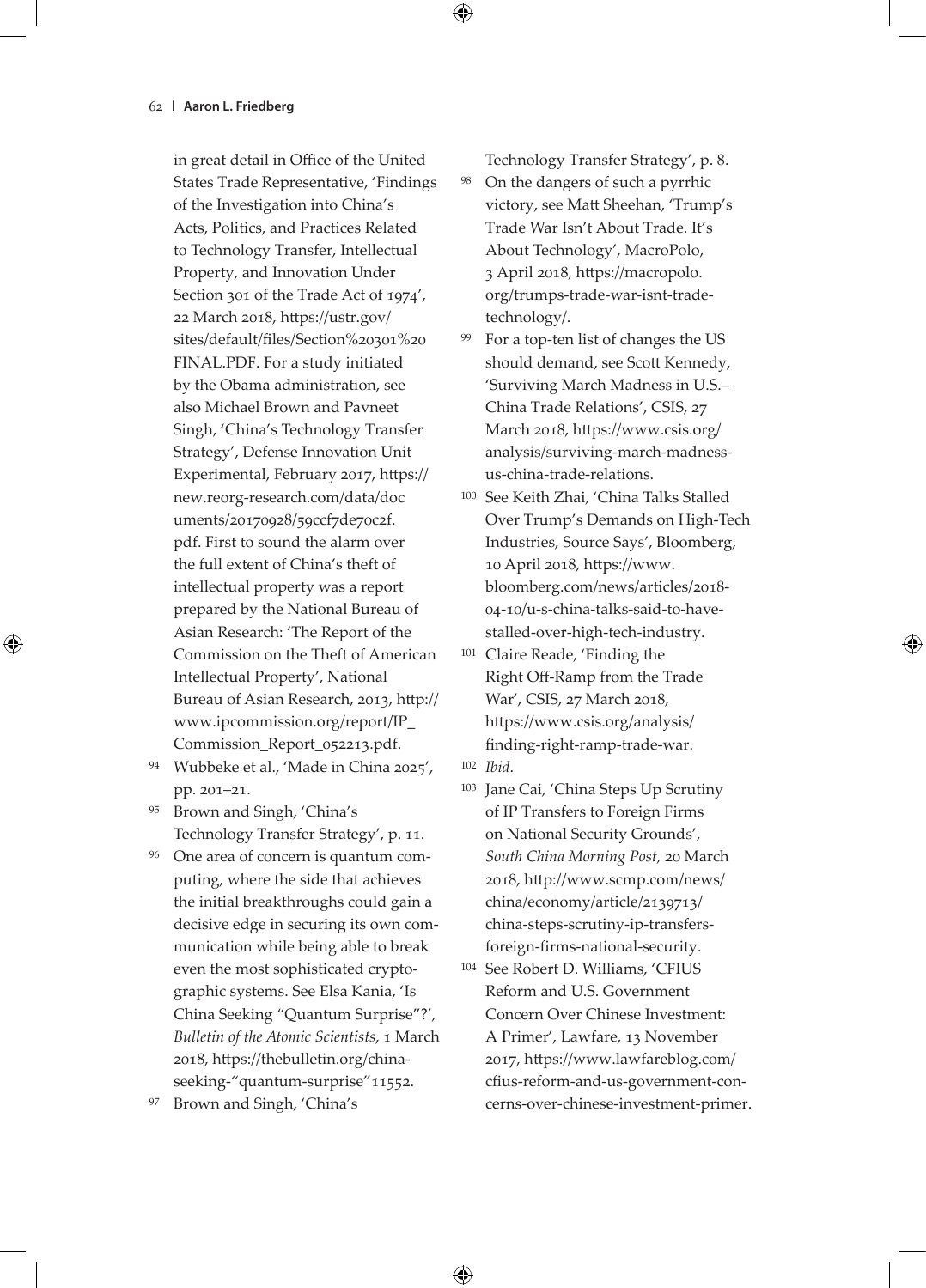in great detail in Office of the United States Trade Representative, 'Findings of the Investigation into China's Acts, Politics, and Practices Related to Technology Transfer, Intellectual Property, and Innovation Under Section 301 of the Trade Act of 1974', 22 March 2018, https://ustr.gov/ sites/default/files/Section%20301%20 FINAL.PDF. For a study initiated by the Obama administration, see also Michael Brown and Pavneet Singh, 'China's Technology Transfer Strategy', Defense Innovation Unit Experimental, February 2017, https:// new.reorg-research.com/data/doc uments/20170928/59ccf7de70c2f. pdf. First to sound the alarm over the full extent of China's theft of intellectual property was a report prepared by the National Bureau of Asian Research: 'The Report of the Commission on the Theft of American Intellectual Property', National Bureau of Asian Research, 2013, http:// www.ipcommission.org/report/IP\_ Commission\_Report\_052213.pdf.

- <sup>94</sup> Wubbeke et al., 'Made in China 2025', pp. 201–21.
- Brown and Singh, 'China's Technology Transfer Strategy', p. 11.
- <sup>96</sup> One area of concern is quantum computing, where the side that achieves the initial breakthroughs could gain a decisive edge in securing its own communication while being able to break even the most sophisticated cryptographic systems. See Elsa Kania, 'Is China Seeking "Quantum Surprise"?', *Bulletin of the Atomic Scientists*, 1 March 2018, https://thebulletin.org/chinaseeking-"quantum-surprise"11552.
- Brown and Singh, 'China's

Technology Transfer Strategy', p. 8.

<sup>98</sup> On the dangers of such a pyrrhic victory, see Matt Sheehan, 'Trump's Trade War Isn't About Trade. It's About Technology', MacroPolo, 3 April 2018, https://macropolo. org/trumps-trade-war-isnt-tradetechnology/.

- <sup>99</sup> For a top-ten list of changes the US should demand, see Scott Kennedy, 'Surviving March Madness in U.S.– China Trade Relations', CSIS, 27 March 2018, https://www.csis.org/ analysis/surviving-march-madnessus-china-trade-relations.
- <sup>100</sup> See Keith Zhai, 'China Talks Stalled Over Trump's Demands on High-Tech Industries, Source Says', Bloomberg, 10 April 2018, https://www. bloomberg.com/news/articles/2018- 04-10/u-s-china-talks-said-to-havestalled-over-high-tech-industry.
- <sup>101</sup> Claire Reade, 'Finding the Right Off-Ramp from the Trade War', CSIS, 27 March 2018, https://www.csis.org/analysis/ finding-right-ramp-trade-war.
- <sup>102</sup> *Ibid*.
- <sup>103</sup> Jane Cai, 'China Steps Up Scrutiny of IP Transfers to Foreign Firms on National Security Grounds', *South China Morning Post*, 20 March 2018, http://www.scmp.com/news/ china/economy/article/2139713/ china-steps-scrutiny-ip-transfersforeign-firms-national-security.
- <sup>104</sup> See Robert D. Williams, 'CFIUS Reform and U.S. Government Concern Over Chinese Investment: A Primer', Lawfare, 13 November 2017, https://www.lawfareblog.com/ cfius-reform-and-us-government-concerns-over-chinese-investment-primer.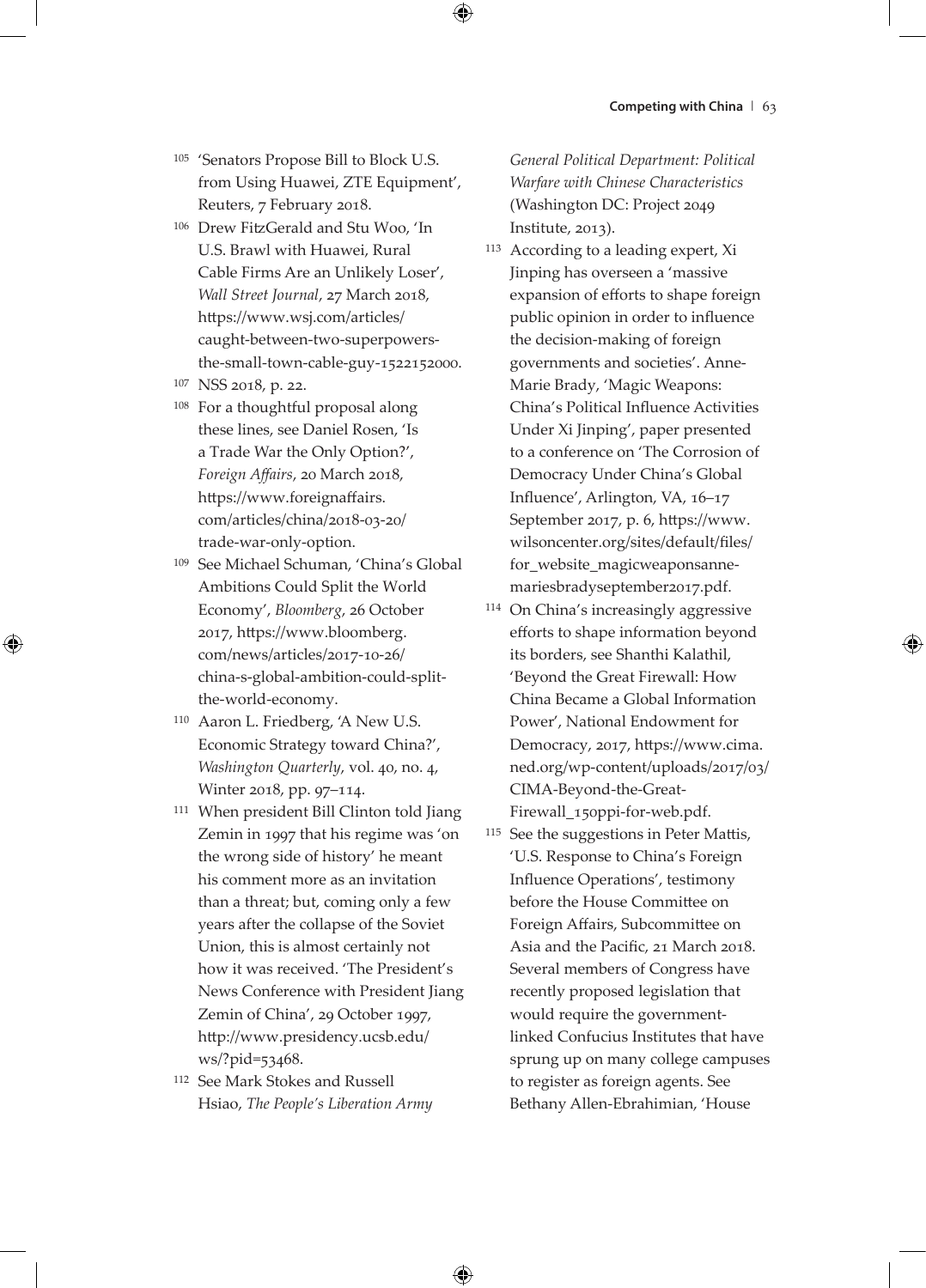- <sup>105</sup> 'Senators Propose Bill to Block U.S. from Using Huawei, ZTE Equipment', Reuters, 7 February 2018.
- <sup>106</sup> Drew FitzGerald and Stu Woo, 'In U.S. Brawl with Huawei, Rural Cable Firms Are an Unlikely Loser', *Wall Street Journal*, 27 March 2018, https://www.wsj.com/articles/ caught-between-two-superpowersthe-small-town-cable-guy-1522152000.
- <sup>107</sup> NSS 2018, p. 22.
- <sup>108</sup> For a thoughtful proposal along these lines, see Daniel Rosen, 'Is a Trade War the Only Option?', *Foreign Affairs*, 20 March 2018, https://www.foreignaffairs. com/articles/china/2018-03-20/ trade-war-only-option.
- <sup>109</sup> See Michael Schuman, 'China's Global Ambitions Could Split the World Economy', *Bloomberg*, 26 October 2017, https://www.bloomberg. com/news/articles/2017-10-26/ china-s-global-ambition-could-splitthe-world-economy.
- <sup>110</sup> Aaron L. Friedberg, 'A New U.S. Economic Strategy toward China?', *Washington Quarterly*, vol. 40, no. 4, Winter 2018, pp. 97–114.
- <sup>111</sup> When president Bill Clinton told Jiang Zemin in 1997 that his regime was 'on the wrong side of history' he meant his comment more as an invitation than a threat; but, coming only a few years after the collapse of the Soviet Union, this is almost certainly not how it was received. 'The President's News Conference with President Jiang Zemin of China', 29 October 1997, http://www.presidency.ucsb.edu/ ws/?pid=53468.
- <sup>112</sup> See Mark Stokes and Russell Hsiao, *The People's Liberation Army*

*General Political Department: Political Warfare with Chinese Characteristics* (Washington DC: Project 2049 Institute, 2013).

- <sup>113</sup> According to a leading expert, Xi Jinping has overseen a 'massive expansion of efforts to shape foreign public opinion in order to influence the decision-making of foreign governments and societies'. Anne-Marie Brady, 'Magic Weapons: China's Political Influence Activities Under Xi Jinping', paper presented to a conference on 'The Corrosion of Democracy Under China's Global Influence', Arlington, VA, 16–17 September 2017, p. 6, https://www. wilsoncenter.org/sites/default/files/ for\_website\_magicweaponsannemariesbradyseptember2017.pdf.
- <sup>114</sup> On China's increasingly aggressive efforts to shape information beyond its borders, see Shanthi Kalathil, 'Beyond the Great Firewall: How China Became a Global Information Power', National Endowment for Democracy, 2017, https://www.cima. ned.org/wp-content/uploads/2017/03/ CIMA-Beyond-the-Great-Firewall\_150ppi-for-web.pdf.
- <sup>115</sup> See the suggestions in Peter Mattis, 'U.S. Response to China's Foreign Influence Operations', testimony before the House Committee on Foreign Affairs, Subcommittee on Asia and the Pacific, 21 March 2018. Several members of Congress have recently proposed legislation that would require the governmentlinked Confucius Institutes that have sprung up on many college campuses to register as foreign agents. See Bethany Allen-Ebrahimian, 'House